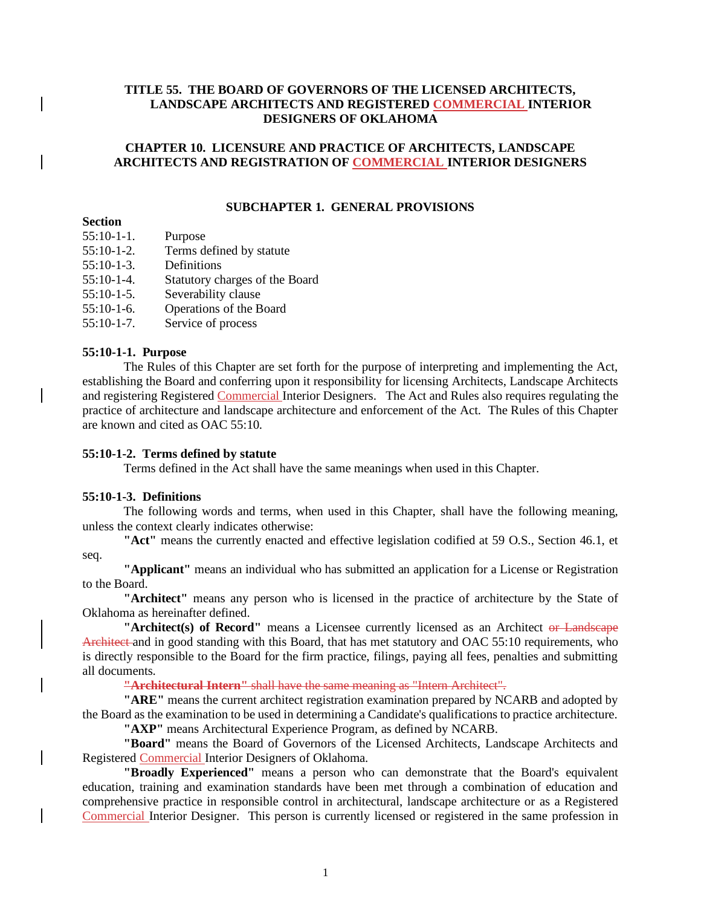## **TITLE 55. THE BOARD OF GOVERNORS OF THE LICENSED ARCHITECTS, LANDSCAPE ARCHITECTS AND REGISTERED COMMERCIAL INTERIOR DESIGNERS OF OKLAHOMA**

### **CHAPTER 10. LICENSURE AND PRACTICE OF ARCHITECTS, LANDSCAPE ARCHITECTS AND REGISTRATION OF COMMERCIAL INTERIOR DESIGNERS**

### **SUBCHAPTER 1. GENERAL PROVISIONS**

## **Section**

- 55:10-1-1. Purpose
- 55:10-1-2. Terms defined by statute
- 55:10-1-3. Definitions
- 55:10-1-4. Statutory charges of the Board
- 55:10-1-5. Severability clause
- 55:10-1-6. Operations of the Board
- 55:10-1-7. Service of process

### **55:10-1-1. Purpose**

The Rules of this Chapter are set forth for the purpose of interpreting and implementing the Act, establishing the Board and conferring upon it responsibility for licensing Architects, Landscape Architects and registering Registered Commercial Interior Designers. The Act and Rules also requires regulating the practice of architecture and landscape architecture and enforcement of the Act. The Rules of this Chapter are known and cited as OAC 55:10.

#### **55:10-1-2. Terms defined by statute**

Terms defined in the Act shall have the same meanings when used in this Chapter.

## **55:10-1-3. Definitions**

The following words and terms, when used in this Chapter, shall have the following meaning, unless the context clearly indicates otherwise:

**"Act"** means the currently enacted and effective legislation codified at 59 O.S., Section 46.1, et

### seq.

**"Applicant"** means an individual who has submitted an application for a License or Registration to the Board.

**"Architect"** means any person who is licensed in the practice of architecture by the State of Oklahoma as hereinafter defined.

**"Architect(s) of Record"** means a Licensee currently licensed as an Architect or Landscape Architect and in good standing with this Board, that has met statutory and OAC 55:10 requirements, who is directly responsible to the Board for the firm practice, filings, paying all fees, penalties and submitting all documents.

**"Architectural Intern"** shall have the same meaning as "Intern Architect".

**"ARE"** means the current architect registration examination prepared by NCARB and adopted by the Board as the examination to be used in determining a Candidate's qualifications to practice architecture. **"AXP"** means Architectural Experience Program, as defined by NCARB.

**"Board"** means the Board of Governors of the Licensed Architects, Landscape Architects and Registered Commercial Interior Designers of Oklahoma.

**"Broadly Experienced"** means a person who can demonstrate that the Board's equivalent education, training and examination standards have been met through a combination of education and comprehensive practice in responsible control in architectural, landscape architecture or as a Registered Commercial Interior Designer. This person is currently licensed or registered in the same profession in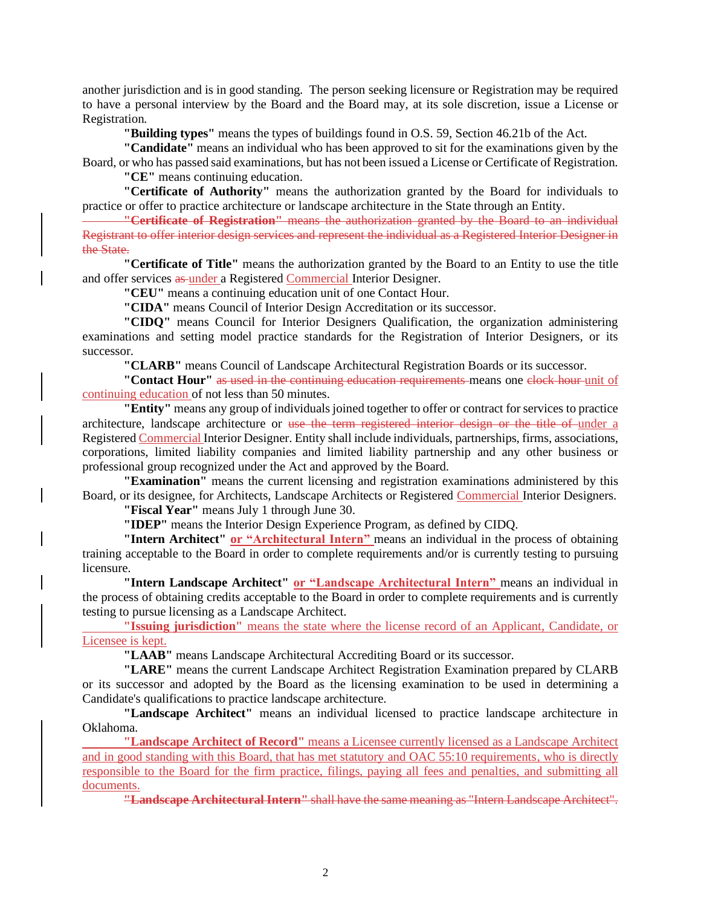another jurisdiction and is in good standing. The person seeking licensure or Registration may be required to have a personal interview by the Board and the Board may, at its sole discretion, issue a License or Registration.

**"Building types"** means the types of buildings found in O.S. 59, Section 46.21b of the Act.

**"Candidate"** means an individual who has been approved to sit for the examinations given by the

Board, or who has passed said examinations, but has not been issued a License or Certificate of Registration. **"CE"** means continuing education.

**"Certificate of Authority"** means the authorization granted by the Board for individuals to practice or offer to practice architecture or landscape architecture in the State through an Entity.

**"Certificate of Registration"** means the authorization granted by the Board to an individual Registrant to offer interior design services and represent the individual as a Registered Interior Designer in the State.

**"Certificate of Title"** means the authorization granted by the Board to an Entity to use the title and offer services as under a Registered Commercial Interior Designer.

**"CEU"** means a continuing education unit of one Contact Hour.

**"CIDA"** means Council of Interior Design Accreditation or its successor.

**"CIDQ"** means Council for Interior Designers Qualification, the organization administering examinations and setting model practice standards for the Registration of Interior Designers, or its successor.

**"CLARB"** means Council of Landscape Architectural Registration Boards or its successor.

**"Contact Hour"** as used in the continuing education requirements-means one clock hour unit of continuing education of not less than 50 minutes.

**"Entity"** means any group of individuals joined together to offer or contract for services to practice architecture, landscape architecture or use the term registered interior design or the title of under a Registered Commercial Interior Designer. Entity shall include individuals, partnerships, firms, associations, corporations, limited liability companies and limited liability partnership and any other business or professional group recognized under the Act and approved by the Board.

**"Examination"** means the current licensing and registration examinations administered by this Board, or its designee, for Architects, Landscape Architects or Registered Commercial Interior Designers.

**"Fiscal Year"** means July 1 through June 30.

**"IDEP"** means the Interior Design Experience Program, as defined by CIDQ.

**"Intern Architect" or "Architectural Intern"** means an individual in the process of obtaining training acceptable to the Board in order to complete requirements and/or is currently testing to pursuing licensure.

**"Intern Landscape Architect" or "Landscape Architectural Intern"** means an individual in the process of obtaining credits acceptable to the Board in order to complete requirements and is currently testing to pursue licensing as a Landscape Architect.

**"Issuing jurisdiction"** means the state where the license record of an Applicant, Candidate, or Licensee is kept.

**"LAAB"** means Landscape Architectural Accrediting Board or its successor.

**"LARE"** means the current Landscape Architect Registration Examination prepared by CLARB or its successor and adopted by the Board as the licensing examination to be used in determining a Candidate's qualifications to practice landscape architecture.

**"Landscape Architect"** means an individual licensed to practice landscape architecture in Oklahoma.

**"Landscape Architect of Record"** means a Licensee currently licensed as a Landscape Architect and in good standing with this Board, that has met statutory and OAC 55:10 requirements, who is directly responsible to the Board for the firm practice, filings, paying all fees and penalties, and submitting all documents.

**"Landscape Architectural Intern"** shall have the same meaning as "Intern Landscape Architect".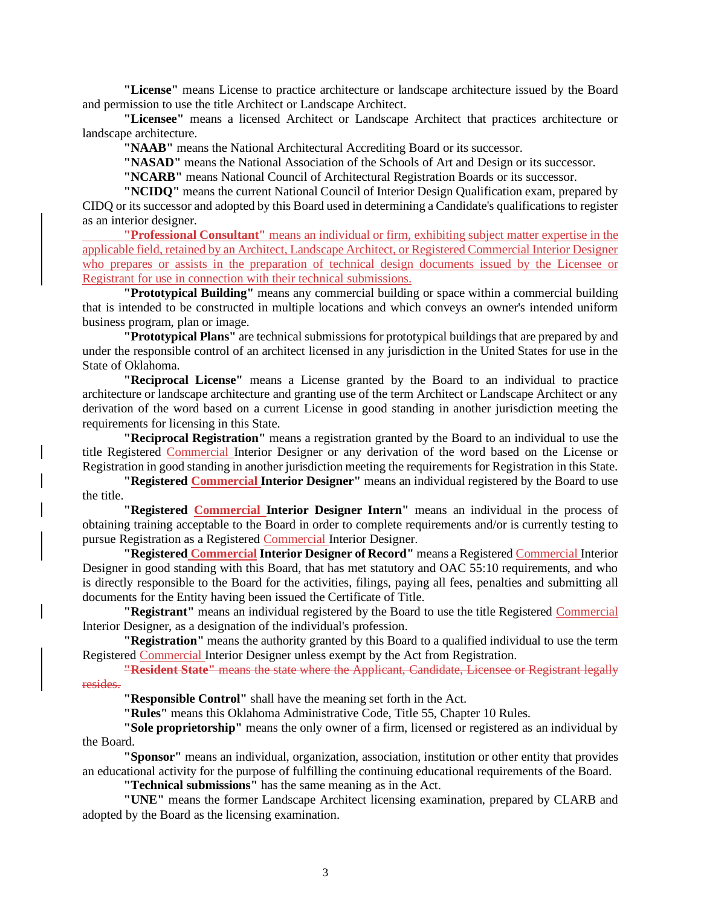**"License"** means License to practice architecture or landscape architecture issued by the Board and permission to use the title Architect or Landscape Architect.

**"Licensee"** means a licensed Architect or Landscape Architect that practices architecture or landscape architecture.

**"NAAB"** means the National Architectural Accrediting Board or its successor.

**"NASAD"** means the National Association of the Schools of Art and Design or its successor.

**"NCARB"** means National Council of Architectural Registration Boards or its successor.

**"NCIDQ"** means the current National Council of Interior Design Qualification exam, prepared by CIDQ or its successor and adopted by this Board used in determining a Candidate's qualifications to register as an interior designer.

**"Professional Consultant"** means an individual or firm, exhibiting subject matter expertise in the applicable field, retained by an Architect, Landscape Architect, or Registered Commercial Interior Designer who prepares or assists in the preparation of technical design documents issued by the Licensee or Registrant for use in connection with their technical submissions.

**"Prototypical Building"** means any commercial building or space within a commercial building that is intended to be constructed in multiple locations and which conveys an owner's intended uniform business program, plan or image.

**"Prototypical Plans"** are technical submissions for prototypical buildings that are prepared by and under the responsible control of an architect licensed in any jurisdiction in the United States for use in the State of Oklahoma.

**"Reciprocal License"** means a License granted by the Board to an individual to practice architecture or landscape architecture and granting use of the term Architect or Landscape Architect or any derivation of the word based on a current License in good standing in another jurisdiction meeting the requirements for licensing in this State.

**"Reciprocal Registration"** means a registration granted by the Board to an individual to use the title Registered Commercial Interior Designer or any derivation of the word based on the License or Registration in good standing in another jurisdiction meeting the requirements for Registration in this State.

**"Registered Commercial Interior Designer"** means an individual registered by the Board to use the title.

**"Registered Commercial Interior Designer Intern"** means an individual in the process of obtaining training acceptable to the Board in order to complete requirements and/or is currently testing to pursue Registration as a Registered Commercial Interior Designer.

**"Registered Commercial Interior Designer of Record"** means a Registered Commercial Interior Designer in good standing with this Board, that has met statutory and OAC 55:10 requirements, and who is directly responsible to the Board for the activities, filings, paying all fees, penalties and submitting all documents for the Entity having been issued the Certificate of Title.

**"Registrant"** means an individual registered by the Board to use the title Registered Commercial Interior Designer, as a designation of the individual's profession.

**"Registration"** means the authority granted by this Board to a qualified individual to use the term Registered Commercial Interior Designer unless exempt by the Act from Registration.

**"Resident State"** means the state where the Applicant, Candidate, Licensee or Registrant legally resides.

**"Responsible Control"** shall have the meaning set forth in the Act.

**"Rules"** means this Oklahoma Administrative Code, Title 55, Chapter 10 Rules.

**"Sole proprietorship"** means the only owner of a firm, licensed or registered as an individual by the Board.

**"Sponsor"** means an individual, organization, association, institution or other entity that provides an educational activity for the purpose of fulfilling the continuing educational requirements of the Board.

**"Technical submissions"** has the same meaning as in the Act.

**"UNE"** means the former Landscape Architect licensing examination, prepared by CLARB and adopted by the Board as the licensing examination.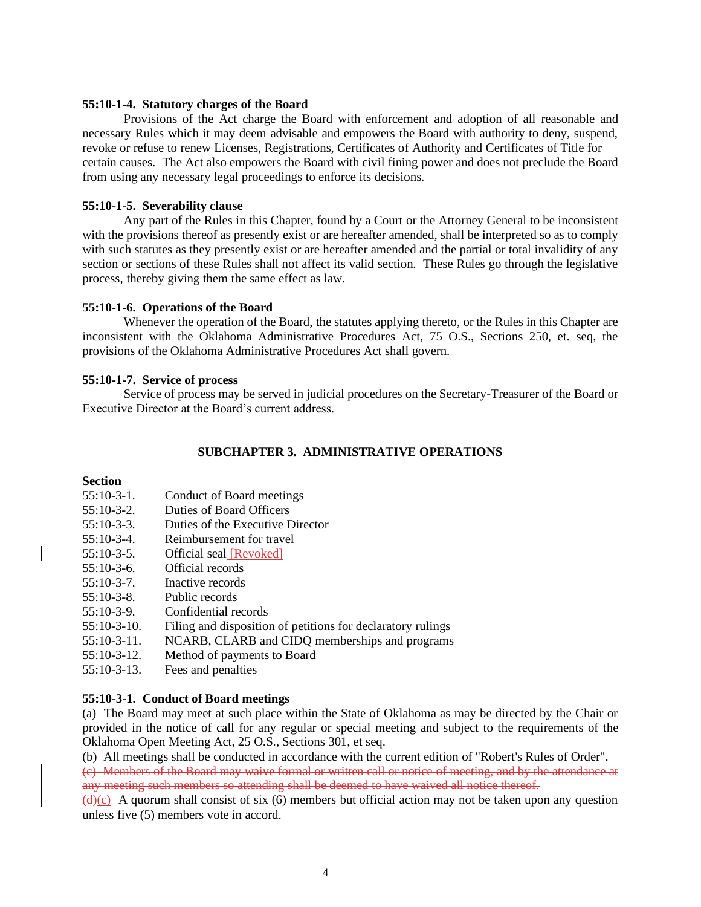#### **55:10-1-4. Statutory charges of the Board**

Provisions of the Act charge the Board with enforcement and adoption of all reasonable and necessary Rules which it may deem advisable and empowers the Board with authority to deny, suspend, revoke or refuse to renew Licenses, Registrations, Certificates of Authority and Certificates of Title for certain causes. The Act also empowers the Board with civil fining power and does not preclude the Board from using any necessary legal proceedings to enforce its decisions.

### **55:10-1-5. Severability clause**

Any part of the Rules in this Chapter, found by a Court or the Attorney General to be inconsistent with the provisions thereof as presently exist or are hereafter amended, shall be interpreted so as to comply with such statutes as they presently exist or are hereafter amended and the partial or total invalidity of any section or sections of these Rules shall not affect its valid section. These Rules go through the legislative process, thereby giving them the same effect as law.

#### **55:10-1-6. Operations of the Board**

Whenever the operation of the Board, the statutes applying thereto, or the Rules in this Chapter are inconsistent with the Oklahoma Administrative Procedures Act, 75 O.S., Sections 250, et. seq, the provisions of the Oklahoma Administrative Procedures Act shall govern.

#### **55:10-1-7. Service of process**

Service of process may be served in judicial procedures on the Secretary-Treasurer of the Board or Executive Director at the Board's current address.

#### **SUBCHAPTER 3. ADMINISTRATIVE OPERATIONS**

#### **Section**

- 55:10-3-1. Conduct of Board meetings
- 55:10-3-2. Duties of Board Officers
- 55:10-3-3. Duties of the Executive Director
- 55:10-3-4. Reimbursement for travel
- 55:10-3-5. Official seal [Revoked]
- 55:10-3-6. Official records
- 55:10-3-7. Inactive records
- 55:10-3-8. Public records
- 55:10-3-9. Confidential records
- 55:10-3-10. Filing and disposition of petitions for declaratory rulings
- 55:10-3-11. NCARB, CLARB and CIDQ memberships and programs
- 55:10-3-12. Method of payments to Board
- 55:10-3-13. Fees and penalties

### **55:10-3-1. Conduct of Board meetings**

(a) The Board may meet at such place within the State of Oklahoma as may be directed by the Chair or provided in the notice of call for any regular or special meeting and subject to the requirements of the Oklahoma Open Meeting Act, 25 O.S., Sections 301, et seq.

(b) All meetings shall be conducted in accordance with the current edition of "Robert's Rules of Order".

(c) Members of the Board may waive formal or written call or notice of meeting, and by the attendance at any meeting such members so attending shall be deemed to have waived all notice thereof.

 $\frac{d}{dx}$  A quorum shall consist of six (6) members but official action may not be taken upon any question unless five (5) members vote in accord.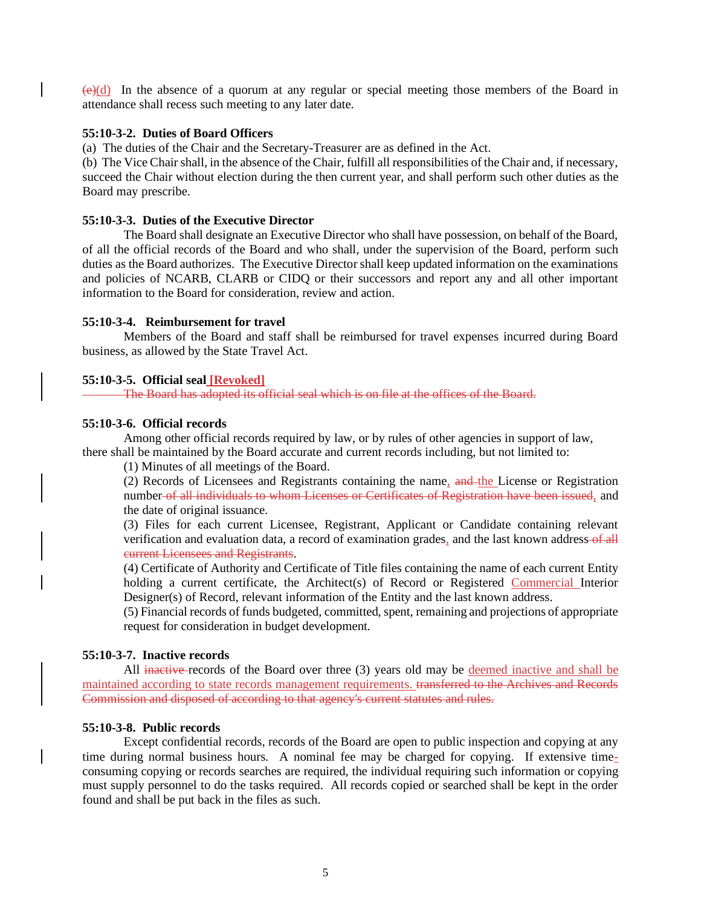$(e)(d)$  In the absence of a quorum at any regular or special meeting those members of the Board in attendance shall recess such meeting to any later date.

### **55:10-3-2. Duties of Board Officers**

(a) The duties of the Chair and the Secretary-Treasurer are as defined in the Act.

(b) The Vice Chair shall, in the absence of the Chair, fulfill all responsibilities of the Chair and, if necessary, succeed the Chair without election during the then current year, and shall perform such other duties as the Board may prescribe.

#### **55:10-3-3. Duties of the Executive Director**

The Board shall designate an Executive Director who shall have possession, on behalf of the Board, of all the official records of the Board and who shall, under the supervision of the Board, perform such duties as the Board authorizes. The Executive Director shall keep updated information on the examinations and policies of NCARB, CLARB or CIDQ or their successors and report any and all other important information to the Board for consideration, review and action.

### **55:10-3-4. Reimbursement for travel**

Members of the Board and staff shall be reimbursed for travel expenses incurred during Board business, as allowed by the State Travel Act.

#### **55:10-3-5. Official seal [Revoked]**

The Board has adopted its official seal which is on file at the offices of the Board.

### **55:10-3-6. Official records**

Among other official records required by law, or by rules of other agencies in support of law, there shall be maintained by the Board accurate and current records including, but not limited to:

(1) Minutes of all meetings of the Board.

(2) Records of Licensees and Registrants containing the name, and the License or Registration number-of all individuals to whom Licenses or Certificates of Registration have been issued, and the date of original issuance.

(3) Files for each current Licensee, Registrant, Applicant or Candidate containing relevant verification and evaluation data, a record of examination grades, and the last known address-of all current Licensees and Registrants.

(4) Certificate of Authority and Certificate of Title files containing the name of each current Entity holding a current certificate, the Architect(s) of Record or Registered Commercial Interior Designer(s) of Record, relevant information of the Entity and the last known address.

(5) Financial records of funds budgeted, committed, spent, remaining and projections of appropriate request for consideration in budget development.

#### **55:10-3-7. Inactive records**

All inactive records of the Board over three (3) years old may be deemed inactive and shall be maintained according to state records management requirements. transferred to the Archives and Records Commission and disposed of according to that agency's current statutes and rules.

#### **55:10-3-8. Public records**

Except confidential records, records of the Board are open to public inspection and copying at any time during normal business hours. A nominal fee may be charged for copying. If extensive timeconsuming copying or records searches are required, the individual requiring such information or copying must supply personnel to do the tasks required. All records copied or searched shall be kept in the order found and shall be put back in the files as such.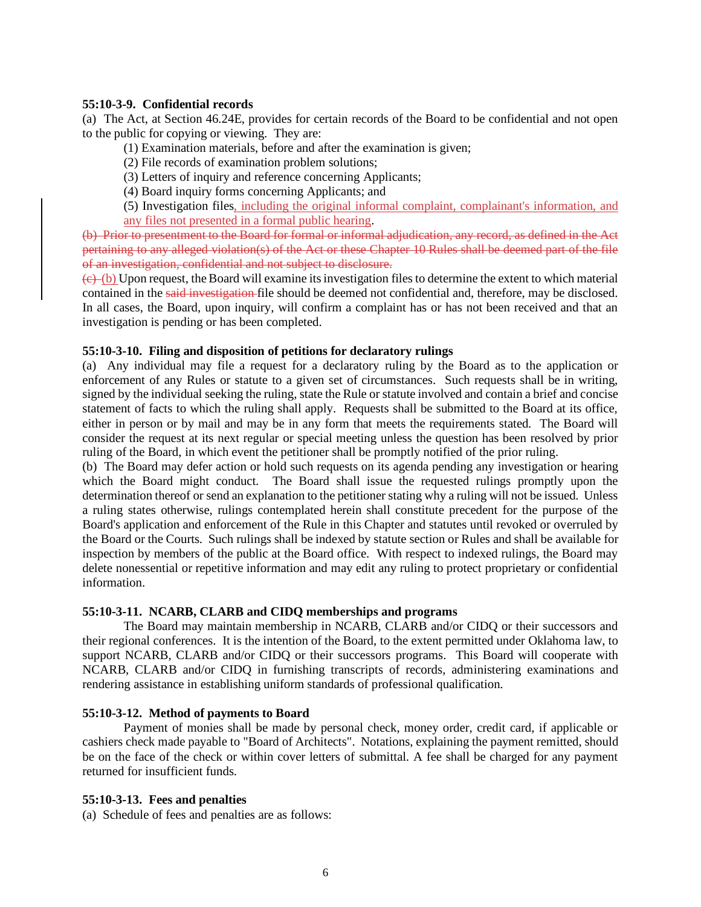### **55:10-3-9. Confidential records**

(a) The Act, at Section 46.24E, provides for certain records of the Board to be confidential and not open to the public for copying or viewing. They are:

(1) Examination materials, before and after the examination is given;

- (2) File records of examination problem solutions;
- (3) Letters of inquiry and reference concerning Applicants;
- (4) Board inquiry forms concerning Applicants; and

(5) Investigation files, including the original informal complaint, complainant's information, and any files not presented in a formal public hearing.

(b) Prior to presentment to the Board for formal or informal adjudication, any record, as defined in the Act pertaining to any alleged violation(s) of the Act or these Chapter 10 Rules shall be deemed part of the file of an investigation, confidential and not subject to disclosure.

 $(e)$  (b) Upon request, the Board will examine its investigation files to determine the extent to which material contained in the said investigation file should be deemed not confidential and, therefore, may be disclosed. In all cases, the Board, upon inquiry, will confirm a complaint has or has not been received and that an investigation is pending or has been completed.

### **55:10-3-10. Filing and disposition of petitions for declaratory rulings**

(a) Any individual may file a request for a declaratory ruling by the Board as to the application or enforcement of any Rules or statute to a given set of circumstances. Such requests shall be in writing, signed by the individual seeking the ruling, state the Rule or statute involved and contain a brief and concise statement of facts to which the ruling shall apply. Requests shall be submitted to the Board at its office, either in person or by mail and may be in any form that meets the requirements stated. The Board will consider the request at its next regular or special meeting unless the question has been resolved by prior ruling of the Board, in which event the petitioner shall be promptly notified of the prior ruling.

(b) The Board may defer action or hold such requests on its agenda pending any investigation or hearing which the Board might conduct. The Board shall issue the requested rulings promptly upon the determination thereof or send an explanation to the petitioner stating why a ruling will not be issued. Unless a ruling states otherwise, rulings contemplated herein shall constitute precedent for the purpose of the Board's application and enforcement of the Rule in this Chapter and statutes until revoked or overruled by the Board or the Courts. Such rulings shall be indexed by statute section or Rules and shall be available for inspection by members of the public at the Board office. With respect to indexed rulings, the Board may delete nonessential or repetitive information and may edit any ruling to protect proprietary or confidential information.

### **55:10-3-11. NCARB, CLARB and CIDQ memberships and programs**

The Board may maintain membership in NCARB, CLARB and/or CIDQ or their successors and their regional conferences. It is the intention of the Board, to the extent permitted under Oklahoma law, to support NCARB, CLARB and/or CIDQ or their successors programs. This Board will cooperate with NCARB, CLARB and/or CIDQ in furnishing transcripts of records, administering examinations and rendering assistance in establishing uniform standards of professional qualification.

#### **55:10-3-12. Method of payments to Board**

Payment of monies shall be made by personal check, money order, credit card, if applicable or cashiers check made payable to "Board of Architects". Notations, explaining the payment remitted, should be on the face of the check or within cover letters of submittal. A fee shall be charged for any payment returned for insufficient funds.

#### **55:10-3-13. Fees and penalties**

(a) Schedule of fees and penalties are as follows: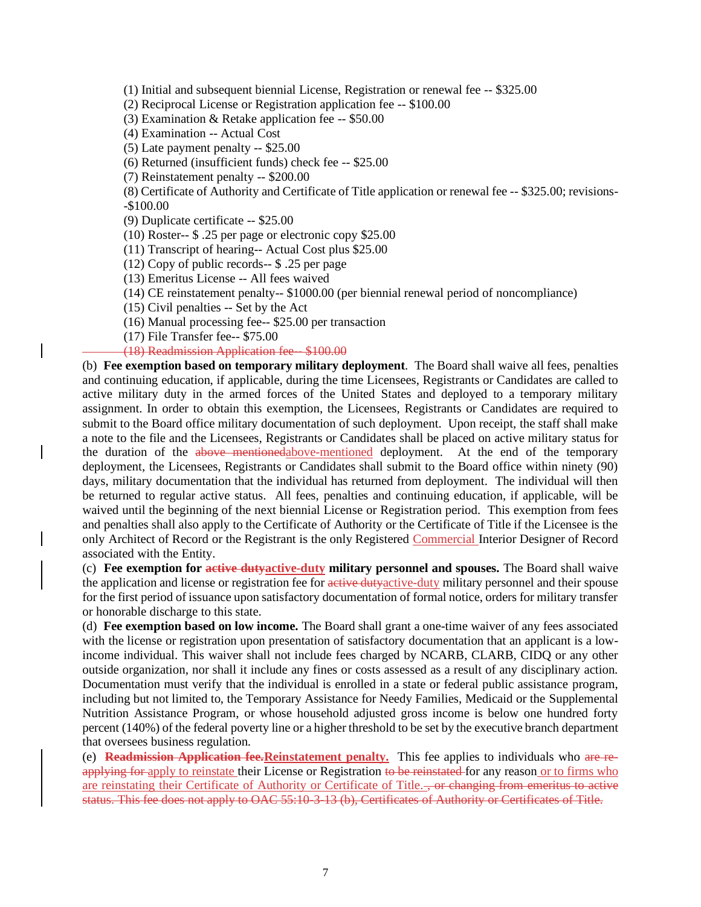(1) Initial and subsequent biennial License, Registration or renewal fee -- \$325.00

(2) Reciprocal License or Registration application fee -- \$100.00

(3) Examination & Retake application fee -- \$50.00

(4) Examination -- Actual Cost

(5) Late payment penalty -- \$25.00

(6) Returned (insufficient funds) check fee -- \$25.00

(7) Reinstatement penalty -- \$200.00

(8) Certificate of Authority and Certificate of Title application or renewal fee -- \$325.00; revisions- -\$100.00

(9) Duplicate certificate -- \$25.00

(10) Roster-- \$ .25 per page or electronic copy \$25.00

(11) Transcript of hearing-- Actual Cost plus \$25.00

(12) Copy of public records-- \$ .25 per page

(13) Emeritus License -- All fees waived

(14) CE reinstatement penalty-- \$1000.00 (per biennial renewal period of noncompliance)

(15) Civil penalties -- Set by the Act

(16) Manual processing fee-- \$25.00 per transaction

(17) File Transfer fee-- \$75.00

(18) Readmission Application fee-- \$100.00

(b) **Fee exemption based on temporary military deployment**. The Board shall waive all fees, penalties and continuing education, if applicable, during the time Licensees, Registrants or Candidates are called to active military duty in the armed forces of the United States and deployed to a temporary military assignment. In order to obtain this exemption, the Licensees, Registrants or Candidates are required to submit to the Board office military documentation of such deployment. Upon receipt, the staff shall make a note to the file and the Licensees, Registrants or Candidates shall be placed on active military status for the duration of the above mentionedabove-mentioned deployment. At the end of the temporary deployment, the Licensees, Registrants or Candidates shall submit to the Board office within ninety (90) days, military documentation that the individual has returned from deployment. The individual will then be returned to regular active status. All fees, penalties and continuing education, if applicable, will be waived until the beginning of the next biennial License or Registration period. This exemption from fees and penalties shall also apply to the Certificate of Authority or the Certificate of Title if the Licensee is the only Architect of Record or the Registrant is the only Registered Commercial Interior Designer of Record associated with the Entity.

(c) **Fee exemption for active dutyactive-duty military personnel and spouses.** The Board shall waive the application and license or registration fee for active duty active-duty military personnel and their spouse for the first period of issuance upon satisfactory documentation of formal notice, orders for military transfer or honorable discharge to this state.

(d) **Fee exemption based on low income.** The Board shall grant a one-time waiver of any fees associated with the license or registration upon presentation of satisfactory documentation that an applicant is a lowincome individual. This waiver shall not include fees charged by NCARB, CLARB, CIDQ or any other outside organization, nor shall it include any fines or costs assessed as a result of any disciplinary action. Documentation must verify that the individual is enrolled in a state or federal public assistance program, including but not limited to, the Temporary Assistance for Needy Families, Medicaid or the Supplemental Nutrition Assistance Program, or whose household adjusted gross income is below one hundred forty percent (140%) of the federal poverty line or a higher threshold to be set by the executive branch department that oversees business regulation.

(e) **Readmission Application fee.Reinstatement penalty.** This fee applies to individuals who are reapplying for apply to reinstate their License or Registration to be reinstated for any reason or to firms who are reinstating their Certificate of Authority or Certificate of Title..., or changing from emeritus to active status. This fee does not apply to OAC 55:10-3-13 (b), Certificates of Authority or Certificates of Title.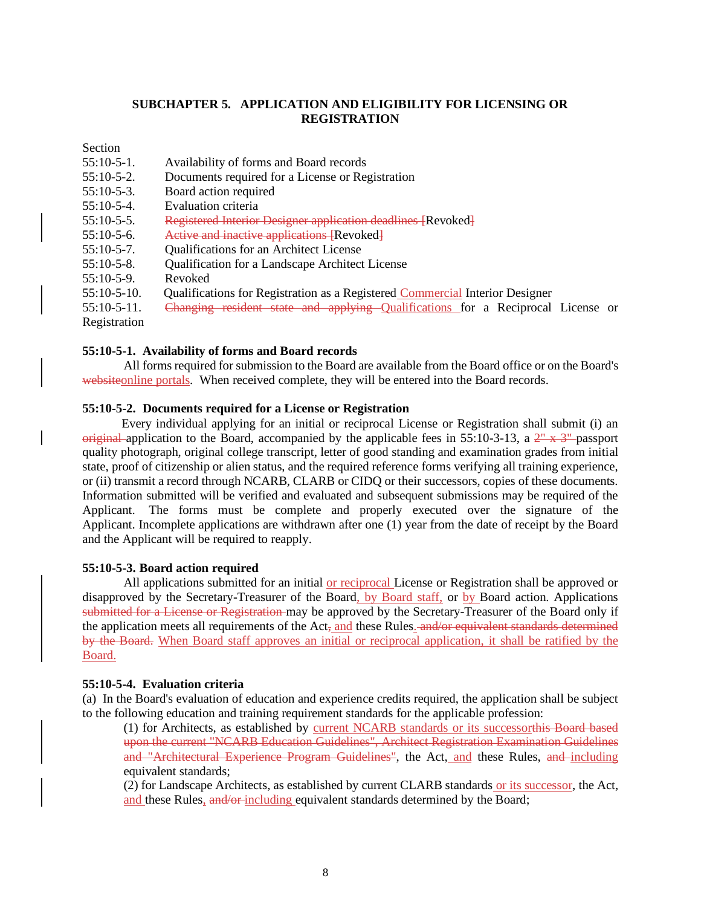## **SUBCHAPTER 5. APPLICATION AND ELIGIBILITY FOR LICENSING OR REGISTRATION**

Section

| $55:10-5-1$ .  | Availability of forms and Board records                                         |
|----------------|---------------------------------------------------------------------------------|
| $55:10-5-2$ .  | Documents required for a License or Registration                                |
| $55:10-5-3$ .  | Board action required                                                           |
| $55:10-5-4$ .  | Evaluation criteria                                                             |
| $55:10-5-5$ .  | Registered Interior Designer application deadlines [Revoked]                    |
| $55:10-5-6.$   | Active and inactive applications [Revoked]                                      |
| $55:10-5-7$ .  | Qualifications for an Architect License                                         |
| $55:10-5-8.$   | Qualification for a Landscape Architect License                                 |
| $55:10-5-9$ .  | Revoked                                                                         |
| $55:10-5-10.$  | Qualifications for Registration as a Registered Commercial Interior Designer    |
| $55:10-5-11$ . | Changing resident state and applying Qualifications for a Reciprocal License or |
| Registration   |                                                                                 |
|                |                                                                                 |

#### **55:10-5-1. Availability of forms and Board records**

All forms required for submission to the Board are available from the Board office or on the Board's websiteonline portals. When received complete, they will be entered into the Board records.

## **55:10-5-2. Documents required for a License or Registration**

 Every individual applying for an initial or reciprocal License or Registration shall submit (i) an original application to the Board, accompanied by the applicable fees in 55:10-3-13, a  $2^{\nu} \times 3^{\nu}$ -passport quality photograph, original college transcript, letter of good standing and examination grades from initial state, proof of citizenship or alien status, and the required reference forms verifying all training experience, or (ii) transmit a record through NCARB, CLARB or CIDQ or their successors, copies of these documents. Information submitted will be verified and evaluated and subsequent submissions may be required of the Applicant. The forms must be complete and properly executed over the signature of the Applicant. Incomplete applications are withdrawn after one (1) year from the date of receipt by the Board and the Applicant will be required to reapply.

#### **55:10-5-3. Board action required**

All applications submitted for an initial or reciprocal License or Registration shall be approved or disapproved by the Secretary-Treasurer of the Board, by Board staff, or by Board action. Applications submitted for a License or Registration may be approved by the Secretary-Treasurer of the Board only if the application meets all requirements of the  $Act_{\tau}$  and these Rules. and/or equivalent standards determined by the Board. When Board staff approves an initial or reciprocal application, it shall be ratified by the Board.

#### **55:10-5-4. Evaluation criteria**

(a) In the Board's evaluation of education and experience credits required, the application shall be subject to the following education and training requirement standards for the applicable profession:

(1) for Architects, as established by current NCARB standards or its successorthis Board based upon the current "NCARB Education Guidelines", Architect Registration Examination Guidelines and "Architectural Experience Program Guidelines", the Act, and these Rules, and including equivalent standards;

(2) for Landscape Architects, as established by current CLARB standards or its successor, the Act, and these Rules, and/or including equivalent standards determined by the Board;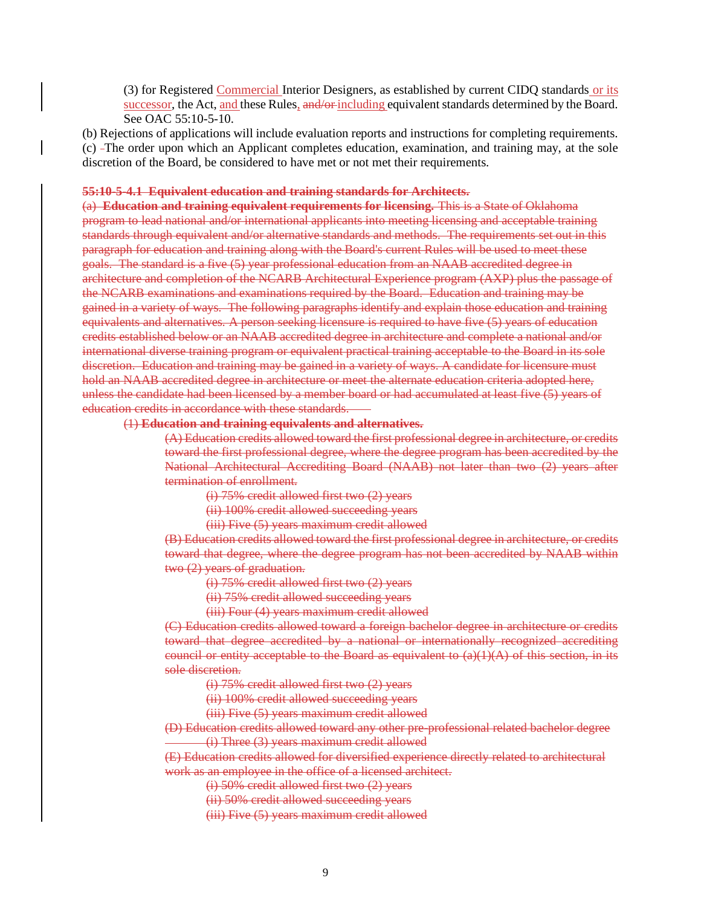(3) for Registered Commercial Interior Designers, as established by current CIDQ standards or its successor, the Act, and these Rules, and/or-including equivalent standards determined by the Board. See OAC 55:10-5-10.

(b) Rejections of applications will include evaluation reports and instructions for completing requirements. (c) The order upon which an Applicant completes education, examination, and training may, at the sole discretion of the Board, be considered to have met or not met their requirements.

#### **55:10-5-4.1 Equivalent education and training standards for Architects.**

(a) **Education and training equivalent requirements for licensing.** This is a State of Oklahoma program to lead national and/or international applicants into meeting licensing and acceptable training standards through equivalent and/or alternative standards and methods. The requirements set out in this paragraph for education and training along with the Board's current Rules will be used to meet these goals. The standard is a five (5) year professional education from an NAAB accredited degree in architecture and completion of the NCARB Architectural Experience program (AXP) plus the passage of the NCARB examinations and examinations required by the Board. Education and training may be gained in a variety of ways. The following paragraphs identify and explain those education and training equivalents and alternatives. A person seeking licensure is required to have five (5) years of education credits established below or an NAAB accredited degree in architecture and complete a national and/or international diverse training program or equivalent practical training acceptable to the Board in its sole discretion. Education and training may be gained in a variety of ways. A candidate for licensure must hold an NAAB accredited degree in architecture or meet the alternate education criteria adopted here, unless the candidate had been licensed by a member board or had accumulated at least five (5) years of education credits in accordance with these standards.

#### (1) **Education and training equivalents and alternatives.**

(A) Education credits allowed toward the first professional degree in architecture, or credits toward the first professional degree, where the degree program has been accredited by the National Architectural Accrediting Board (NAAB) not later than two (2) years after termination of enrollment.

(i) 75% credit allowed first two (2) years

(ii) 100% credit allowed succeeding years

(iii) Five (5) years maximum credit allowed

(B) Education credits allowed toward the first professional degree in architecture, or credits toward that degree, where the degree program has not been accredited by NAAB within two (2) years of graduation.

(i) 75% credit allowed first two (2) years

(ii) 75% credit allowed succeeding years

(iii) Four (4) years maximum credit allowed

(C) Education credits allowed toward a foreign bachelor degree in architecture or credits toward that degree accredited by a national or internationally recognized accrediting council or entity acceptable to the Board as equivalent to  $(a)(1)(A)$  of this section, in its sole discretion.

(i) 75% credit allowed first two (2) years

(ii) 100% credit allowed succeeding years

(iii) Five (5) years maximum credit allowed

(D) Education credits allowed toward any other pre-professional related bachelor degree (i) Three (3) years maximum credit allowed

(E) Education credits allowed for diversified experience directly related to architectural work as an employee in the office of a licensed architect.

(i) 50% credit allowed first two (2) years

(ii) 50% credit allowed succeeding years

(iii) Five (5) years maximum credit allowed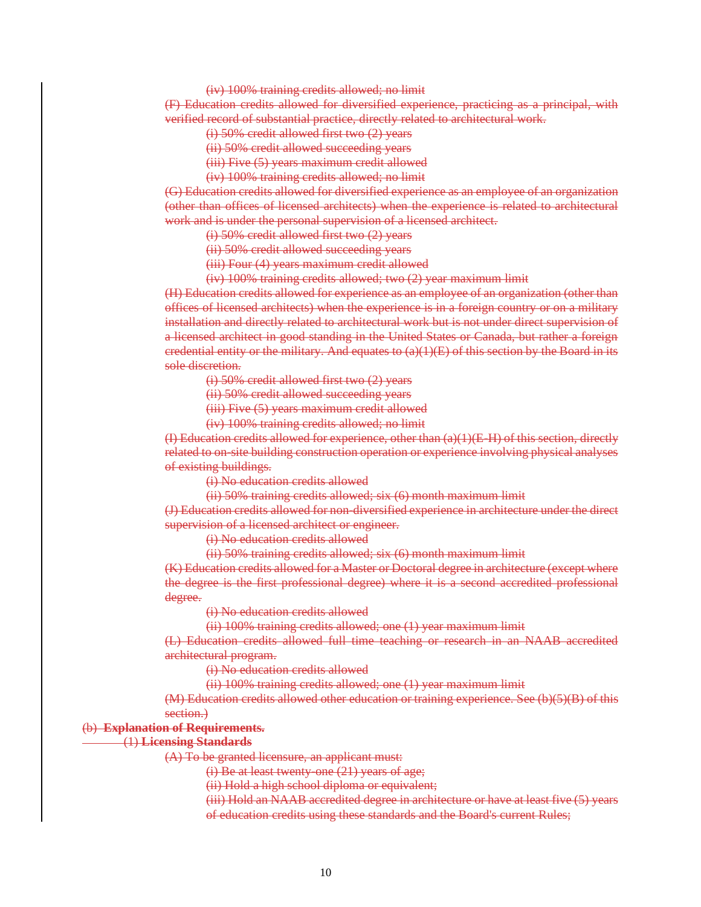(iv) 100% training credits allowed; no limit

(F) Education credits allowed for diversified experience, practicing as a principal, with verified record of substantial practice, directly related to architectural work.

(i) 50% credit allowed first two (2) years

(ii) 50% credit allowed succeeding years

(iii) Five (5) years maximum credit allowed

(iv) 100% training credits allowed; no limit

(G) Education credits allowed for diversified experience as an employee of an organization (other than offices of licensed architects) when the experience is related to architectural work and is under the personal supervision of a licensed architect.

(i) 50% credit allowed first two (2) years

(ii) 50% credit allowed succeeding years

(iii) Four (4) years maximum credit allowed

(iv) 100% training credits allowed; two (2) year maximum limit

(H) Education credits allowed for experience as an employee of an organization (other than offices of licensed architects) when the experience is in a foreign country or on a military installation and directly related to architectural work but is not under direct supervision of a licensed architect in good standing in the United States or Canada, but rather a foreign eredential entity or the military. And equates to  $(a)(1)(E)$  of this section by the Board in its sole discretion.

(i) 50% credit allowed first two (2) years

(ii) 50% credit allowed succeeding years

(iii) Five (5) years maximum credit allowed

(iv) 100% training credits allowed; no limit

(I) Education credits allowed for experience, other than  $(a)(1)(E-H)$  of this section, directly related to on-site building construction operation or experience involving physical analyses of existing buildings.

(i) No education credits allowed

(ii) 50% training credits allowed; six (6) month maximum limit

(J) Education credits allowed for non-diversified experience in architecture under the direct supervision of a licensed architect or engineer.

(i) No education credits allowed

(ii) 50% training credits allowed; six (6) month maximum limit

(K) Education credits allowed for a Master or Doctoral degree in architecture (except where the degree is the first professional degree) where it is a second accredited professional degree.

(i) No education credits allowed

(ii) 100% training credits allowed; one (1) year maximum limit

(L) Education credits allowed full time teaching or research in an NAAB accredited architectural program.

(i) No education credits allowed

(ii) 100% training credits allowed; one (1) year maximum limit

(M) Education credits allowed other education or training experience. See (b)(5)(B) of this section.)

#### (b) **Explanation of Requirements.**

#### (1) **Licensing Standards**

(A) To be granted licensure, an applicant must:

(i) Be at least twenty-one (21) years of age;

(ii) Hold a high school diploma or equivalent;

(iii) Hold an NAAB accredited degree in architecture or have at least five (5) years of education credits using these standards and the Board's current Rules;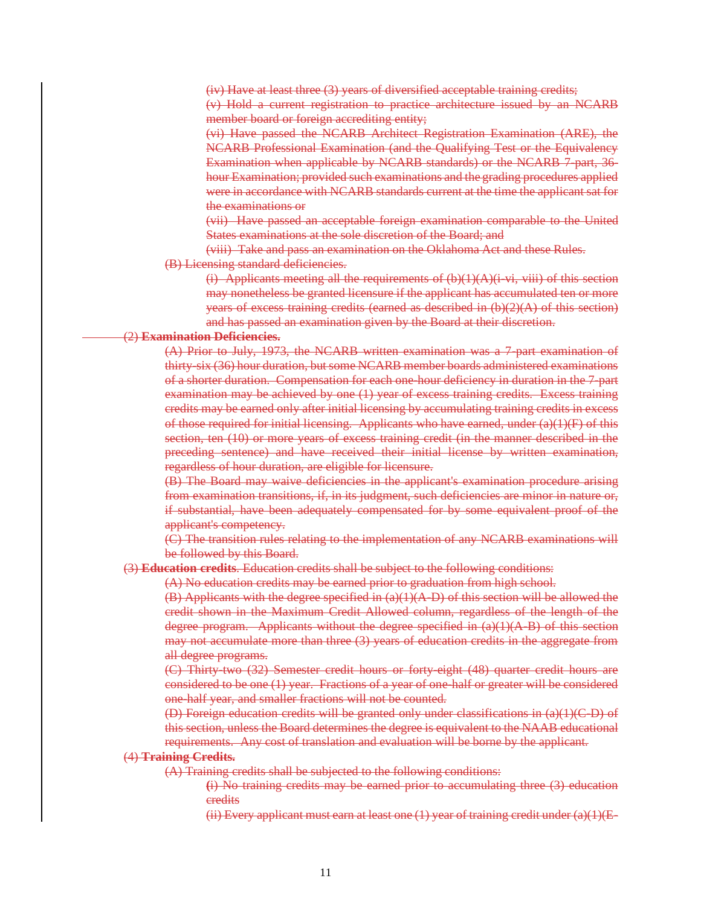(iv) Have at least three (3) years of diversified acceptable training credits; (v) Hold a current registration to practice architecture issued by an NCARB member board or foreign accrediting entity;

(vi) Have passed the NCARB Architect Registration Examination (ARE), the NCARB Professional Examination (and the Qualifying Test or the Equivalency Examination when applicable by NCARB standards) or the NCARB 7-part, 36 hour Examination; provided such examinations and the grading procedures applied were in accordance with NCARB standards current at the time the applicant sat for the examinations or

(vii) Have passed an acceptable foreign examination comparable to the United States examinations at the sole discretion of the Board; and

(viii) Take and pass an examination on the Oklahoma Act and these Rules. (B) Licensing standard deficiencies.

(i) Applicants meeting all the requirements of  $(b)(1)(A)(i-vi, viii)$  of this section may nonetheless be granted licensure if the applicant has accumulated ten or more years of excess training credits (earned as described in  $(b)(2)(A)$  of this section) and has passed an examination given by the Board at their discretion.

## (2) **Examination Deficiencies.**

(A) Prior to July, 1973, the NCARB written examination was a 7-part examination of thirty-six (36) hour duration, but some NCARB member boards administered examinations of a shorter duration. Compensation for each one-hour deficiency in duration in the 7-part examination may be achieved by one (1) year of excess training credits. Excess training credits may be earned only after initial licensing by accumulating training credits in excess of those required for initial licensing. Applicants who have earned, under  $(a)(1)(F)$  of this section, ten (10) or more years of excess training credit (in the manner described in the preceding sentence) and have received their initial license by written examination, regardless of hour duration, are eligible for licensure.

(B) The Board may waive deficiencies in the applicant's examination procedure arising from examination transitions, if, in its judgment, such deficiencies are minor in nature or, if substantial, have been adequately compensated for by some equivalent proof of the applicant's competency.

(C) The transition rules relating to the implementation of any NCARB examinations will be followed by this Board.

(3) **Education credits**. Education credits shall be subject to the following conditions:

(A) No education credits may be earned prior to graduation from high school.

 $(B)$  Applicants with the degree specified in  $(a)(1)(A-D)$  of this section will be allowed the credit shown in the Maximum Credit Allowed column, regardless of the length of the degree program. Applicants without the degree specified in  $(a)(1)(A-B)$  of this section may not accumulate more than three (3) years of education credits in the aggregate from all degree programs.

(C) Thirty-two (32) Semester credit hours or forty-eight (48) quarter credit hours are considered to be one (1) year. Fractions of a year of one-half or greater will be considered one-half year, and smaller fractions will not be counted.

(D) Foreign education credits will be granted only under classifications in (a)(1)(C-D) of this section, unless the Board determines the degree is equivalent to the NAAB educational requirements. Any cost of translation and evaluation will be borne by the applicant.

#### (4) **Training Credits.**

(A) Training credits shall be subjected to the following conditions:

**(**i) No training credits may be earned prior to accumulating three (3) education credits

(ii) Every applicant must earn at least one  $(1)$  year of training credit under  $(a)(1)(E-$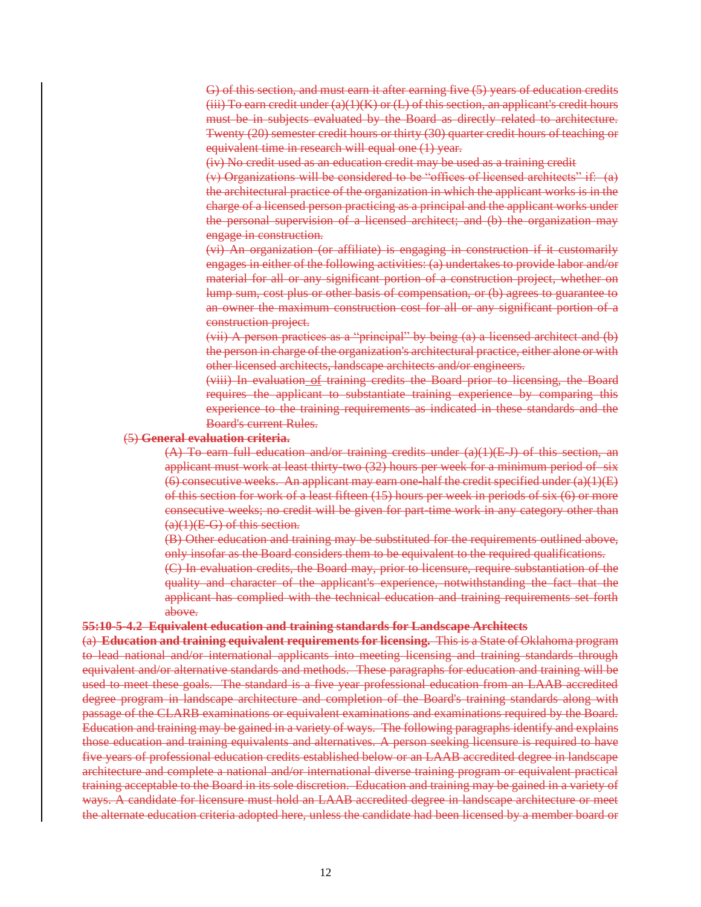G) of this section, and must earn it after earning five (5) years of education credits (iii) To earn credit under  $(a)(1)(K)$  or  $(L)$  of this section, an applicant's credit hours must be in subjects evaluated by the Board as directly related to architecture. Twenty (20) semester credit hours or thirty (30) quarter credit hours of teaching or equivalent time in research will equal one (1) year.

(iv) No credit used as an education credit may be used as a training credit

(v) Organizations will be considered to be "offices of licensed architects" if: (a) the architectural practice of the organization in which the applicant works is in the charge of a licensed person practicing as a principal and the applicant works under the personal supervision of a licensed architect; and (b) the organization may engage in construction.

(vi) An organization (or affiliate) is engaging in construction if it customarily engages in either of the following activities: (a) undertakes to provide labor and/or material for all or any significant portion of a construction project, whether on lump sum, cost plus or other basis of compensation, or (b) agrees to guarantee to an owner the maximum construction cost for all or any significant portion of a construction project.

(vii) A person practices as a "principal" by being (a) a licensed architect and (b) the person in charge of the organization's architectural practice, either alone or with other licensed architects, landscape architects and/or engineers.

(viii) In evaluation of training credits the Board prior to licensing, the Board requires the applicant to substantiate training experience by comparing this experience to the training requirements as indicated in these standards and the Board's current Rules.

#### (5) **General evaluation criteria.**

 $(A)$  To earn full education and/or training credits under  $(a)(1)(E\,J)$  of this section, an applicant must work at least thirty-two (32) hours per week for a minimum period of six  $(6)$  consecutive weeks. An applicant may earn one-half the credit specified under  $(a)(1)(E)$ of this section for work of a least fifteen (15) hours per week in periods of six (6) or more consecutive weeks; no credit will be given for part-time work in any category other than  $(a)(1)(E-G)$  of this section.

(B) Other education and training may be substituted for the requirements outlined above, only insofar as the Board considers them to be equivalent to the required qualifications.

(C) In evaluation credits, the Board may, prior to licensure, require substantiation of the quality and character of the applicant's experience, notwithstanding the fact that the applicant has complied with the technical education and training requirements set forth above.

#### **55:10-5-4.2 Equivalent education and training standards for Landscape Architects**

(a) **Education and training equivalent requirements for licensing.** This is a State of Oklahoma program to lead national and/or international applicants into meeting licensing and training standards through equivalent and/or alternative standards and methods. These paragraphs for education and training will be used to meet these goals. The standard is a five year professional education from an LAAB accredited degree program in landscape architecture and completion of the Board's training standards along with passage of the CLARB examinations or equivalent examinations and examinations required by the Board. Education and training may be gained in a variety of ways. The following paragraphs identify and explains those education and training equivalents and alternatives. A person seeking licensure is required to have five years of professional education credits established below or an LAAB accredited degree in landscape architecture and complete a national and/or international diverse training program or equivalent practical training acceptable to the Board in its sole discretion. Education and training may be gained in a variety of ways. A candidate for licensure must hold an LAAB accredited degree in landscape architecture or meet the alternate education criteria adopted here, unless the candidate had been licensed by a member board or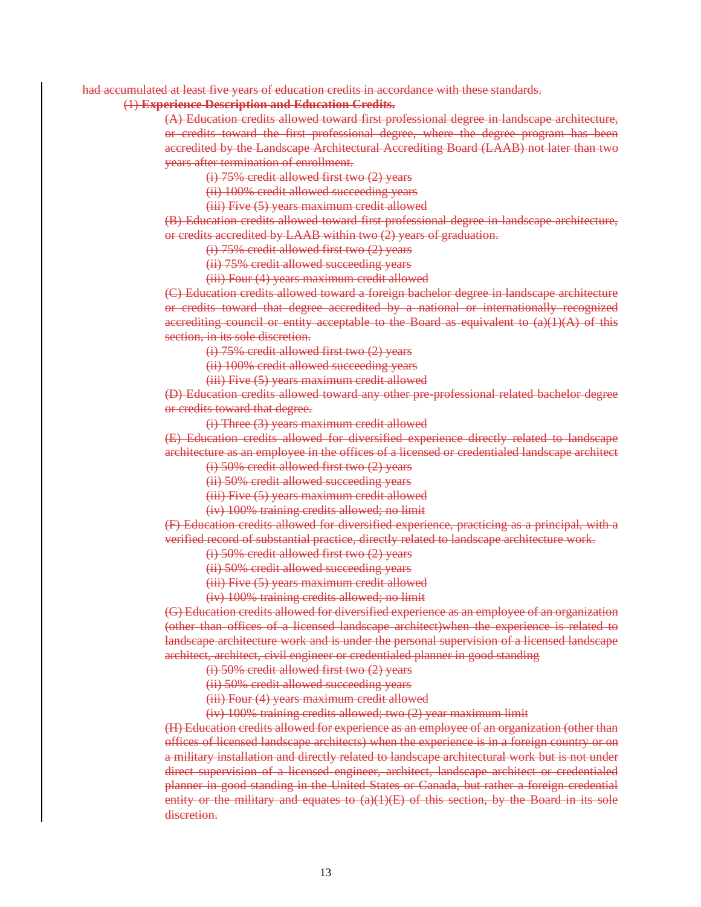#### had accumulated at least five years of education credits in accordance with these standards.

#### (1) **Experience Description and Education Credits.**

(A) Education credits allowed toward first professional degree in landscape architecture, or credits toward the first professional degree, where the degree program has been accredited by the Landscape Architectural Accrediting Board (LAAB) not later than two years after termination of enrollment.

(i) 75% credit allowed first two (2) years

(ii) 100% credit allowed succeeding years

(iii) Five (5) years maximum credit allowed

(B) Education credits allowed toward first professional degree in landscape architecture, or credits accredited by LAAB within two (2) years of graduation.

(i) 75% credit allowed first two (2) years

(ii) 75% credit allowed succeeding years

(iii) Four (4) years maximum credit allowed

(C) Education credits allowed toward a foreign bachelor degree in landscape architecture or credits toward that degree accredited by a national or internationally recognized accrediting council or entity acceptable to the Board as equivalent to  $(a)(1)(A)$  of this section, in its sole discretion.

(i) 75% credit allowed first two (2) years

(ii) 100% credit allowed succeeding years

(iii) Five (5) years maximum credit allowed

(D) Education credits allowed toward any other pre-professional related bachelor degree or credits toward that degree.

(i) Three (3) years maximum credit allowed

(E) Education credits allowed for diversified experience directly related to landscape architecture as an employee in the offices of a licensed or credentialed landscape architect (i) 50% credit allowed first two (2) years

(ii) 50% credit allowed succeeding years

(iii) Five (5) years maximum credit allowed

(iv) 100% training credits allowed; no limit

(F) Education credits allowed for diversified experience, practicing as a principal, with a verified record of substantial practice, directly related to landscape architecture work.

(i) 50% credit allowed first two (2) years

(ii) 50% credit allowed succeeding years

(iii) Five (5) years maximum credit allowed

(iv) 100% training credits allowed; no limit

(G) Education credits allowed for diversified experience as an employee of an organization (other than offices of a licensed landscape architect)when the experience is related to landscape architecture work and is under the personal supervision of a licensed landscape architect, architect, civil engineer or credentialed planner in good standing

(i) 50% credit allowed first two (2) years

(ii) 50% credit allowed succeeding years

(iii) Four (4) years maximum credit allowed

(iv) 100% training credits allowed; two (2) year maximum limit

(H) Education credits allowed for experience as an employee of an organization (other than offices of licensed landscape architects) when the experience is in a foreign country or on a military installation and directly related to landscape architectural work but is not under direct supervision of a licensed engineer, architect, landscape architect or credentialed planner in good standing in the United States or Canada, but rather a foreign credential entity or the military and equates to  $(a)(1)(E)$  of this section, by the Board in its sole discretion.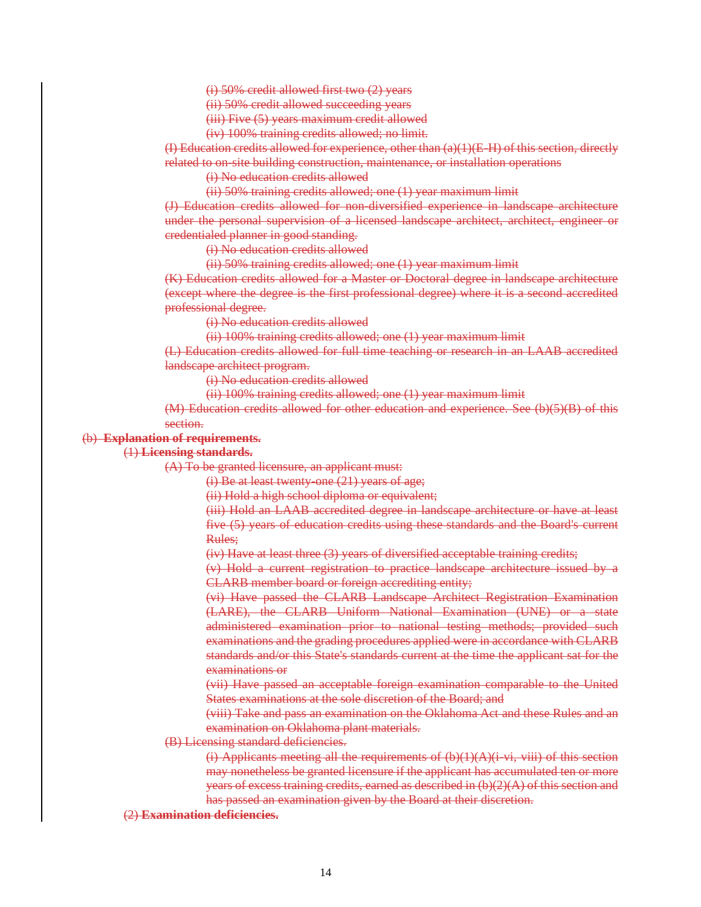(i) 50% credit allowed first two (2) years

(ii) 50% credit allowed succeeding years

(iii) Five (5) years maximum credit allowed

(iv) 100% training credits allowed; no limit.

(I) Education credits allowed for experience, other than (a)(1)(E-H) of this section, directly related to on-site building construction, maintenance, or installation operations

(i) No education credits allowed

(ii) 50% training credits allowed; one (1) year maximum limit

(J) Education credits allowed for non-diversified experience in landscape architecture under the personal supervision of a licensed landscape architect, architect, engineer or credentialed planner in good standing.

(i) No education credits allowed

(ii) 50% training credits allowed; one (1) year maximum limit

(K) Education credits allowed for a Master or Doctoral degree in landscape architecture (except where the degree is the first professional degree) where it is a second accredited professional degree.

(i) No education credits allowed

(ii) 100% training credits allowed; one (1) year maximum limit

(L) Education credits allowed for full time teaching or research in an LAAB accredited landscape architect program.

(i) No education credits allowed

(ii) 100% training credits allowed; one (1) year maximum limit

(M) Education credits allowed for other education and experience. See (b)(5)(B) of this section.

#### (b) **Explanation of requirements.**

(1) **Licensing standards.**

(A) To be granted licensure, an applicant must:

(i) Be at least twenty-one (21) years of age;

(ii) Hold a high school diploma or equivalent;

(iii) Hold an LAAB accredited degree in landscape architecture or have at least five (5) years of education credits using these standards and the Board's current Rules;

(iv) Have at least three (3) years of diversified acceptable training credits;

(v) Hold a current registration to practice landscape architecture issued by a CLARB member board or foreign accrediting entity;

(vi) Have passed the CLARB Landscape Architect Registration Examination (LARE), the CLARB Uniform National Examination (UNE) or a state administered examination prior to national testing methods; provided such examinations and the grading procedures applied were in accordance with CLARB standards and/or this State's standards current at the time the applicant sat for the examinations or

(vii) Have passed an acceptable foreign examination comparable to the United States examinations at the sole discretion of the Board; and

(viii) Take and pass an examination on the Oklahoma Act and these Rules and an examination on Oklahoma plant materials.

#### (B) Licensing standard deficiencies.

(i) Applicants meeting all the requirements of  $(b)(1)(A)(i vi, viii)$  of this section may nonetheless be granted licensure if the applicant has accumulated ten or more years of excess training credits, earned as described in (b)(2)(A) of this section and has passed an examination given by the Board at their discretion.

(2) **Examination deficiencies.**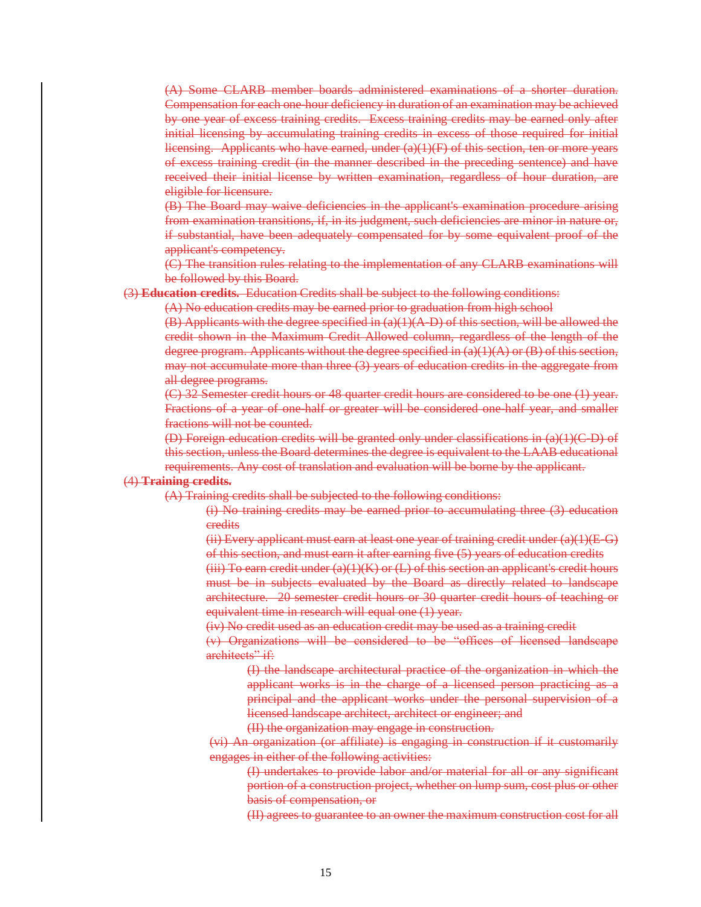(A) Some CLARB member boards administered examinations of a shorter duration. Compensation for each one-hour deficiency in duration of an examination may be achieved by one year of excess training credits. Excess training credits may be earned only after initial licensing by accumulating training credits in excess of those required for initial licensing. Applicants who have earned, under  $(a)(1)(F)$  of this section, ten or more years of excess training credit (in the manner described in the preceding sentence) and have received their initial license by written examination, regardless of hour duration, are eligible for licensure.

(B) The Board may waive deficiencies in the applicant's examination procedure arising from examination transitions, if, in its judgment, such deficiencies are minor in nature or, if substantial, have been adequately compensated for by some equivalent proof of the applicant's competency.

(C) The transition rules relating to the implementation of any CLARB examinations will be followed by this Board.

(3) **Education credits.** Education Credits shall be subject to the following conditions:

(A) No education credits may be earned prior to graduation from high school

 $(B)$  Applicants with the degree specified in  $(a)(1)(A-D)$  of this section, will be allowed the credit shown in the Maximum Credit Allowed column, regardless of the length of the degree program. Applicants without the degree specified in  $(a)(1)(A)$  or  $(B)$  of this section, may not accumulate more than three (3) years of education credits in the aggregate from all degree programs.

(C) 32 Semester credit hours or 48 quarter credit hours are considered to be one (1) year. Fractions of a year of one-half or greater will be considered one-half year, and smaller fractions will not be counted.

(D) Foreign education credits will be granted only under classifications in (a)(1)(C-D) of this section, unless the Board determines the degree is equivalent to the LAAB educational requirements. Any cost of translation and evaluation will be borne by the applicant.

#### (4) **Training credits.**

(A) Training credits shall be subjected to the following conditions:

(i) No training credits may be earned prior to accumulating three (3) education credits

(ii) Every applicant must earn at least one year of training credit under  $(a)(1)(E-G)$ of this section, and must earn it after earning five (5) years of education credits

 $(iii)$  To earn credit under  $(a)(1)(K)$  or  $(L)$  of this section an applicant's credit hours must be in subjects evaluated by the Board as directly related to landscape architecture. 20 semester credit hours or 30 quarter credit hours of teaching or equivalent time in research will equal one (1) year.

(iv) No credit used as an education credit may be used as a training credit

(v) Organizations will be considered to be "offices of licensed landscape architects" if:

> (I) the landscape architectural practice of the organization in which the applicant works is in the charge of a licensed person practicing as a principal and the applicant works under the personal supervision of a licensed landscape architect, architect or engineer; and

(II) the organization may engage in construction.

(vi) An organization (or affiliate) is engaging in construction if it customarily engages in either of the following activities:

(I) undertakes to provide labor and/or material for all or any significant portion of a construction project, whether on lump sum, cost plus or other basis of compensation, or

(II) agrees to guarantee to an owner the maximum construction cost for all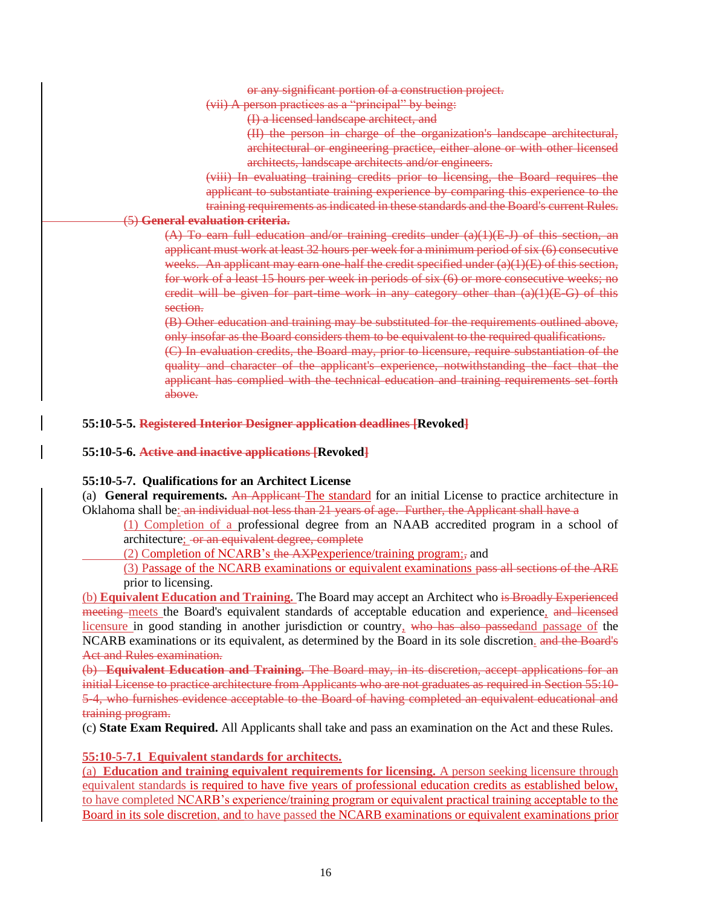or any significant portion of a construction project.

(vii) A person practices as a "principal" by being:

(I) a licensed landscape architect, and

(II) the person in charge of the organization's landscape architectural, architectural or engineering practice, either alone or with other licensed architects, landscape architects and/or engineers.

(viii) In evaluating training credits prior to licensing, the Board requires the applicant to substantiate training experience by comparing this experience to the training requirements as indicated in these standards and the Board's current Rules.

# (5) **General evaluation criteria.**

 $(A)$  To earn full education and/or training credits under  $(a)(1)(E,J)$  of this section, an applicant must work at least 32 hours per week for a minimum period of six (6) consecutive weeks. An applicant may earn one-half the credit specified under (a)(1)(E) of this section, for work of a least 15 hours per week in periods of six (6) or more consecutive weeks; no credit will be given for part-time work in any category other than  $(a)(1)(E-G)$  of this section.

(B) Other education and training may be substituted for the requirements outlined above, only insofar as the Board considers them to be equivalent to the required qualifications.

(C) In evaluation credits, the Board may, prior to licensure, require substantiation of the quality and character of the applicant's experience, notwithstanding the fact that the applicant has complied with the technical education and training requirements set forth above.

## **55:10-5-5. Registered Interior Designer application deadlines [Revoked]**

### **55:10-5-6. Active and inactive applications [Revoked]**

## **55:10-5-7. Qualifications for an Architect License**

(a) **General requirements.** An Applicant The standard for an initial License to practice architecture in Oklahoma shall be: an individual not less than 21 years of age. Further, the Applicant shall have a

(1) Completion of a professional degree from an NAAB accredited program in a school of architecture; or an equivalent degree, complete

(2) Completion of NCARB's the AXPexperience/training program;, and

(3) Passage of the NCARB examinations or equivalent examinations pass all sections of the ARE prior to licensing.

(b) **Equivalent Education and Training.** The Board may accept an Architect who is Broadly Experienced meeting meets the Board's equivalent standards of acceptable education and experience, and licensed licensure in good standing in another jurisdiction or country, who has also passed and passage of the NCARB examinations or its equivalent, as determined by the Board in its sole discretion. and the Board's Act and Rules examination.

(b) **Equivalent Education and Training.** The Board may, in its discretion, accept applications for an initial License to practice architecture from Applicants who are not graduates as required in Section 55:10- 5-4, who furnishes evidence acceptable to the Board of having completed an equivalent educational and training program.

(c) **State Exam Required.** All Applicants shall take and pass an examination on the Act and these Rules.

## **55:10-5-7.1 Equivalent standards for architects.**

(a) **Education and training equivalent requirements for licensing.** A person seeking licensure through equivalent standards is required to have five years of professional education credits as established below, to have completed NCARB's experience/training program or equivalent practical training acceptable to the Board in its sole discretion, and to have passed the NCARB examinations or equivalent examinations prior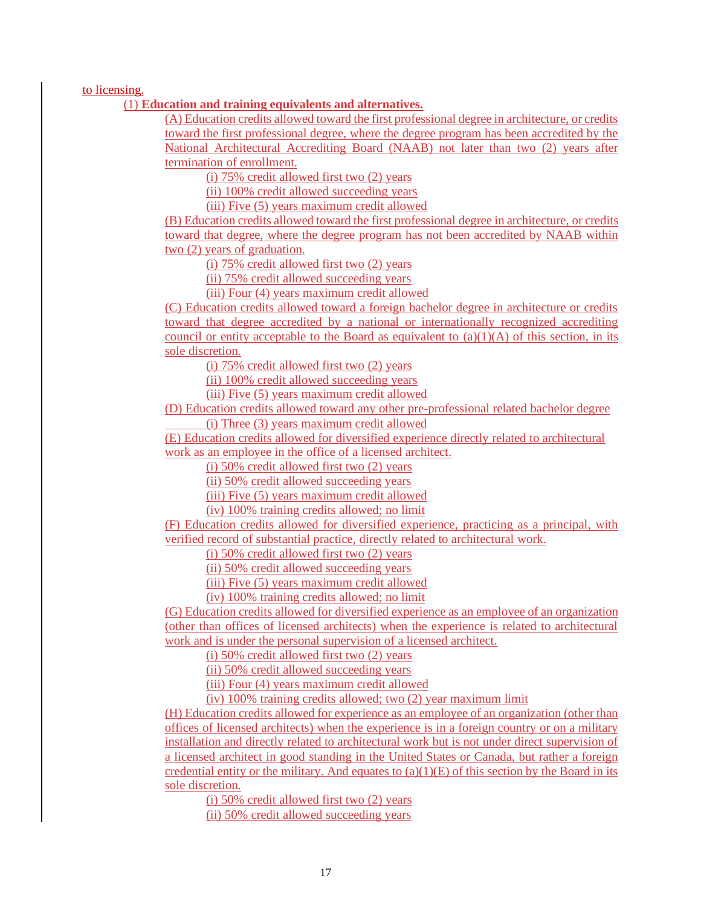to licensing.

#### (1) **Education and training equivalents and alternatives.**

(A) Education credits allowed toward the first professional degree in architecture, or credits toward the first professional degree, where the degree program has been accredited by the National Architectural Accrediting Board (NAAB) not later than two (2) years after termination of enrollment.

(i) 75% credit allowed first two (2) years

(ii) 100% credit allowed succeeding years

(iii) Five (5) years maximum credit allowed

(B) Education credits allowed toward the first professional degree in architecture, or credits toward that degree, where the degree program has not been accredited by NAAB within two (2) years of graduation.

(i)  $75\%$  credit allowed first two  $(2)$  years

(ii) 75% credit allowed succeeding years

(iii) Four (4) years maximum credit allowed

(C) Education credits allowed toward a foreign bachelor degree in architecture or credits toward that degree accredited by a national or internationally recognized accrediting council or entity acceptable to the Board as equivalent to  $(a)(1)(A)$  of this section, in its sole discretion.

(i) 75% credit allowed first two (2) years

(ii) 100% credit allowed succeeding years

(iii) Five (5) years maximum credit allowed

(D) Education credits allowed toward any other pre-professional related bachelor degree (i) Three (3) years maximum credit allowed

(E) Education credits allowed for diversified experience directly related to architectural

work as an employee in the office of a licensed architect.

(i)  $50\%$  credit allowed first two  $(2)$  years

(ii) 50% credit allowed succeeding years

(iii) Five (5) years maximum credit allowed

(iv) 100% training credits allowed; no limit

(F) Education credits allowed for diversified experience, practicing as a principal, with verified record of substantial practice, directly related to architectural work.

(i) 50% credit allowed first two (2) years

(ii) 50% credit allowed succeeding years

(iii) Five (5) years maximum credit allowed

(iv) 100% training credits allowed; no limit

(G) Education credits allowed for diversified experience as an employee of an organization (other than offices of licensed architects) when the experience is related to architectural work and is under the personal supervision of a licensed architect.

(i) 50% credit allowed first two (2) years

(ii) 50% credit allowed succeeding years

(iii) Four (4) years maximum credit allowed

(iv) 100% training credits allowed; two (2) year maximum limit

(H) Education credits allowed for experience as an employee of an organization (other than offices of licensed architects) when the experience is in a foreign country or on a military installation and directly related to architectural work but is not under direct supervision of a licensed architect in good standing in the United States or Canada, but rather a foreign credential entity or the military. And equates to  $(a)(1)(E)$  of this section by the Board in its sole discretion.

(i)  $50\%$  credit allowed first two  $(2)$  years

(ii) 50% credit allowed succeeding years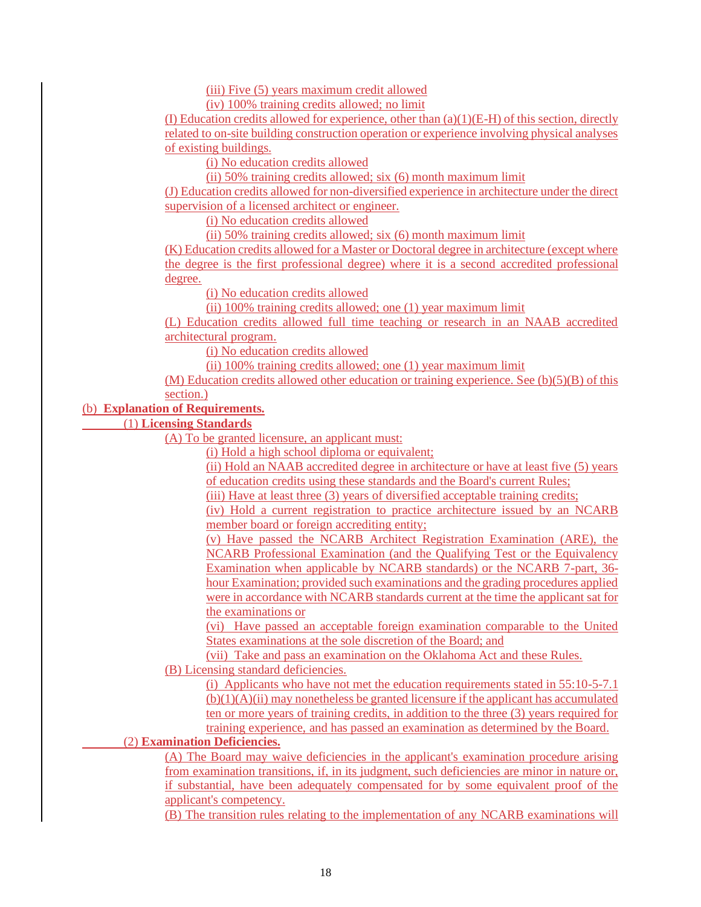(iii) Five (5) years maximum credit allowed

(iv) 100% training credits allowed; no limit

(I) Education credits allowed for experience, other than  $(a)(1)(E-H)$  of this section, directly related to on-site building construction operation or experience involving physical analyses of existing buildings.

(i) No education credits allowed

(ii) 50% training credits allowed; six (6) month maximum limit

(J) Education credits allowed for non-diversified experience in architecture under the direct supervision of a licensed architect or engineer.

(i) No education credits allowed

(ii) 50% training credits allowed; six (6) month maximum limit

(K) Education credits allowed for a Master or Doctoral degree in architecture (except where the degree is the first professional degree) where it is a second accredited professional degree.

(i) No education credits allowed

(ii) 100% training credits allowed; one (1) year maximum limit

(L) Education credits allowed full time teaching or research in an NAAB accredited architectural program.

(i) No education credits allowed

(ii) 100% training credits allowed; one (1) year maximum limit

(M) Education credits allowed other education or training experience. See (b)(5)(B) of this section.)

## (b) **Explanation of Requirements.**

(1) **Licensing Standards**

(A) To be granted licensure, an applicant must:

(i) Hold a high school diploma or equivalent;

(ii) Hold an NAAB accredited degree in architecture or have at least five (5) years of education credits using these standards and the Board's current Rules;

(iii) Have at least three (3) years of diversified acceptable training credits;

(iv) Hold a current registration to practice architecture issued by an NCARB member board or foreign accrediting entity;

(v) Have passed the NCARB Architect Registration Examination (ARE), the NCARB Professional Examination (and the Qualifying Test or the Equivalency Examination when applicable by NCARB standards) or the NCARB 7-part, 36 hour Examination; provided such examinations and the grading procedures applied were in accordance with NCARB standards current at the time the applicant sat for the examinations or

(vi) Have passed an acceptable foreign examination comparable to the United States examinations at the sole discretion of the Board; and

(vii) Take and pass an examination on the Oklahoma Act and these Rules.

(B) Licensing standard deficiencies.

(i) Applicants who have not met the education requirements stated in 55:10-5-7.1  $(b)(1)(A)(ii)$  may nonetheless be granted licensure if the applicant has accumulated ten or more years of training credits, in addition to the three (3) years required for training experience, and has passed an examination as determined by the Board.

## (2) **Examination Deficiencies.**

(A) The Board may waive deficiencies in the applicant's examination procedure arising from examination transitions, if, in its judgment, such deficiencies are minor in nature or, if substantial, have been adequately compensated for by some equivalent proof of the applicant's competency.

(B) The transition rules relating to the implementation of any NCARB examinations will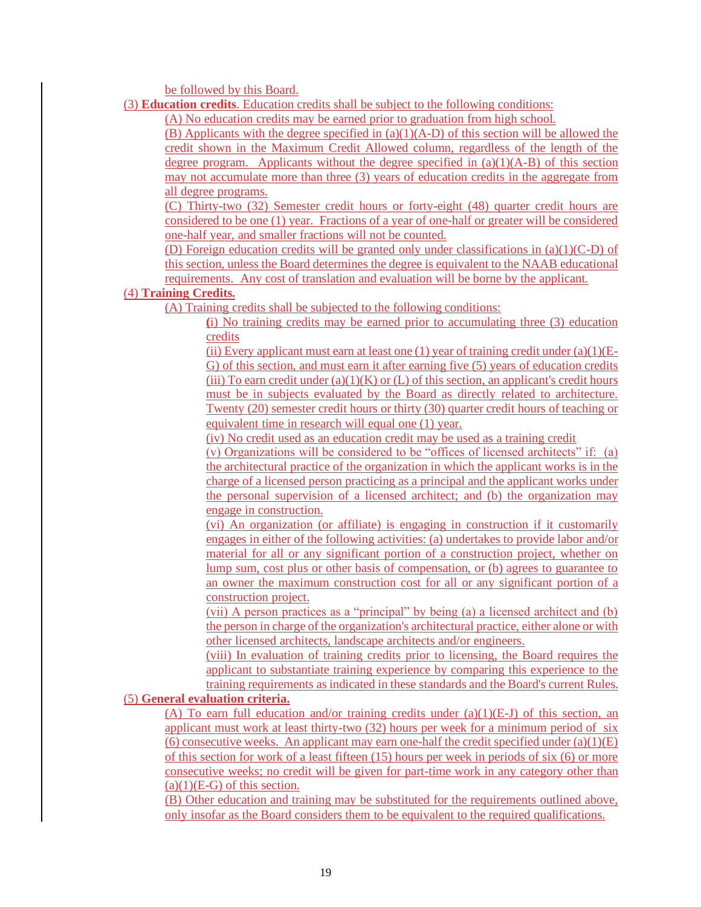be followed by this Board.

(3) **Education credits**. Education credits shall be subject to the following conditions:

(A) No education credits may be earned prior to graduation from high school.

(B) Applicants with the degree specified in  $(a)(1)(A-D)$  of this section will be allowed the credit shown in the Maximum Credit Allowed column, regardless of the length of the degree program. Applicants without the degree specified in  $(a)(1)(A-B)$  of this section may not accumulate more than three (3) years of education credits in the aggregate from all degree programs.

(C) Thirty-two (32) Semester credit hours or forty-eight (48) quarter credit hours are considered to be one (1) year. Fractions of a year of one-half or greater will be considered one-half year, and smaller fractions will not be counted.

(D) Foreign education credits will be granted only under classifications in  $(a)(1)(C-D)$  of this section, unless the Board determines the degree is equivalent to the NAAB educational requirements. Any cost of translation and evaluation will be borne by the applicant.

## (4) **Training Credits.**

(A) Training credits shall be subjected to the following conditions:

**(**i) No training credits may be earned prior to accumulating three (3) education credits

(ii) Every applicant must earn at least one (1) year of training credit under  $(a)(1)(E-$ G) of this section, and must earn it after earning five (5) years of education credits (iii) To earn credit under  $(a)(1)(K)$  or  $(L)$  of this section, an applicant's credit hours must be in subjects evaluated by the Board as directly related to architecture. Twenty (20) semester credit hours or thirty (30) quarter credit hours of teaching or equivalent time in research will equal one (1) year.

(iv) No credit used as an education credit may be used as a training credit

(v) Organizations will be considered to be "offices of licensed architects" if: (a) the architectural practice of the organization in which the applicant works is in the charge of a licensed person practicing as a principal and the applicant works under the personal supervision of a licensed architect; and (b) the organization may engage in construction.

(vi) An organization (or affiliate) is engaging in construction if it customarily engages in either of the following activities: (a) undertakes to provide labor and/or material for all or any significant portion of a construction project, whether on lump sum, cost plus or other basis of compensation, or (b) agrees to guarantee to an owner the maximum construction cost for all or any significant portion of a construction project.

(vii) A person practices as a "principal" by being (a) a licensed architect and (b) the person in charge of the organization's architectural practice, either alone or with other licensed architects, landscape architects and/or engineers.

(viii) In evaluation of training credits prior to licensing, the Board requires the applicant to substantiate training experience by comparing this experience to the training requirements as indicated in these standards and the Board's current Rules.

## (5) **General evaluation criteria.**

(A) To earn full education and/or training credits under  $(a)(1)(E-J)$  of this section, an applicant must work at least thirty-two (32) hours per week for a minimum period of six (6) consecutive weeks. An applicant may earn one-half the credit specified under  $(a)(1)(E)$ of this section for work of a least fifteen (15) hours per week in periods of six (6) or more consecutive weeks; no credit will be given for part-time work in any category other than  $(a)(1)(E-G)$  of this section.

(B) Other education and training may be substituted for the requirements outlined above, only insofar as the Board considers them to be equivalent to the required qualifications.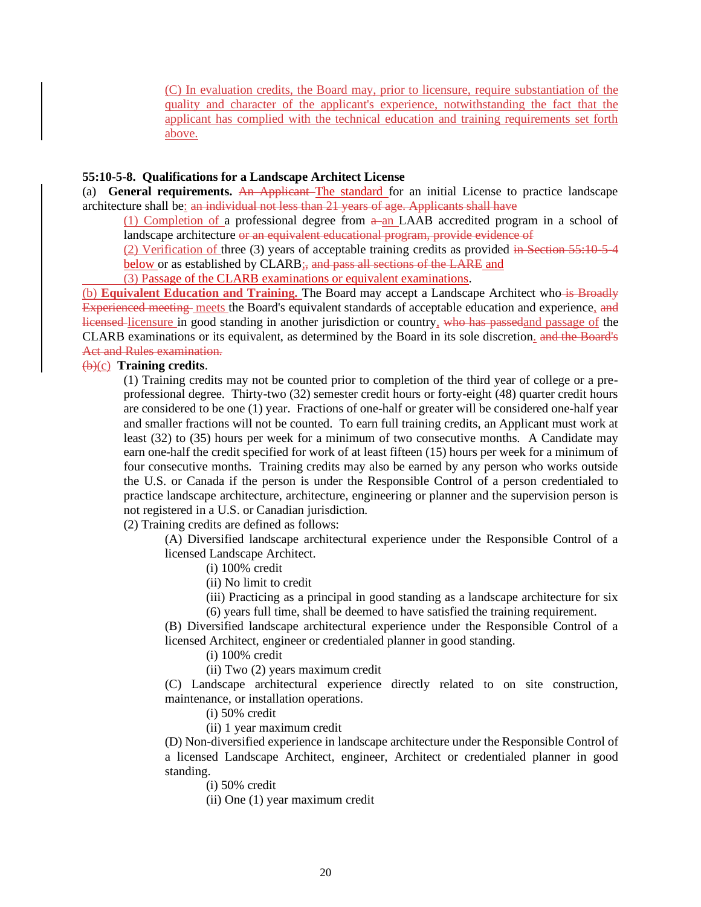(C) In evaluation credits, the Board may, prior to licensure, require substantiation of the quality and character of the applicant's experience, notwithstanding the fact that the applicant has complied with the technical education and training requirements set forth above.

#### **55:10-5-8. Qualifications for a Landscape Architect License**

(a) **General requirements.** An Applicant The standard for an initial License to practice landscape architecture shall be: an individual not less than 21 years of age. Applicants shall have

(1) Completion of a professional degree from  $a$ -an LAAB accredited program in a school of landscape architecture or an equivalent educational program, provide evidence of

(2) Verification of three (3) years of acceptable training credits as provided in Section 55:10-5-4 below or as established by CLARB; and pass all sections of the LARE and

(3) Passage of the CLARB examinations or equivalent examinations.

(b) **Equivalent Education and Training.** The Board may accept a Landscape Architect who is Broadly Experienced meeting meets the Board's equivalent standards of acceptable education and experience, and licensed licensure in good standing in another jurisdiction or country, who has passedand passage of the CLARB examinations or its equivalent, as determined by the Board in its sole discretion. and the Board's Act and Rules examination.

## (b)(c) **Training credits**.

(1) Training credits may not be counted prior to completion of the third year of college or a preprofessional degree. Thirty-two (32) semester credit hours or forty-eight (48) quarter credit hours are considered to be one (1) year. Fractions of one-half or greater will be considered one-half year and smaller fractions will not be counted. To earn full training credits, an Applicant must work at least (32) to (35) hours per week for a minimum of two consecutive months. A Candidate may earn one-half the credit specified for work of at least fifteen (15) hours per week for a minimum of four consecutive months. Training credits may also be earned by any person who works outside the U.S. or Canada if the person is under the Responsible Control of a person credentialed to practice landscape architecture, architecture, engineering or planner and the supervision person is not registered in a U.S. or Canadian jurisdiction.

(2) Training credits are defined as follows:

(A) Diversified landscape architectural experience under the Responsible Control of a licensed Landscape Architect.

(i) 100% credit

(ii) No limit to credit

(iii) Practicing as a principal in good standing as a landscape architecture for six

(6) years full time, shall be deemed to have satisfied the training requirement.

(B) Diversified landscape architectural experience under the Responsible Control of a licensed Architect, engineer or credentialed planner in good standing.

(i) 100% credit

(ii) Two (2) years maximum credit

(C) Landscape architectural experience directly related to on site construction, maintenance, or installation operations.

(i) 50% credit

(ii) 1 year maximum credit

(D) Non-diversified experience in landscape architecture under the Responsible Control of a licensed Landscape Architect, engineer, Architect or credentialed planner in good standing.

(i) 50% credit

(ii) One (1) year maximum credit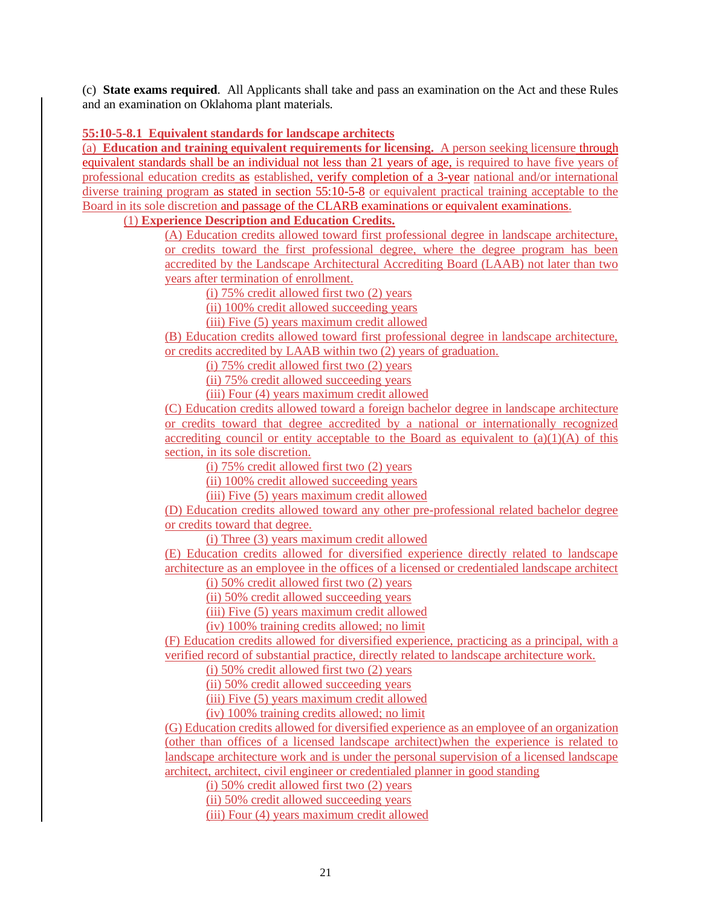(c) **State exams required**. All Applicants shall take and pass an examination on the Act and these Rules and an examination on Oklahoma plant materials.

## **55:10-5-8.1 Equivalent standards for landscape architects**

(a) **Education and training equivalent requirements for licensing.** A person seeking licensure through equivalent standards shall be an individual not less than 21 years of age, is required to have five years of professional education credits as established, verify completion of a 3-year national and/or international diverse training program as stated in section 55:10-5-8 or equivalent practical training acceptable to the Board in its sole discretion and passage of the CLARB examinations or equivalent examinations.

## (1) **Experience Description and Education Credits.**

(A) Education credits allowed toward first professional degree in landscape architecture, or credits toward the first professional degree, where the degree program has been accredited by the Landscape Architectural Accrediting Board (LAAB) not later than two years after termination of enrollment.

(i) 75% credit allowed first two (2) years

(ii) 100% credit allowed succeeding years

(iii) Five (5) years maximum credit allowed

(B) Education credits allowed toward first professional degree in landscape architecture, or credits accredited by LAAB within two (2) years of graduation.

(i) 75% credit allowed first two (2) years

(ii) 75% credit allowed succeeding years

(iii) Four (4) years maximum credit allowed

(C) Education credits allowed toward a foreign bachelor degree in landscape architecture or credits toward that degree accredited by a national or internationally recognized accrediting council or entity acceptable to the Board as equivalent to  $(a)(1)(A)$  of this section, in its sole discretion.

(i)  $75\%$  credit allowed first two  $(2)$  years

(ii) 100% credit allowed succeeding years

(iii) Five (5) years maximum credit allowed

(D) Education credits allowed toward any other pre-professional related bachelor degree or credits toward that degree.

(i) Three (3) years maximum credit allowed

(E) Education credits allowed for diversified experience directly related to landscape architecture as an employee in the offices of a licensed or credentialed landscape architect

(i) 50% credit allowed first two (2) years

(ii) 50% credit allowed succeeding years

(iii) Five (5) years maximum credit allowed

(iv) 100% training credits allowed; no limit

(F) Education credits allowed for diversified experience, practicing as a principal, with a verified record of substantial practice, directly related to landscape architecture work.

(i) 50% credit allowed first two (2) years

(ii) 50% credit allowed succeeding years

(iii) Five (5) years maximum credit allowed

(iv) 100% training credits allowed; no limit

(G) Education credits allowed for diversified experience as an employee of an organization (other than offices of a licensed landscape architect)when the experience is related to landscape architecture work and is under the personal supervision of a licensed landscape architect, architect, civil engineer or credentialed planner in good standing

(i) 50% credit allowed first two (2) years

(ii) 50% credit allowed succeeding years

(iii) Four (4) years maximum credit allowed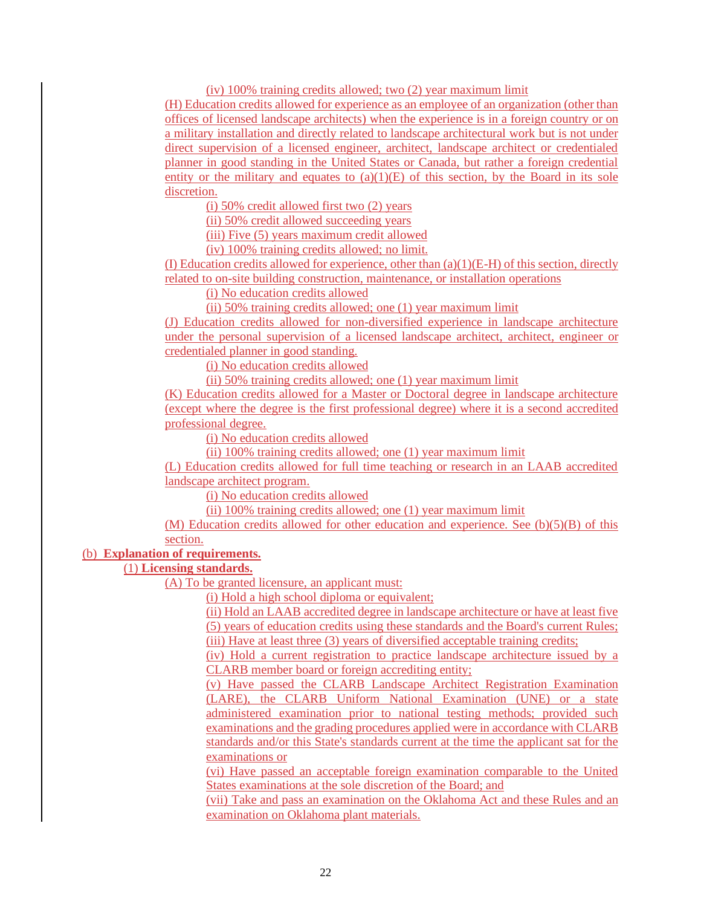(iv) 100% training credits allowed; two (2) year maximum limit

(H) Education credits allowed for experience as an employee of an organization (other than offices of licensed landscape architects) when the experience is in a foreign country or on a military installation and directly related to landscape architectural work but is not under direct supervision of a licensed engineer, architect, landscape architect or credentialed planner in good standing in the United States or Canada, but rather a foreign credential entity or the military and equates to  $(a)(1)(E)$  of this section, by the Board in its sole discretion.

(i) 50% credit allowed first two (2) years

(ii) 50% credit allowed succeeding years

(iii) Five (5) years maximum credit allowed

(iv) 100% training credits allowed; no limit.

(I) Education credits allowed for experience, other than  $(a)(1)(E-H)$  of this section, directly related to on-site building construction, maintenance, or installation operations

(i) No education credits allowed

(ii) 50% training credits allowed; one (1) year maximum limit

(J) Education credits allowed for non-diversified experience in landscape architecture under the personal supervision of a licensed landscape architect, architect, engineer or credentialed planner in good standing.

(i) No education credits allowed

(ii) 50% training credits allowed; one (1) year maximum limit

(K) Education credits allowed for a Master or Doctoral degree in landscape architecture (except where the degree is the first professional degree) where it is a second accredited professional degree.

(i) No education credits allowed

(ii) 100% training credits allowed; one (1) year maximum limit

(L) Education credits allowed for full time teaching or research in an LAAB accredited landscape architect program.

(i) No education credits allowed

(ii) 100% training credits allowed; one (1) year maximum limit

(M) Education credits allowed for other education and experience. See  $(b)(5)(B)$  of this section.

## (b) **Explanation of requirements.**

(1) **Licensing standards.**

(A) To be granted licensure, an applicant must:

(i) Hold a high school diploma or equivalent;

(ii) Hold an LAAB accredited degree in landscape architecture or have at least five (5) years of education credits using these standards and the Board's current Rules; (iii) Have at least three (3) years of diversified acceptable training credits;

(iv) Hold a current registration to practice landscape architecture issued by a CLARB member board or foreign accrediting entity;

(v) Have passed the CLARB Landscape Architect Registration Examination (LARE), the CLARB Uniform National Examination (UNE) or a state administered examination prior to national testing methods; provided such examinations and the grading procedures applied were in accordance with CLARB standards and/or this State's standards current at the time the applicant sat for the examinations or

(vi) Have passed an acceptable foreign examination comparable to the United States examinations at the sole discretion of the Board; and

(vii) Take and pass an examination on the Oklahoma Act and these Rules and an examination on Oklahoma plant materials.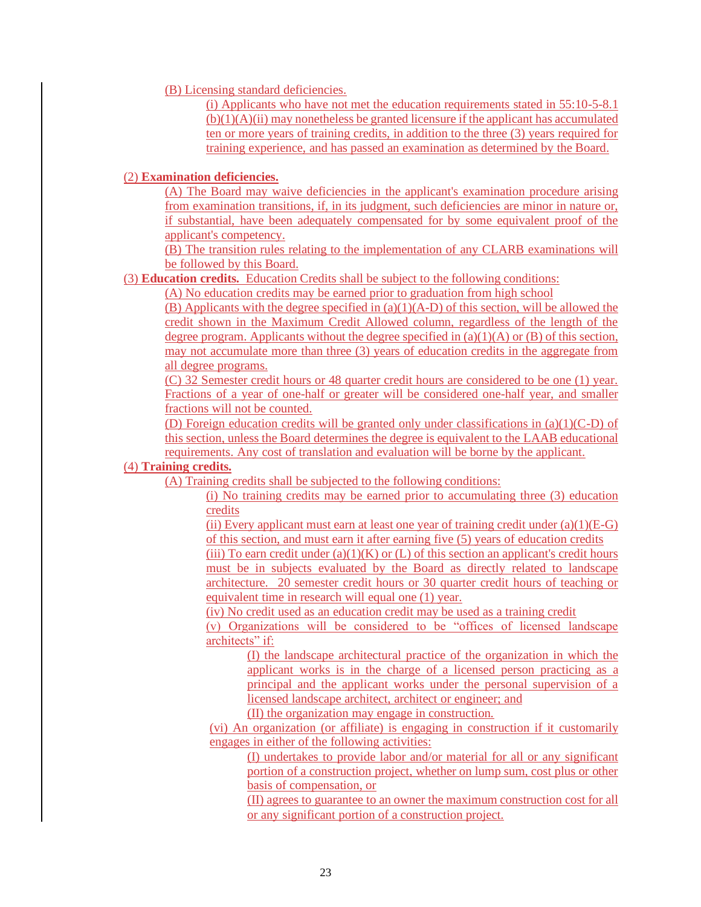### (B) Licensing standard deficiencies.

(i) Applicants who have not met the education requirements stated in 55:10-5-8.1  $(b)(1)(A)(ii)$  may nonetheless be granted licensure if the applicant has accumulated ten or more years of training credits, in addition to the three (3) years required for training experience, and has passed an examination as determined by the Board.

## (2) **Examination deficiencies.**

(A) The Board may waive deficiencies in the applicant's examination procedure arising from examination transitions, if, in its judgment, such deficiencies are minor in nature or, if substantial, have been adequately compensated for by some equivalent proof of the applicant's competency.

(B) The transition rules relating to the implementation of any CLARB examinations will be followed by this Board.

## (3) **Education credits.** Education Credits shall be subject to the following conditions:

(A) No education credits may be earned prior to graduation from high school

(B) Applicants with the degree specified in  $(a)(1)(A-D)$  of this section, will be allowed the credit shown in the Maximum Credit Allowed column, regardless of the length of the degree program. Applicants without the degree specified in  $(a)(1)(A)$  or  $(B)$  of this section, may not accumulate more than three (3) years of education credits in the aggregate from all degree programs.

(C) 32 Semester credit hours or 48 quarter credit hours are considered to be one (1) year. Fractions of a year of one-half or greater will be considered one-half year, and smaller fractions will not be counted.

(D) Foreign education credits will be granted only under classifications in  $(a)(1)(C-D)$  of this section, unless the Board determines the degree is equivalent to the LAAB educational requirements. Any cost of translation and evaluation will be borne by the applicant.

## (4) **Training credits.**

(A) Training credits shall be subjected to the following conditions:

(i) No training credits may be earned prior to accumulating three (3) education credits

(ii) Every applicant must earn at least one year of training credit under  $(a)(1)(E-G)$ of this section, and must earn it after earning five (5) years of education credits

(iii) To earn credit under (a)(1)(K) or (L) of this section an applicant's credit hours must be in subjects evaluated by the Board as directly related to landscape architecture. 20 semester credit hours or 30 quarter credit hours of teaching or equivalent time in research will equal one (1) year.

(iv) No credit used as an education credit may be used as a training credit

(v) Organizations will be considered to be "offices of licensed landscape architects" if:

(I) the landscape architectural practice of the organization in which the applicant works is in the charge of a licensed person practicing as a principal and the applicant works under the personal supervision of a licensed landscape architect, architect or engineer; and

(II) the organization may engage in construction.

(vi) An organization (or affiliate) is engaging in construction if it customarily engages in either of the following activities:

(I) undertakes to provide labor and/or material for all or any significant portion of a construction project, whether on lump sum, cost plus or other basis of compensation, or

(II) agrees to guarantee to an owner the maximum construction cost for all or any significant portion of a construction project.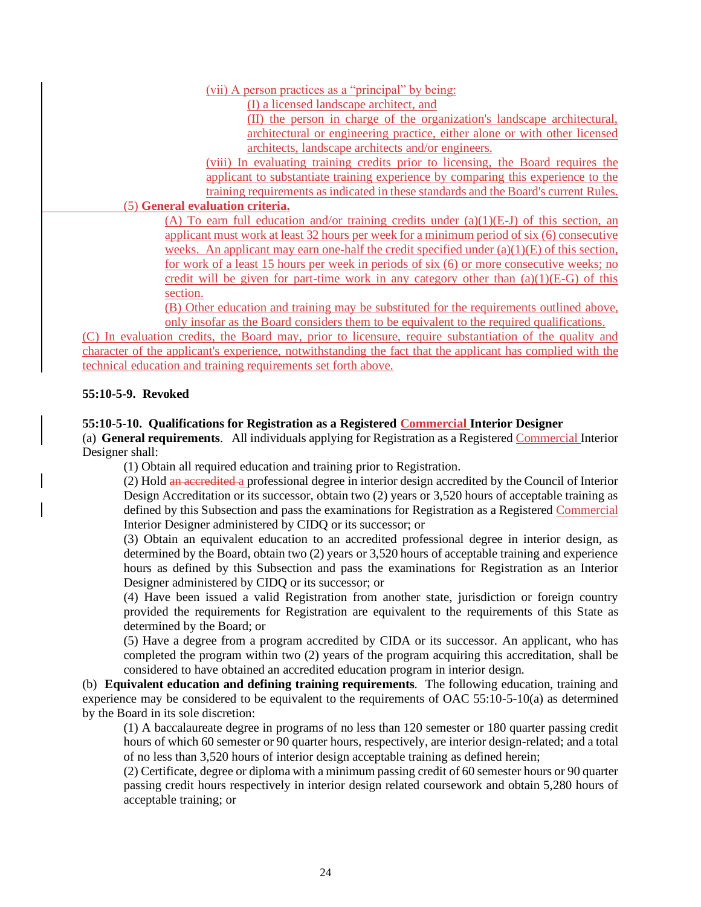## (vii) A person practices as a "principal" by being:

(I) a licensed landscape architect, and

(II) the person in charge of the organization's landscape architectural, architectural or engineering practice, either alone or with other licensed architects, landscape architects and/or engineers.

(viii) In evaluating training credits prior to licensing, the Board requires the applicant to substantiate training experience by comparing this experience to the training requirements as indicated in these standards and the Board's current Rules.

# (5) **General evaluation criteria.**

(A) To earn full education and/or training credits under  $(a)(1)(E-J)$  of this section, an applicant must work at least 32 hours per week for a minimum period of six (6) consecutive weeks. An applicant may earn one-half the credit specified under  $(a)(1)(E)$  of this section, for work of a least 15 hours per week in periods of six (6) or more consecutive weeks; no credit will be given for part-time work in any category other than  $(a)(1)(E-G)$  of this section.

(B) Other education and training may be substituted for the requirements outlined above, only insofar as the Board considers them to be equivalent to the required qualifications.

(C) In evaluation credits, the Board may, prior to licensure, require substantiation of the quality and character of the applicant's experience, notwithstanding the fact that the applicant has complied with the technical education and training requirements set forth above.

## **55:10-5-9. Revoked**

## **55:10-5-10. Qualifications for Registration as a Registered Commercial Interior Designer**

(a) **General requirements**. All individuals applying for Registration as a Registered Commercial Interior Designer shall:

(1) Obtain all required education and training prior to Registration.

(2) Hold an accredited a professional degree in interior design accredited by the Council of Interior Design Accreditation or its successor, obtain two (2) years or 3,520 hours of acceptable training as defined by this Subsection and pass the examinations for Registration as a Registered Commercial Interior Designer administered by CIDQ or its successor; or

(3) Obtain an equivalent education to an accredited professional degree in interior design, as determined by the Board, obtain two (2) years or 3,520 hours of acceptable training and experience hours as defined by this Subsection and pass the examinations for Registration as an Interior Designer administered by CIDQ or its successor; or

(4) Have been issued a valid Registration from another state, jurisdiction or foreign country provided the requirements for Registration are equivalent to the requirements of this State as determined by the Board; or

(5) Have a degree from a program accredited by CIDA or its successor. An applicant, who has completed the program within two (2) years of the program acquiring this accreditation, shall be considered to have obtained an accredited education program in interior design.

(b) **Equivalent education and defining training requirements**.The following education, training and experience may be considered to be equivalent to the requirements of OAC 55:10-5-10(a) as determined by the Board in its sole discretion:

(1) A baccalaureate degree in programs of no less than 120 semester or 180 quarter passing credit hours of which 60 semester or 90 quarter hours, respectively, are interior design-related; and a total of no less than 3,520 hours of interior design acceptable training as defined herein;

(2) Certificate, degree or diploma with a minimum passing credit of 60 semester hours or 90 quarter passing credit hours respectively in interior design related coursework and obtain 5,280 hours of acceptable training; or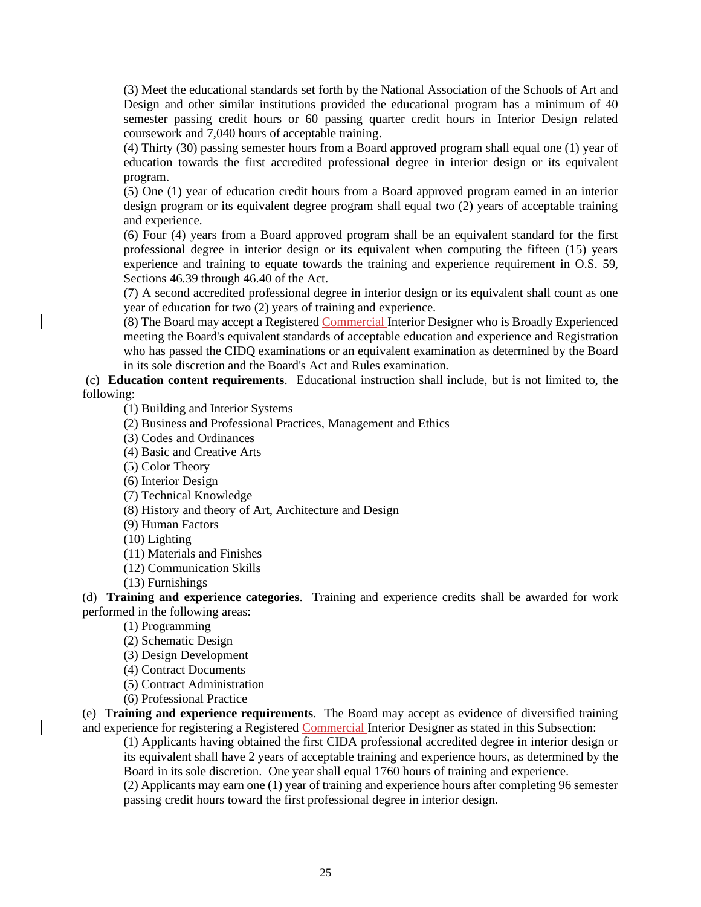(3) Meet the educational standards set forth by the National Association of the Schools of Art and Design and other similar institutions provided the educational program has a minimum of 40 semester passing credit hours or 60 passing quarter credit hours in Interior Design related coursework and 7,040 hours of acceptable training.

(4) Thirty (30) passing semester hours from a Board approved program shall equal one (1) year of education towards the first accredited professional degree in interior design or its equivalent program.

(5) One (1) year of education credit hours from a Board approved program earned in an interior design program or its equivalent degree program shall equal two (2) years of acceptable training and experience.

(6) Four (4) years from a Board approved program shall be an equivalent standard for the first professional degree in interior design or its equivalent when computing the fifteen (15) years experience and training to equate towards the training and experience requirement in O.S. 59, Sections 46.39 through 46.40 of the Act.

(7) A second accredited professional degree in interior design or its equivalent shall count as one year of education for two (2) years of training and experience.

(8) The Board may accept a Registered Commercial Interior Designer who is Broadly Experienced meeting the Board's equivalent standards of acceptable education and experience and Registration who has passed the CIDQ examinations or an equivalent examination as determined by the Board in its sole discretion and the Board's Act and Rules examination.

(c) **Education content requirements**. Educational instruction shall include, but is not limited to, the following:

(1) Building and Interior Systems

(2) Business and Professional Practices, Management and Ethics

(3) Codes and Ordinances

(4) Basic and Creative Arts

(5) Color Theory

(6) Interior Design

(7) Technical Knowledge

(8) History and theory of Art, Architecture and Design

(9) Human Factors

(10) Lighting

(11) Materials and Finishes

(12) Communication Skills

(13) Furnishings

(d) **Training and experience categories**. Training and experience credits shall be awarded for work performed in the following areas:

(1) Programming

(2) Schematic Design

(3) Design Development

(4) Contract Documents

(5) Contract Administration

(6) Professional Practice

(e) **Training and experience requirements**. The Board may accept as evidence of diversified training and experience for registering a Registered Commercial Interior Designer as stated in this Subsection:

(1) Applicants having obtained the first CIDA professional accredited degree in interior design or its equivalent shall have 2 years of acceptable training and experience hours, as determined by the Board in its sole discretion. One year shall equal 1760 hours of training and experience.

(2) Applicants may earn one (1) year of training and experience hours after completing 96 semester passing credit hours toward the first professional degree in interior design.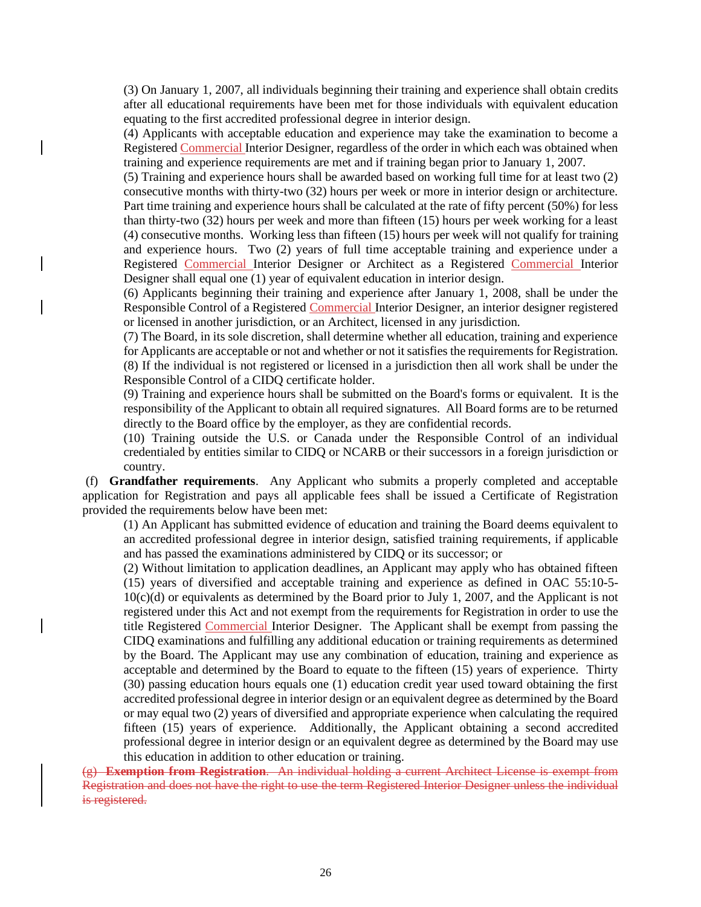(3) On January 1, 2007, all individuals beginning their training and experience shall obtain credits after all educational requirements have been met for those individuals with equivalent education equating to the first accredited professional degree in interior design.

(4) Applicants with acceptable education and experience may take the examination to become a Registered Commercial Interior Designer, regardless of the order in which each was obtained when training and experience requirements are met and if training began prior to January 1, 2007.

(5) Training and experience hours shall be awarded based on working full time for at least two (2) consecutive months with thirty-two (32) hours per week or more in interior design or architecture. Part time training and experience hours shall be calculated at the rate of fifty percent (50%) for less than thirty-two (32) hours per week and more than fifteen (15) hours per week working for a least (4) consecutive months. Working less than fifteen (15) hours per week will not qualify for training and experience hours. Two (2) years of full time acceptable training and experience under a Registered Commercial Interior Designer or Architect as a Registered Commercial Interior Designer shall equal one (1) year of equivalent education in interior design.

(6) Applicants beginning their training and experience after January 1, 2008, shall be under the Responsible Control of a Registered Commercial Interior Designer, an interior designer registered or licensed in another jurisdiction, or an Architect, licensed in any jurisdiction.

(7) The Board, in its sole discretion, shall determine whether all education, training and experience for Applicants are acceptable or not and whether or not it satisfies the requirements for Registration. (8) If the individual is not registered or licensed in a jurisdiction then all work shall be under the Responsible Control of a CIDQ certificate holder.

(9) Training and experience hours shall be submitted on the Board's forms or equivalent. It is the responsibility of the Applicant to obtain all required signatures. All Board forms are to be returned directly to the Board office by the employer, as they are confidential records.

(10) Training outside the U.S. or Canada under the Responsible Control of an individual credentialed by entities similar to CIDQ or NCARB or their successors in a foreign jurisdiction or country.

(f) **Grandfather requirements**. Any Applicant who submits a properly completed and acceptable application for Registration and pays all applicable fees shall be issued a Certificate of Registration provided the requirements below have been met:

(1) An Applicant has submitted evidence of education and training the Board deems equivalent to an accredited professional degree in interior design, satisfied training requirements, if applicable and has passed the examinations administered by CIDQ or its successor; or

(2) Without limitation to application deadlines, an Applicant may apply who has obtained fifteen (15) years of diversified and acceptable training and experience as defined in OAC 55:10-5- 10(c)(d) or equivalents as determined by the Board prior to July 1, 2007, and the Applicant is not registered under this Act and not exempt from the requirements for Registration in order to use the title Registered Commercial Interior Designer. The Applicant shall be exempt from passing the CIDQ examinations and fulfilling any additional education or training requirements as determined by the Board. The Applicant may use any combination of education, training and experience as acceptable and determined by the Board to equate to the fifteen (15) years of experience. Thirty (30) passing education hours equals one (1) education credit year used toward obtaining the first accredited professional degree in interior design or an equivalent degree as determined by the Board or may equal two (2) years of diversified and appropriate experience when calculating the required fifteen (15) years of experience. Additionally, the Applicant obtaining a second accredited professional degree in interior design or an equivalent degree as determined by the Board may use this education in addition to other education or training.

(g) **Exemption from Registration**. An individual holding a current Architect License is exempt from Registration and does not have the right to use the term Registered Interior Designer unless the individual is registered.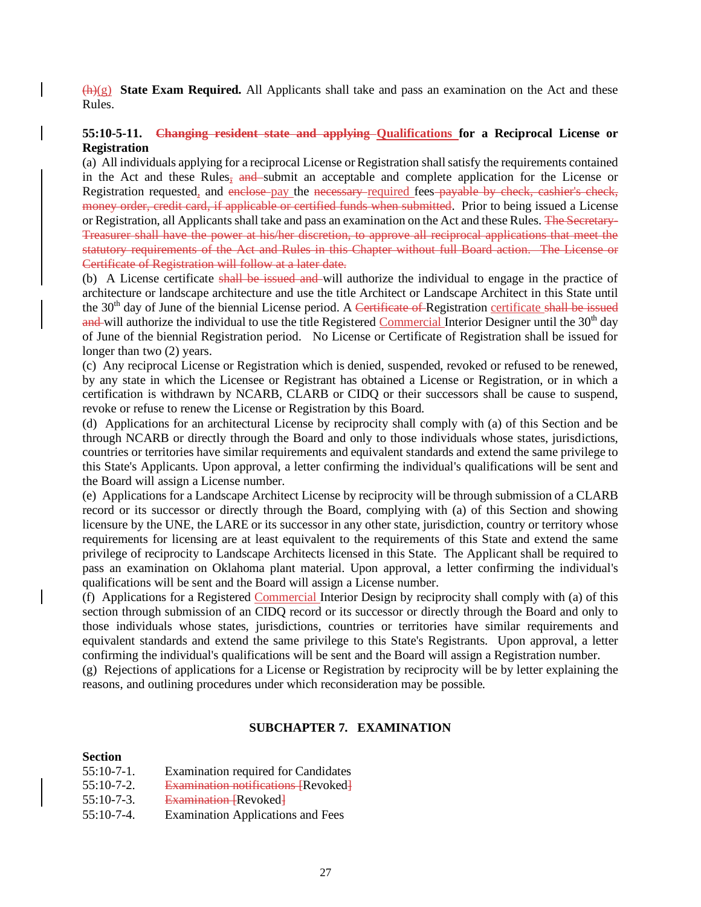$\bigoplus$ (g) **State Exam Required.** All Applicants shall take and pass an examination on the Act and these Rules.

## **55:10-5-11. Changing resident state and applying Qualifications for a Reciprocal License or Registration**

(a) All individuals applying for a reciprocal License or Registration shall satisfy the requirements contained in the Act and these Rules, and submit an acceptable and complete application for the License or Registration requested, and enclose pay the necessary required fees payable by check, cashier's check, money order, credit card, if applicable or certified funds when submitted. Prior to being issued a License or Registration, all Applicants shall take and pass an examination on the Act and these Rules. The Secretary-Treasurer shall have the power at his/her discretion, to approve all reciprocal applications that meet the statutory requirements of the Act and Rules in this Chapter without full Board action. The License or Certificate of Registration will follow at a later date.

(b) A License certificate shall be issued and will authorize the individual to engage in the practice of architecture or landscape architecture and use the title Architect or Landscape Architect in this State until the  $30<sup>th</sup>$  day of June of the biennial License period. A Certificate of Registration certificate shall be issued and will authorize the individual to use the title Registered Commercial Interior Designer until the  $30<sup>th</sup>$  day of June of the biennial Registration period. No License or Certificate of Registration shall be issued for longer than two (2) years.

(c) Any reciprocal License or Registration which is denied, suspended, revoked or refused to be renewed, by any state in which the Licensee or Registrant has obtained a License or Registration, or in which a certification is withdrawn by NCARB, CLARB or CIDQ or their successors shall be cause to suspend, revoke or refuse to renew the License or Registration by this Board.

(d) Applications for an architectural License by reciprocity shall comply with (a) of this Section and be through NCARB or directly through the Board and only to those individuals whose states, jurisdictions, countries or territories have similar requirements and equivalent standards and extend the same privilege to this State's Applicants. Upon approval, a letter confirming the individual's qualifications will be sent and the Board will assign a License number.

(e) Applications for a Landscape Architect License by reciprocity will be through submission of a CLARB record or its successor or directly through the Board, complying with (a) of this Section and showing licensure by the UNE, the LARE or its successor in any other state, jurisdiction, country or territory whose requirements for licensing are at least equivalent to the requirements of this State and extend the same privilege of reciprocity to Landscape Architects licensed in this State. The Applicant shall be required to pass an examination on Oklahoma plant material. Upon approval, a letter confirming the individual's qualifications will be sent and the Board will assign a License number.

(f) Applications for a Registered Commercial Interior Design by reciprocity shall comply with (a) of this section through submission of an CIDQ record or its successor or directly through the Board and only to those individuals whose states, jurisdictions, countries or territories have similar requirements and equivalent standards and extend the same privilege to this State's Registrants. Upon approval, a letter confirming the individual's qualifications will be sent and the Board will assign a Registration number.

(g) Rejections of applications for a License or Registration by reciprocity will be by letter explaining the reasons, and outlining procedures under which reconsideration may be possible.

### **SUBCHAPTER 7. EXAMINATION**

### **Section**

55:10-7-1. Examination required for Candidates 55:10-7-2. Examination notifications [Revoked] 55:10-7-3. Examination [Revoked] 55:10-7-4. Examination Applications and Fees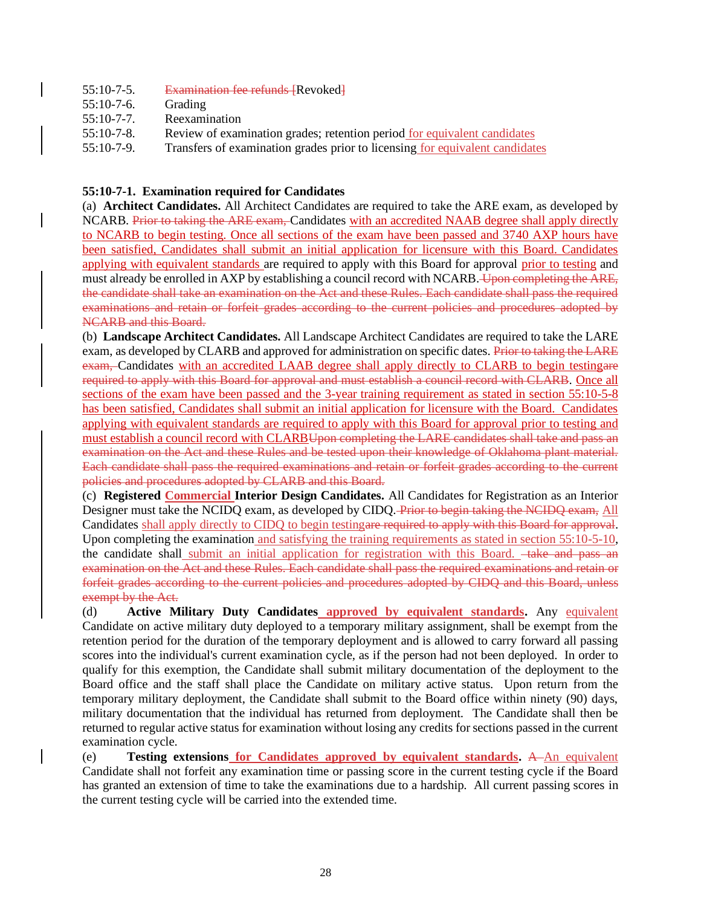| $55:10-7-5$ . | <b>Examination fee refunds [Revoked]</b>                                     |
|---------------|------------------------------------------------------------------------------|
| $55:10-7-6$ . | Grading                                                                      |
| $55:10-7-7$ . | Reexamination                                                                |
| $55:10-7-8$ . | Review of examination grades; retention period for equivalent candidates     |
| $55:10-7-9.$  | Transfers of examination grades prior to licensing for equivalent candidates |

## **55:10-7-1. Examination required for Candidates**

(a) **Architect Candidates.** All Architect Candidates are required to take the ARE exam, as developed by NCARB. Prior to taking the ARE exam, Candidates with an accredited NAAB degree shall apply directly to NCARB to begin testing. Once all sections of the exam have been passed and 3740 AXP hours have been satisfied, Candidates shall submit an initial application for licensure with this Board. Candidates applying with equivalent standards are required to apply with this Board for approval prior to testing and must already be enrolled in AXP by establishing a council record with NCARB. Upon completing the ARE, the candidate shall take an examination on the Act and these Rules. Each candidate shall pass the required examinations and retain or forfeit grades according to the current policies and procedures adopted by NCARB and this Board.

(b) **Landscape Architect Candidates.** All Landscape Architect Candidates are required to take the LARE exam, as developed by CLARB and approved for administration on specific dates. Prior to taking the LARE exam, Candidates with an accredited LAAB degree shall apply directly to CLARB to begin testingare required to apply with this Board for approval and must establish a council record with CLARB. Once all sections of the exam have been passed and the 3-year training requirement as stated in section 55:10-5-8 has been satisfied, Candidates shall submit an initial application for licensure with the Board. Candidates applying with equivalent standards are required to apply with this Board for approval prior to testing and must establish a council record with CLARBUpon completing the LARE candidates shall take and pass an examination on the Act and these Rules and be tested upon their knowledge of Oklahoma plant material. Each candidate shall pass the required examinations and retain or forfeit grades according to the current policies and procedures adopted by CLARB and this Board.

(c) **Registered Commercial Interior Design Candidates.** All Candidates for Registration as an Interior Designer must take the NCIDQ exam, as developed by CIDQ. Prior to begin taking the NCIDQ exam, All Candidates shall apply directly to CIDQ to begin testingare required to apply with this Board for approval. Upon completing the examination and satisfying the training requirements as stated in section 55:10-5-10, the candidate shall submit an initial application for registration with this Board.  $-\text{take and pass an}$ examination on the Act and these Rules. Each candidate shall pass the required examinations and retain or forfeit grades according to the current policies and procedures adopted by CIDQ and this Board, unless exempt by the Act.

(d) **Active Military Duty Candidates approved by equivalent standards.** Any equivalent Candidate on active military duty deployed to a temporary military assignment, shall be exempt from the retention period for the duration of the temporary deployment and is allowed to carry forward all passing scores into the individual's current examination cycle, as if the person had not been deployed. In order to qualify for this exemption, the Candidate shall submit military documentation of the deployment to the Board office and the staff shall place the Candidate on military active status. Upon return from the temporary military deployment, the Candidate shall submit to the Board office within ninety (90) days, military documentation that the individual has returned from deployment. The Candidate shall then be returned to regular active status for examination without losing any credits for sections passed in the current examination cycle.

(e) **Testing extensions for Candidates approved by equivalent standards.** A An equivalent Candidate shall not forfeit any examination time or passing score in the current testing cycle if the Board has granted an extension of time to take the examinations due to a hardship. All current passing scores in the current testing cycle will be carried into the extended time.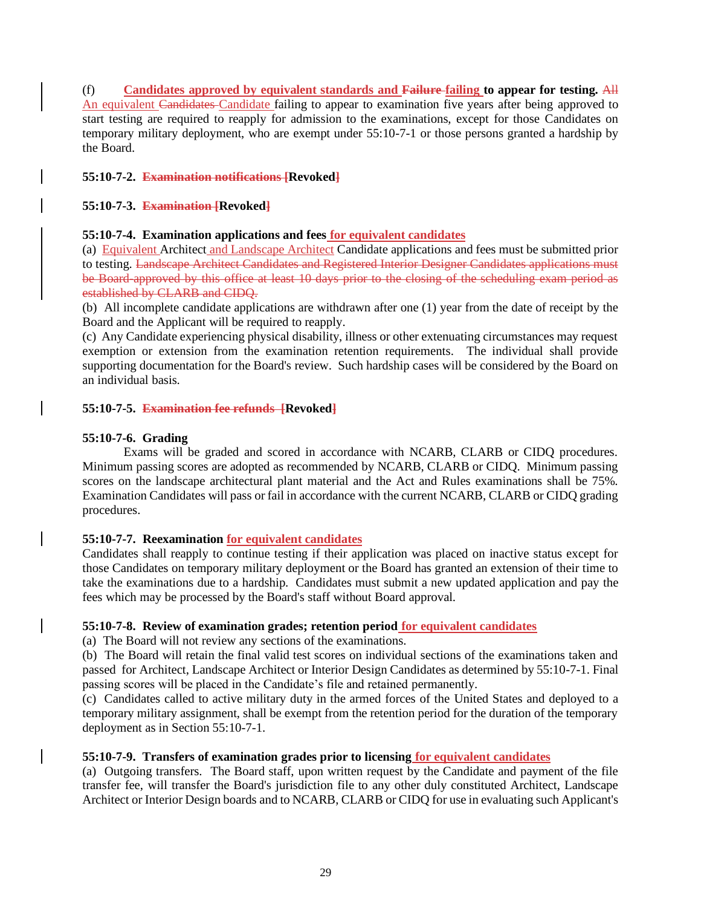(f) **Candidates approved by equivalent standards and Failure failing to appear for testing.** All An equivalent Candidates Candidate failing to appear to examination five years after being approved to start testing are required to reapply for admission to the examinations, except for those Candidates on temporary military deployment, who are exempt under 55:10-7-1 or those persons granted a hardship by the Board.

## **55:10-7-2. Examination notifications [Revoked]**

## **55:10-7-3. Examination [Revoked]**

## **55:10-7-4. Examination applications and fees for equivalent candidates**

(a) Equivalent Architect and Landscape Architect Candidate applications and fees must be submitted prior to testing. Landscape Architect Candidates and Registered Interior Designer Candidates applications must be Board approved by this office at least 10 days prior to the closing of the scheduling exam period as established by CLARB and CIDQ.

(b) All incomplete candidate applications are withdrawn after one (1) year from the date of receipt by the Board and the Applicant will be required to reapply.

(c) Any Candidate experiencing physical disability, illness or other extenuating circumstances may request exemption or extension from the examination retention requirements. The individual shall provide supporting documentation for the Board's review. Such hardship cases will be considered by the Board on an individual basis.

## **55:10-7-5. Examination fee refunds [Revoked]**

## **55:10-7-6. Grading**

Exams will be graded and scored in accordance with NCARB, CLARB or CIDQ procedures. Minimum passing scores are adopted as recommended by NCARB, CLARB or CIDQ. Minimum passing scores on the landscape architectural plant material and the Act and Rules examinations shall be 75%. Examination Candidates will pass or fail in accordance with the current NCARB, CLARB or CIDQ grading procedures.

## **55:10-7-7. Reexamination for equivalent candidates**

Candidates shall reapply to continue testing if their application was placed on inactive status except for those Candidates on temporary military deployment or the Board has granted an extension of their time to take the examinations due to a hardship. Candidates must submit a new updated application and pay the fees which may be processed by the Board's staff without Board approval.

## **55:10-7-8. Review of examination grades; retention period for equivalent candidates**

(a) The Board will not review any sections of the examinations.

(b) The Board will retain the final valid test scores on individual sections of the examinations taken and passed for Architect, Landscape Architect or Interior Design Candidates as determined by 55:10-7-1. Final passing scores will be placed in the Candidate's file and retained permanently.

(c) Candidates called to active military duty in the armed forces of the United States and deployed to a temporary military assignment, shall be exempt from the retention period for the duration of the temporary deployment as in Section 55:10-7-1.

## **55:10-7-9. Transfers of examination grades prior to licensing for equivalent candidates**

(a) Outgoing transfers. The Board staff, upon written request by the Candidate and payment of the file transfer fee, will transfer the Board's jurisdiction file to any other duly constituted Architect, Landscape Architect or Interior Design boards and to NCARB, CLARB or CIDQ for use in evaluating such Applicant's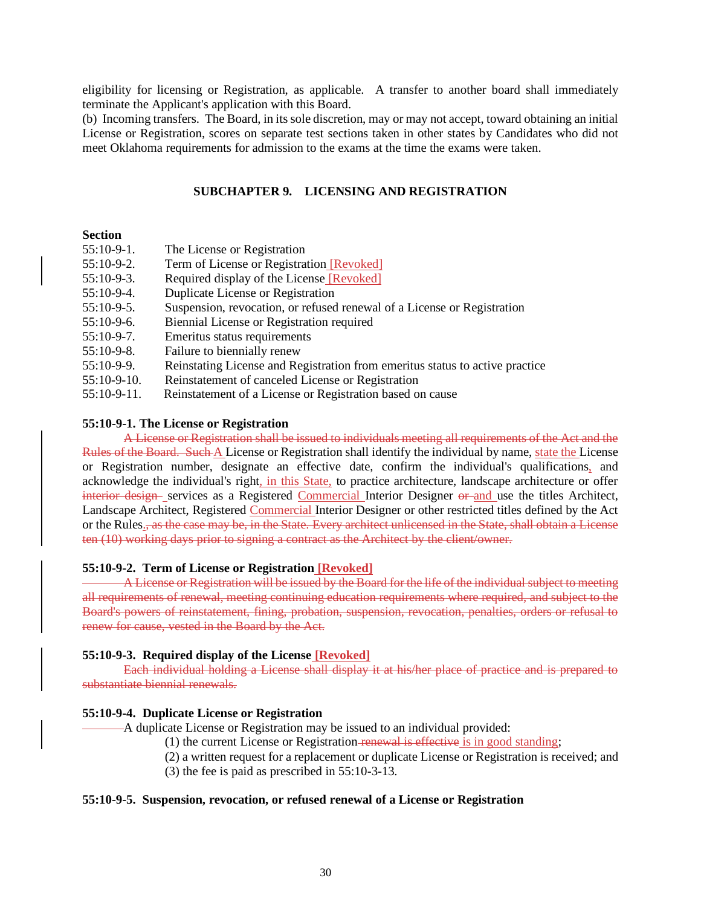eligibility for licensing or Registration, as applicable. A transfer to another board shall immediately terminate the Applicant's application with this Board.

(b) Incoming transfers. The Board, in its sole discretion, may or may not accept, toward obtaining an initial License or Registration, scores on separate test sections taken in other states by Candidates who did not meet Oklahoma requirements for admission to the exams at the time the exams were taken.

### **SUBCHAPTER 9. LICENSING AND REGISTRATION**

## **Section**

| $55:10-9-1.$ | The License or Registration                                                  |
|--------------|------------------------------------------------------------------------------|
| $55:10-9-2.$ | Term of License or Registration [Revoked]                                    |
| $55:10-9-3.$ | Required display of the License [Revoked]                                    |
| $55:10-9-4.$ | Duplicate License or Registration                                            |
| 55:10-9-5.   | Suspension, revocation, or refused renewal of a License or Registration      |
| 55:10-9-6.   | Biennial License or Registration required                                    |
| $55:10-9-7.$ | Emeritus status requirements                                                 |
| $55:10-9-8.$ | Failure to biennially renew                                                  |
| 55:10-9-9.   | Reinstating License and Registration from emeritus status to active practice |
| 55:10-9-10.  | Reinstatement of canceled License or Registration                            |
| 55:10-9-11.  | Reinstatement of a License or Registration based on cause                    |

#### **55:10-9-1. The License or Registration**

A License or Registration shall be issued to individuals meeting all requirements of the Act and the Rules of the Board. Such A License or Registration shall identify the individual by name, state the License or Registration number, designate an effective date, confirm the individual's qualifications, and acknowledge the individual's right, in this State, to practice architecture, landscape architecture or offer interior design-services as a Registered Commercial Interior Designer or and use the titles Architect, Landscape Architect, Registered Commercial Interior Designer or other restricted titles defined by the Act or the Rules., as the case may be, in the State. Every architect unlicensed in the State, shall obtain a License ten (10) working days prior to signing a contract as the Architect by the client/owner.

#### **55:10-9-2. Term of License or Registration [Revoked]**

A License or Registration will be issued by the Board for the life of the individual subject to meeting all requirements of renewal, meeting continuing education requirements where required, and subject to the Board's powers of reinstatement, fining, probation, suspension, revocation, penalties, orders or refusal to renew for cause, vested in the Board by the Act.

#### **55:10-9-3. Required display of the License [Revoked]**

Each individual holding a License shall display it at his/her place of practice and is prepared to substantiate biennial renewals.

#### **55:10-9-4. Duplicate License or Registration**

A duplicate License or Registration may be issued to an individual provided:

- (1) the current License or Registration renewal is effective is in good standing;
- (2) a written request for a replacement or duplicate License or Registration is received; and
- (3) the fee is paid as prescribed in 55:10-3-13.

### **55:10-9-5. Suspension, revocation, or refused renewal of a License or Registration**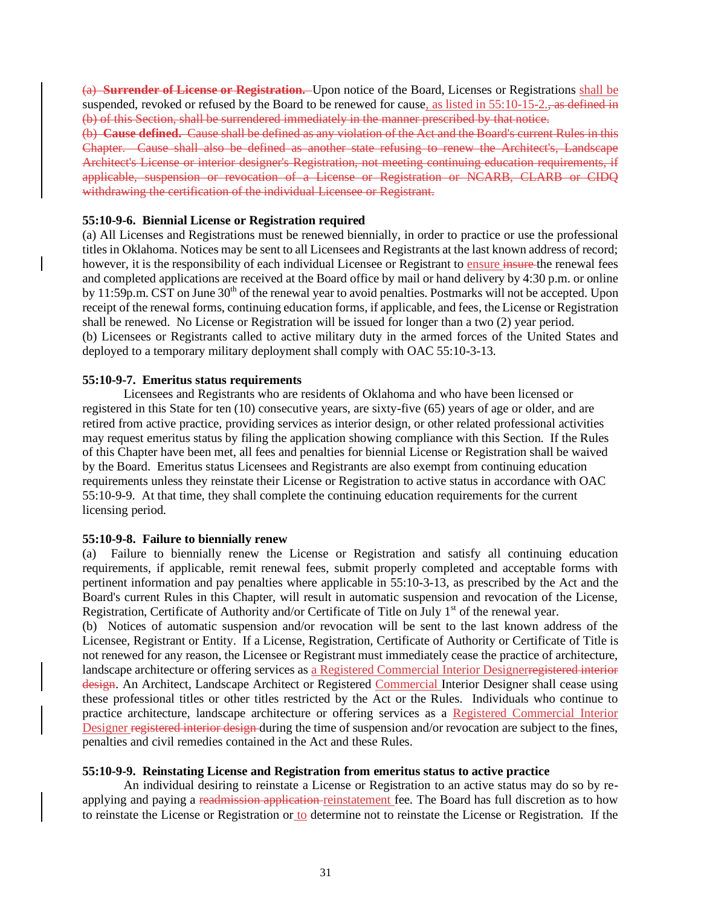(a) **Surrender of License or Registration.** Upon notice of the Board, Licenses or Registrations shall be suspended, revoked or refused by the Board to be renewed for cause, as listed in 55:10-15-2., as defined in (b) of this Section, shall be surrendered immediately in the manner prescribed by that notice.

(b) **Cause defined.** Cause shall be defined as any violation of the Act and the Board's current Rules in this Chapter. Cause shall also be defined as another state refusing to renew the Architect's, Landscape Architect's License or interior designer's Registration, not meeting continuing education requirements, if applicable, suspension or revocation of a License or Registration or NCARB, CLARB or CIDQ withdrawing the certification of the individual Licensee or Registrant.

### **55:10-9-6. Biennial License or Registration required**

(a) All Licenses and Registrations must be renewed biennially, in order to practice or use the professional titles in Oklahoma. Notices may be sent to all Licensees and Registrants at the last known address of record; however, it is the responsibility of each individual Licensee or Registrant to ensure insure the renewal fees and completed applications are received at the Board office by mail or hand delivery by 4:30 p.m. or online by 11:59p.m. CST on June 30<sup>th</sup> of the renewal year to avoid penalties. Postmarks will not be accepted. Upon receipt of the renewal forms, continuing education forms, if applicable, and fees, the License or Registration shall be renewed. No License or Registration will be issued for longer than a two (2) year period. (b) Licensees or Registrants called to active military duty in the armed forces of the United States and deployed to a temporary military deployment shall comply with OAC 55:10-3-13.

## **55:10-9-7. Emeritus status requirements**

Licensees and Registrants who are residents of Oklahoma and who have been licensed or registered in this State for ten (10) consecutive years, are sixty-five (65) years of age or older, and are retired from active practice, providing services as interior design, or other related professional activities may request emeritus status by filing the application showing compliance with this Section. If the Rules of this Chapter have been met, all fees and penalties for biennial License or Registration shall be waived by the Board. Emeritus status Licensees and Registrants are also exempt from continuing education requirements unless they reinstate their License or Registration to active status in accordance with OAC 55:10-9-9. At that time, they shall complete the continuing education requirements for the current licensing period.

### **55:10-9-8. Failure to biennially renew**

(a) Failure to biennially renew the License or Registration and satisfy all continuing education requirements, if applicable, remit renewal fees, submit properly completed and acceptable forms with pertinent information and pay penalties where applicable in 55:10-3-13, as prescribed by the Act and the Board's current Rules in this Chapter, will result in automatic suspension and revocation of the License, Registration, Certificate of Authority and/or Certificate of Title on July 1<sup>st</sup> of the renewal year.

(b) Notices of automatic suspension and/or revocation will be sent to the last known address of the Licensee, Registrant or Entity. If a License, Registration, Certificate of Authority or Certificate of Title is not renewed for any reason, the Licensee or Registrant must immediately cease the practice of architecture, landscape architecture or offering services as a Registered Commercial Interior Designerregistered interior design. An Architect, Landscape Architect or Registered Commercial Interior Designer shall cease using these professional titles or other titles restricted by the Act or the Rules. Individuals who continue to practice architecture, landscape architecture or offering services as a Registered Commercial Interior Designer registered interior design during the time of suspension and/or revocation are subject to the fines, penalties and civil remedies contained in the Act and these Rules.

## **55:10-9-9. Reinstating License and Registration from emeritus status to active practice**

 An individual desiring to reinstate a License or Registration to an active status may do so by reapplying and paying a readmission application reinstatement fee. The Board has full discretion as to how to reinstate the License or Registration or to determine not to reinstate the License or Registration. If the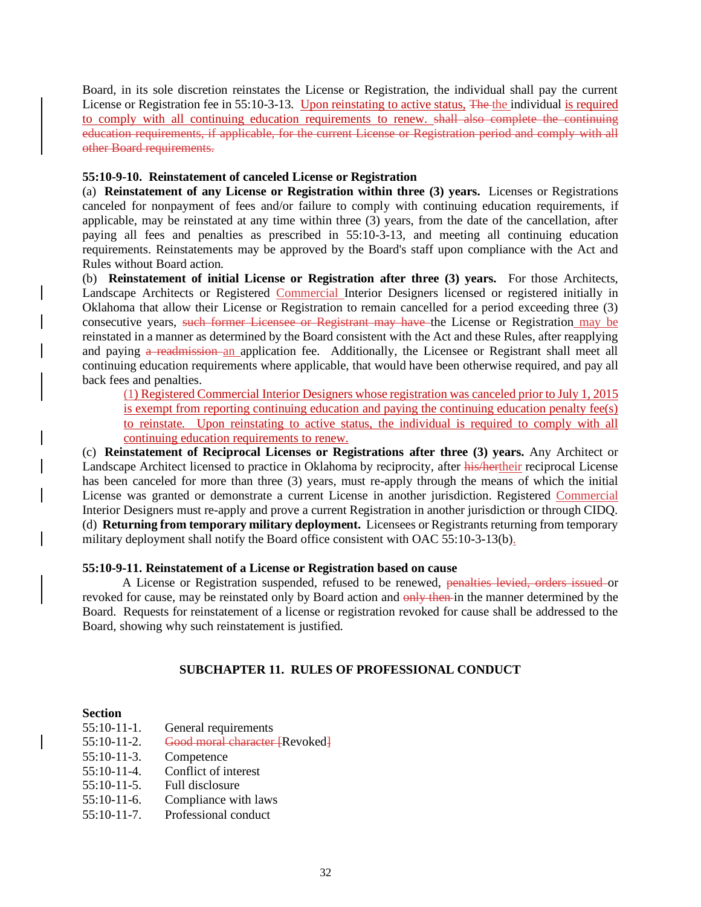Board, in its sole discretion reinstates the License or Registration, the individual shall pay the current License or Registration fee in 55:10-3-13. Upon reinstating to active status, The the individual is required to comply with all continuing education requirements to renew. shall also complete the continuing education requirements, if applicable, for the current License or Registration period and comply with all other Board requirements.

### **55:10-9-10. Reinstatement of canceled License or Registration**

(a) **Reinstatement of any License or Registration within three (3) years.** Licenses or Registrations canceled for nonpayment of fees and/or failure to comply with continuing education requirements, if applicable, may be reinstated at any time within three (3) years, from the date of the cancellation, after paying all fees and penalties as prescribed in 55:10-3-13, and meeting all continuing education requirements. Reinstatements may be approved by the Board's staff upon compliance with the Act and Rules without Board action.

(b) **Reinstatement of initial License or Registration after three (3) years.** For those Architects, Landscape Architects or Registered Commercial Interior Designers licensed or registered initially in Oklahoma that allow their License or Registration to remain cancelled for a period exceeding three (3) consecutive years, such former Licensee or Registrant may have the License or Registration may be reinstated in a manner as determined by the Board consistent with the Act and these Rules, after reapplying and paying a readmission an application fee. Additionally, the Licensee or Registrant shall meet all continuing education requirements where applicable, that would have been otherwise required, and pay all back fees and penalties.

(1) Registered Commercial Interior Designers whose registration was canceled prior to July 1, 2015 is exempt from reporting continuing education and paying the continuing education penalty fee(s) to reinstate. Upon reinstating to active status, the individual is required to comply with all continuing education requirements to renew.

(c) **Reinstatement of Reciprocal Licenses or Registrations after three (3) years.** Any Architect or Landscape Architect licensed to practice in Oklahoma by reciprocity, after his/hertheir reciprocal License has been canceled for more than three (3) years, must re-apply through the means of which the initial License was granted or demonstrate a current License in another jurisdiction. Registered Commercial Interior Designers must re-apply and prove a current Registration in another jurisdiction or through CIDQ. (d) **Returning from temporary military deployment.** Licensees or Registrants returning from temporary military deployment shall notify the Board office consistent with OAC 55:10-3-13(b).

## **55:10-9-11. Reinstatement of a License or Registration based on cause**

A License or Registration suspended, refused to be renewed, penalties levied, orders issued or revoked for cause, may be reinstated only by Board action and only then in the manner determined by the Board. Requests for reinstatement of a license or registration revoked for cause shall be addressed to the Board, showing why such reinstatement is justified.

## **SUBCHAPTER 11. RULES OF PROFESSIONAL CONDUCT**

### **Section**

| $55:10-11-1.$  | General requirements           |
|----------------|--------------------------------|
| $55:10-11-2.$  | Good moral character [Revoked] |
| $55:10-11-3.$  | Competence                     |
| $55:10-11-4.$  | Conflict of interest           |
| $55:10-11-5$ . | Full disclosure                |
| $55:10-11-6$ . | Compliance with laws           |
| $55:10-11-7$ . | Professional conduct           |
|                |                                |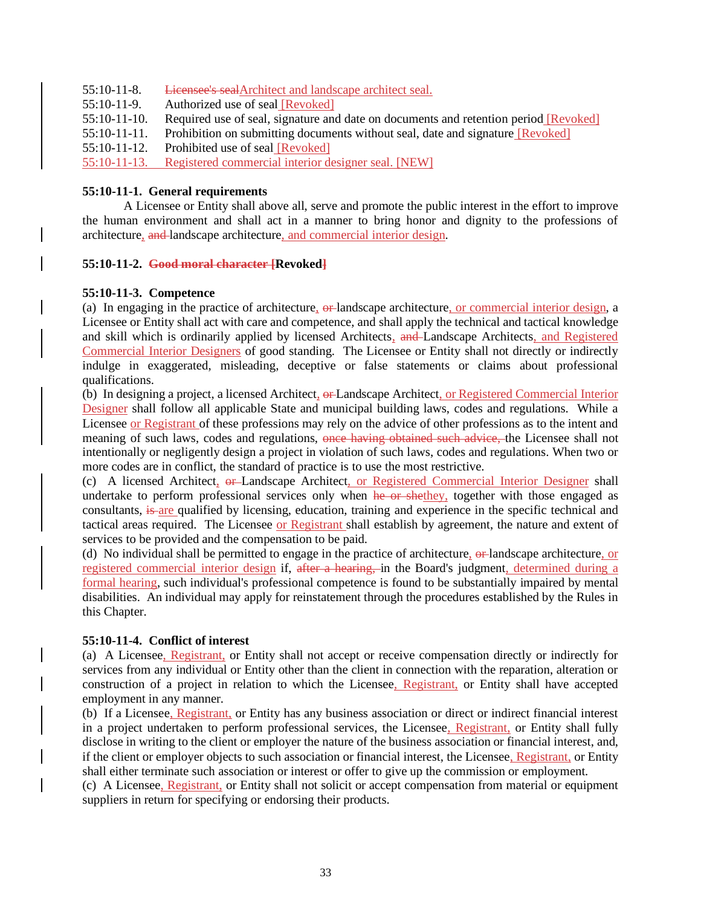- 55:10-11-8. Licensee's sealArchitect and landscape architect seal.
- 55:10-11-9. Authorized use of seal [Revoked]
- 55:10-11-10. Required use of seal, signature and date on documents and retention period [Revoked]
- 55:10-11-11. Prohibition on submitting documents without seal, date and signature [Revoked]
- 55:10-11-12. Prohibited use of seal [Revoked]

55:10-11-13. Registered commercial interior designer seal. [NEW]

## **55:10-11-1. General requirements**

A Licensee or Entity shall above all, serve and promote the public interest in the effort to improve the human environment and shall act in a manner to bring honor and dignity to the professions of architecture, and landscape architecture, and commercial interior design.

## **55:10-11-2. Good moral character [Revoked]**

## **55:10-11-3. Competence**

(a) In engaging in the practice of architecture,  $\theta$ -landscape architecture, or commercial interior design, a Licensee or Entity shall act with care and competence, and shall apply the technical and tactical knowledge and skill which is ordinarily applied by licensed Architects, and Landscape Architects, and Registered Commercial Interior Designers of good standing. The Licensee or Entity shall not directly or indirectly indulge in exaggerated, misleading, deceptive or false statements or claims about professional qualifications.

(b) In designing a project, a licensed Architect, or Landscape Architect, or Registered Commercial Interior Designer shall follow all applicable State and municipal building laws, codes and regulations. While a Licensee or Registrant of these professions may rely on the advice of other professions as to the intent and meaning of such laws, codes and regulations, once having obtained such advice, the Licensee shall not intentionally or negligently design a project in violation of such laws, codes and regulations. When two or more codes are in conflict, the standard of practice is to use the most restrictive.

(c) A licensed Architect, or Landscape Architect, or Registered Commercial Interior Designer shall undertake to perform professional services only when he or shethey, together with those engaged as consultants, is are qualified by licensing, education, training and experience in the specific technical and tactical areas required. The Licensee or Registrant shall establish by agreement, the nature and extent of services to be provided and the compensation to be paid.

(d) No individual shall be permitted to engage in the practice of architecture, or landscape architecture, or registered commercial interior design if, after a hearing, in the Board's judgment, determined during a formal hearing, such individual's professional competence is found to be substantially impaired by mental disabilities. An individual may apply for reinstatement through the procedures established by the Rules in this Chapter.

## **55:10-11-4. Conflict of interest**

(a) A Licensee, Registrant, or Entity shall not accept or receive compensation directly or indirectly for services from any individual or Entity other than the client in connection with the reparation, alteration or construction of a project in relation to which the Licensee, Registrant, or Entity shall have accepted employment in any manner.

(b) If a Licensee, Registrant, or Entity has any business association or direct or indirect financial interest in a project undertaken to perform professional services, the Licensee, Registrant, or Entity shall fully disclose in writing to the client or employer the nature of the business association or financial interest, and, if the client or employer objects to such association or financial interest, the Licensee, Registrant, or Entity shall either terminate such association or interest or offer to give up the commission or employment.

(c) A Licensee, Registrant, or Entity shall not solicit or accept compensation from material or equipment suppliers in return for specifying or endorsing their products.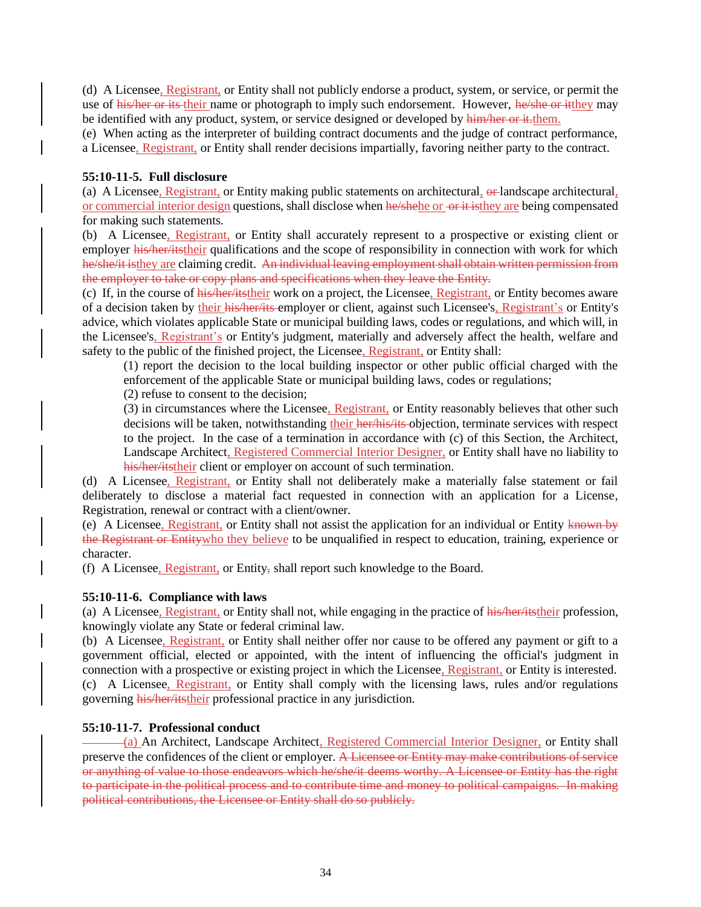(d) A Licensee, Registrant, or Entity shall not publicly endorse a product, system, or service, or permit the use of his/her or its their name or photograph to imply such endorsement. However, he/she or itthey may be identified with any product, system, or service designed or developed by him/her or it.them.

(e) When acting as the interpreter of building contract documents and the judge of contract performance, a Licensee, Registrant, or Entity shall render decisions impartially, favoring neither party to the contract.

## **55:10-11-5. Full disclosure**

(a) A Licensee, Registrant, or Entity making public statements on architectural, or landscape architectural, or commercial interior design questions, shall disclose when he/shehe or or it is they are being compensated for making such statements.

(b) A Licensee, Registrant, or Entity shall accurately represent to a prospective or existing client or employer his/her/itstheir qualifications and the scope of responsibility in connection with work for which he/she/it isthey are claiming credit. An individual leaving employment shall obtain written permission from the employer to take or copy plans and specifications when they leave the Entity.

(c) If, in the course of his/her/itstheir work on a project, the Licensee, Registrant, or Entity becomes aware of a decision taken by their his/her/its employer or client, against such Licensee's, Registrant's or Entity's advice, which violates applicable State or municipal building laws, codes or regulations, and which will, in the Licensee's, Registrant's or Entity's judgment, materially and adversely affect the health, welfare and safety to the public of the finished project, the Licensee, Registrant, or Entity shall:

(1) report the decision to the local building inspector or other public official charged with the enforcement of the applicable State or municipal building laws, codes or regulations;

(2) refuse to consent to the decision;

(3) in circumstances where the Licensee, Registrant, or Entity reasonably believes that other such decisions will be taken, notwithstanding their her/his/its objection, terminate services with respect to the project. In the case of a termination in accordance with (c) of this Section, the Architect, Landscape Architect, Registered Commercial Interior Designer, or Entity shall have no liability to his/her/itstheir client or employer on account of such termination.

(d) A Licensee, Registrant, or Entity shall not deliberately make a materially false statement or fail deliberately to disclose a material fact requested in connection with an application for a License, Registration, renewal or contract with a client/owner.

(e) A Licensee, Registrant, or Entity shall not assist the application for an individual or Entity known by the Registrant or Entitywho they believe to be unqualified in respect to education, training, experience or character.

(f) A Licensee, Registrant, or Entity, shall report such knowledge to the Board.

## **55:10-11-6. Compliance with laws**

(a) A Licensee, Registrant, or Entity shall not, while engaging in the practice of his/her/itstheir profession, knowingly violate any State or federal criminal law.

(b) A Licensee, Registrant, or Entity shall neither offer nor cause to be offered any payment or gift to a government official, elected or appointed, with the intent of influencing the official's judgment in connection with a prospective or existing project in which the Licensee, Registrant, or Entity is interested. (c) A Licensee, Registrant, or Entity shall comply with the licensing laws, rules and/or regulations governing his/her/itstheir professional practice in any jurisdiction.

## **55:10-11-7. Professional conduct**

(a) An Architect, Landscape Architect, Registered Commercial Interior Designer, or Entity shall preserve the confidences of the client or employer. A Licensee or Entity may make contributions of service or anything of value to those endeavors which he/she/it deems worthy. A Licensee or Entity has the right to participate in the political process and to contribute time and money to political campaigns. In making political contributions, the Licensee or Entity shall do so publicly.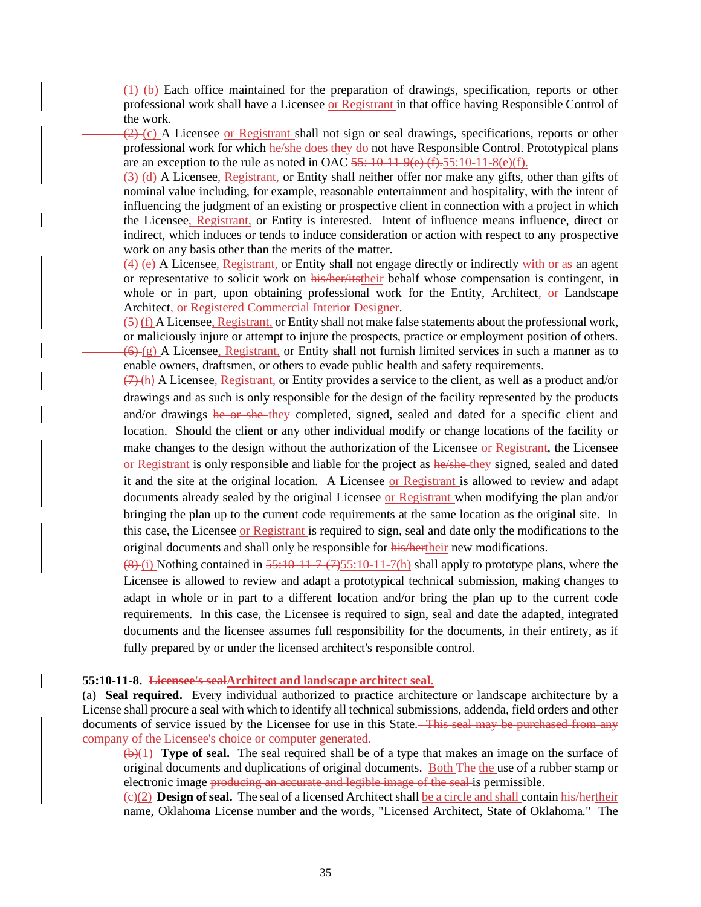(1) (b) Each office maintained for the preparation of drawings, specification, reports or other professional work shall have a Licensee or Registrant in that office having Responsible Control of the work.

 $(2)$  (c) A Licensee or Registrant shall not sign or seal drawings, specifications, reports or other professional work for which he/she does they do not have Responsible Control. Prototypical plans are an exception to the rule as noted in OAC  $55:10-11-9(e)$  (f).  $55:10-11-8(e)$  (f).

(3) (d) A Licensee, Registrant, or Entity shall neither offer nor make any gifts, other than gifts of nominal value including, for example, reasonable entertainment and hospitality, with the intent of influencing the judgment of an existing or prospective client in connection with a project in which the Licensee, Registrant, or Entity is interested. Intent of influence means influence, direct or indirect, which induces or tends to induce consideration or action with respect to any prospective work on any basis other than the merits of the matter.

(4) (e) A Licensee, Registrant, or Entity shall not engage directly or indirectly with or as an agent or representative to solicit work on his/her/itstheir behalf whose compensation is contingent, in whole or in part, upon obtaining professional work for the Entity, Architect, or Landscape Architect, or Registered Commercial Interior Designer.

(5) (f) A Licensee, Registrant, or Entity shall not make false statements about the professional work, or maliciously injure or attempt to injure the prospects, practice or employment position of others.  $(6)$  (g) A Licensee, Registrant, or Entity shall not furnish limited services in such a manner as to enable owners, draftsmen, or others to evade public health and safety requirements.

 $(7)$  (h) A Licensee, Registrant, or Entity provides a service to the client, as well as a product and/or drawings and as such is only responsible for the design of the facility represented by the products and/or drawings he or she they completed, signed, sealed and dated for a specific client and location. Should the client or any other individual modify or change locations of the facility or make changes to the design without the authorization of the Licensee or Registrant, the Licensee or Registrant is only responsible and liable for the project as he/she-they signed, sealed and dated it and the site at the original location. A Licensee or Registrant is allowed to review and adapt documents already sealed by the original Licensee or Registrant when modifying the plan and/or bringing the plan up to the current code requirements at the same location as the original site. In this case, the Licensee or Registrant is required to sign, seal and date only the modifications to the original documents and shall only be responsible for his/hertheir new modifications.

 $(8)$  (i) Nothing contained in  $55:10-11-7(7)$  shall apply to prototype plans, where the Licensee is allowed to review and adapt a prototypical technical submission, making changes to adapt in whole or in part to a different location and/or bring the plan up to the current code requirements. In this case, the Licensee is required to sign, seal and date the adapted, integrated documents and the licensee assumes full responsibility for the documents, in their entirety, as if fully prepared by or under the licensed architect's responsible control.

#### **55:10-11-8. Licensee's sealArchitect and landscape architect seal.**

(a) **Seal required.** Every individual authorized to practice architecture or landscape architecture by a License shall procure a seal with which to identify all technical submissions, addenda, field orders and other documents of service issued by the Licensee for use in this State. This seal may be purchased from any company of the Licensee's choice or computer generated.

(b)(1) **Type of seal.** The seal required shall be of a type that makes an image on the surface of original documents and duplications of original documents. Both The the use of a rubber stamp or electronic image producing an accurate and legible image of the seal is permissible.

(c)(2) **Design of seal.** The seal of a licensed Architect shall be a circle and shall contain his/hertheir name, Oklahoma License number and the words, "Licensed Architect, State of Oklahoma." The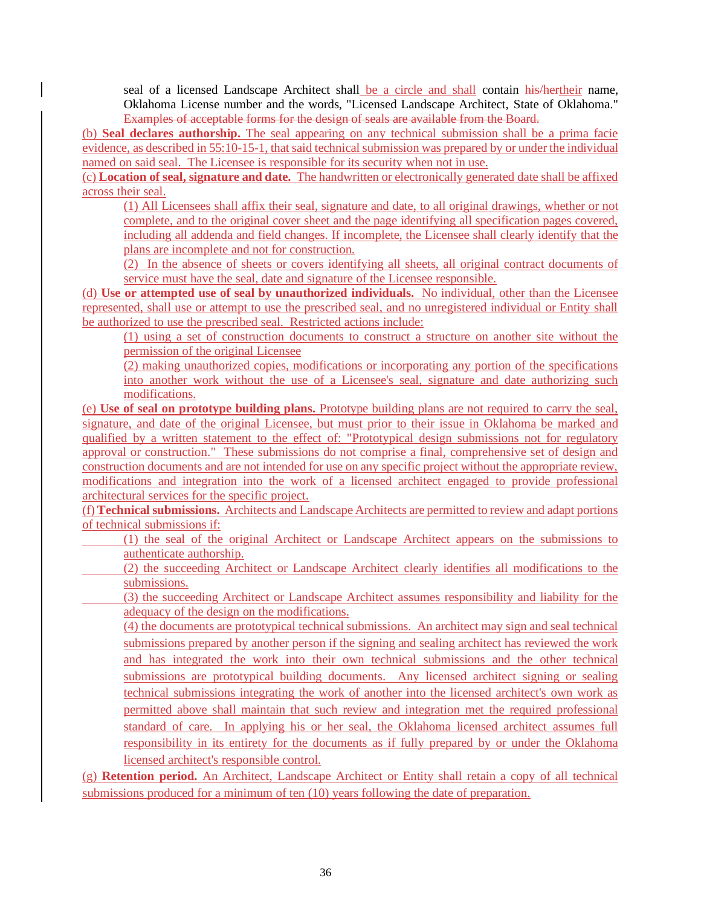seal of a licensed Landscape Architect shall be a circle and shall contain his/hertheir name, Oklahoma License number and the words, "Licensed Landscape Architect, State of Oklahoma." Examples of acceptable forms for the design of seals are available from the Board.

(b) **Seal declares authorship.** The seal appearing on any technical submission shall be a prima facie evidence, as described in 55:10-15-1, that said technical submission was prepared by or under the individual named on said seal. The Licensee is responsible for its security when not in use.

(c) **Location of seal, signature and date.** The handwritten or electronically generated date shall be affixed across their seal.

(1) All Licensees shall affix their seal, signature and date, to all original drawings, whether or not complete, and to the original cover sheet and the page identifying all specification pages covered, including all addenda and field changes. If incomplete, the Licensee shall clearly identify that the plans are incomplete and not for construction.

(2) In the absence of sheets or covers identifying all sheets, all original contract documents of service must have the seal, date and signature of the Licensee responsible.

(d) **Use or attempted use of seal by unauthorized individuals.** No individual, other than the Licensee represented, shall use or attempt to use the prescribed seal, and no unregistered individual or Entity shall be authorized to use the prescribed seal. Restricted actions include:

(1) using a set of construction documents to construct a structure on another site without the permission of the original Licensee

(2) making unauthorized copies, modifications or incorporating any portion of the specifications into another work without the use of a Licensee's seal, signature and date authorizing such modifications.

(e) **Use of seal on prototype building plans.** Prototype building plans are not required to carry the seal, signature, and date of the original Licensee, but must prior to their issue in Oklahoma be marked and qualified by a written statement to the effect of: "Prototypical design submissions not for regulatory approval or construction." These submissions do not comprise a final, comprehensive set of design and construction documents and are not intended for use on any specific project without the appropriate review, modifications and integration into the work of a licensed architect engaged to provide professional architectural services for the specific project.

(f) **Technical submissions.** Architects and Landscape Architects are permitted to review and adapt portions of technical submissions if:

- (1) the seal of the original Architect or Landscape Architect appears on the submissions to authenticate authorship.
- (2) the succeeding Architect or Landscape Architect clearly identifies all modifications to the submissions.

 (3) the succeeding Architect or Landscape Architect assumes responsibility and liability for the adequacy of the design on the modifications.

(4) the documents are prototypical technical submissions. An architect may sign and seal technical submissions prepared by another person if the signing and sealing architect has reviewed the work and has integrated the work into their own technical submissions and the other technical submissions are prototypical building documents. Any licensed architect signing or sealing technical submissions integrating the work of another into the licensed architect's own work as permitted above shall maintain that such review and integration met the required professional standard of care. In applying his or her seal, the Oklahoma licensed architect assumes full responsibility in its entirety for the documents as if fully prepared by or under the Oklahoma licensed architect's responsible control.

(g) **Retention period.** An Architect, Landscape Architect or Entity shall retain a copy of all technical submissions produced for a minimum of ten (10) years following the date of preparation.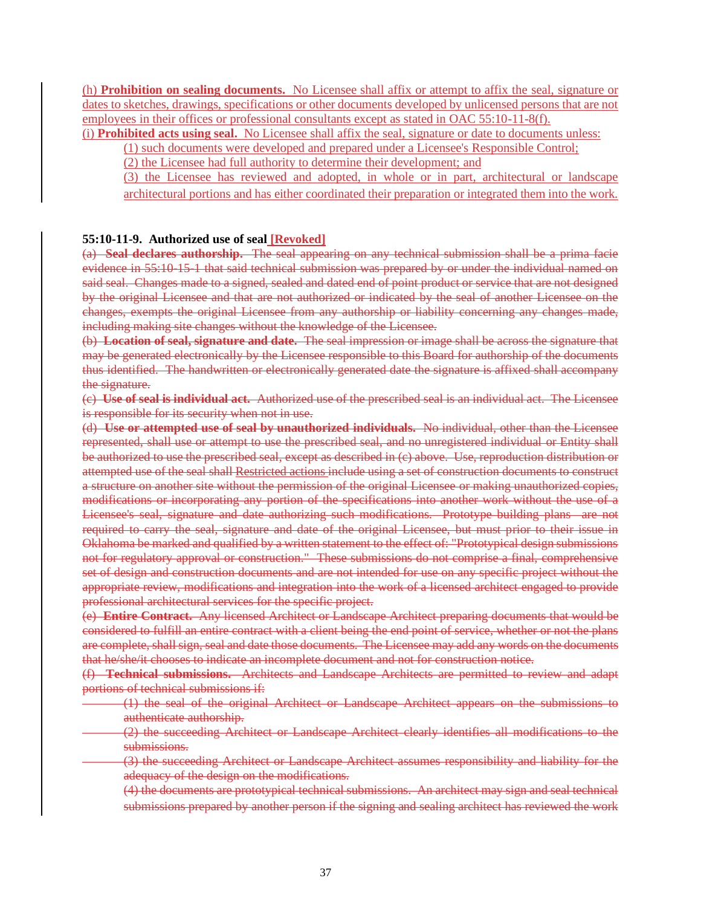(h) **Prohibition on sealing documents.** No Licensee shall affix or attempt to affix the seal, signature or dates to sketches, drawings, specifications or other documents developed by unlicensed persons that are not employees in their offices or professional consultants except as stated in OAC 55:10-11-8(f).

(i) **Prohibited acts using seal.** No Licensee shall affix the seal, signature or date to documents unless:

(1) such documents were developed and prepared under a Licensee's Responsible Control;

(2) the Licensee had full authority to determine their development; and

(3) the Licensee has reviewed and adopted, in whole or in part, architectural or landscape architectural portions and has either coordinated their preparation or integrated them into the work.

### **55:10-11-9. Authorized use of seal [Revoked]**

(a) **Seal declares authorship.** The seal appearing on any technical submission shall be a prima facie evidence in 55:10-15-1 that said technical submission was prepared by or under the individual named on said seal. Changes made to a signed, sealed and dated end of point product or service that are not designed by the original Licensee and that are not authorized or indicated by the seal of another Licensee on the changes, exempts the original Licensee from any authorship or liability concerning any changes made, including making site changes without the knowledge of the Licensee.

(b) **Location of seal, signature and date.** The seal impression or image shall be across the signature that may be generated electronically by the Licensee responsible to this Board for authorship of the documents thus identified. The handwritten or electronically generated date the signature is affixed shall accompany the signature.

(c) **Use of seal is individual act.** Authorized use of the prescribed seal is an individual act. The Licensee is responsible for its security when not in use.

(d) **Use or attempted use of seal by unauthorized individuals.** No individual, other than the Licensee represented, shall use or attempt to use the prescribed seal, and no unregistered individual or Entity shall be authorized to use the prescribed seal, except as described in (c) above. Use, reproduction distribution or attempted use of the seal shall Restricted actions include using a set of construction documents to construct a structure on another site without the permission of the original Licensee or making unauthorized copies, modifications or incorporating any portion of the specifications into another work without the use of a Licensee's seal, signature and date authorizing such modifications. Prototype building plans are not required to carry the seal, signature and date of the original Licensee, but must prior to their issue in Oklahoma be marked and qualified by a written statement to the effect of: "Prototypical design submissions not for regulatory approval or construction." These submissions do not comprise a final, comprehensive set of design and construction documents and are not intended for use on any specific project without the appropriate review, modifications and integration into the work of a licensed architect engaged to provide professional architectural services for the specific project.

(e) **Entire Contract.** Any licensed Architect or Landscape Architect preparing documents that would be considered to fulfill an entire contract with a client being the end point of service, whether or not the plans are complete, shall sign, seal and date those documents. The Licensee may add any words on the documents that he/she/it chooses to indicate an incomplete document and not for construction notice.

(f) **Technical submissions.** Architects and Landscape Architects are permitted to review and adapt portions of technical submissions if:

- (1) the seal of the original Architect or Landscape Architect appears on the submissions to authenticate authorship.
	- (2) the succeeding Architect or Landscape Architect clearly identifies all modifications to the submissions.
- (3) the succeeding Architect or Landscape Architect assumes responsibility and liability for the adequacy of the design on the modifications.
	- (4) the documents are prototypical technical submissions. An architect may sign and seal technical submissions prepared by another person if the signing and sealing architect has reviewed the work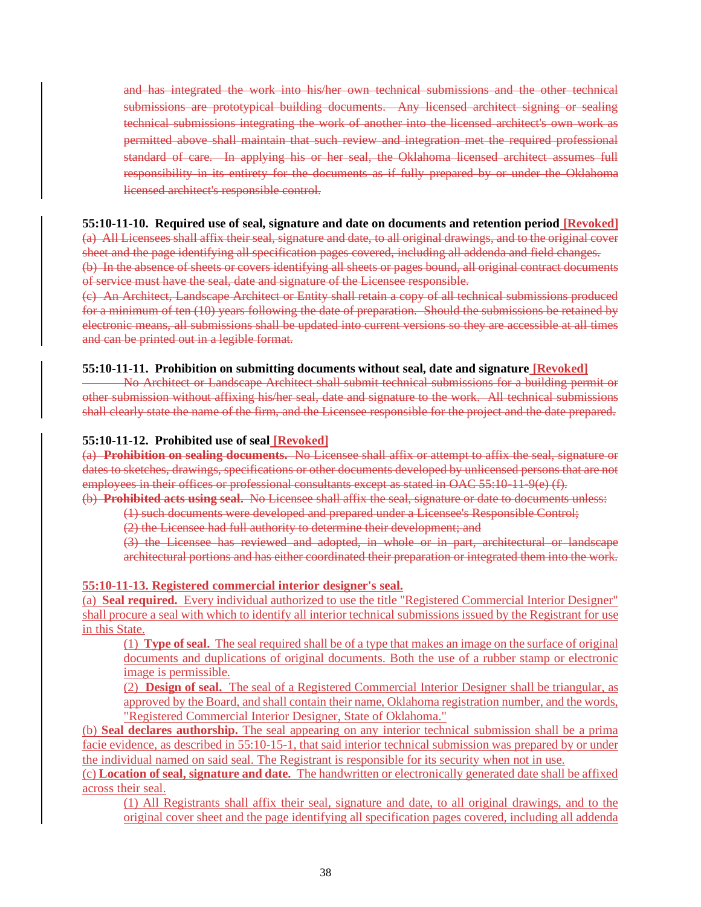and has integrated the work into his/her own technical submissions and the other technical submissions are prototypical building documents. Any licensed architect signing or sealing technical submissions integrating the work of another into the licensed architect's own work as permitted above shall maintain that such review and integration met the required professional standard of care. In applying his or her seal, the Oklahoma licensed architect assumes full responsibility in its entirety for the documents as if fully prepared by or under the Oklahoma licensed architect's responsible control.

### **55:10-11-10. Required use of seal, signature and date on documents and retention period [Revoked]**

(a) All Licensees shall affix their seal, signature and date, to all original drawings, and to the original cover sheet and the page identifying all specification pages covered, including all addenda and field changes.

(b) In the absence of sheets or covers identifying all sheets or pages bound, all original contract documents of service must have the seal, date and signature of the Licensee responsible.

(c) An Architect, Landscape Architect or Entity shall retain a copy of all technical submissions produced for a minimum of ten (10) years following the date of preparation. Should the submissions be retained by electronic means, all submissions shall be updated into current versions so they are accessible at all times and can be printed out in a legible format.

## **55:10-11-11. Prohibition on submitting documents without seal, date and signature [Revoked]**

No Architect or Landscape Architect shall submit technical submissions for a building permit or other submission without affixing his/her seal, date and signature to the work. All technical submissions shall clearly state the name of the firm, and the Licensee responsible for the project and the date prepared.

## **55:10-11-12. Prohibited use of seal [Revoked]**

(a) **Prohibition on sealing documents.** No Licensee shall affix or attempt to affix the seal, signature or dates to sketches, drawings, specifications or other documents developed by unlicensed persons that are not employees in their offices or professional consultants except as stated in OAC 55:10-11-9(e) (f).

(b) **Prohibited acts using seal.** No Licensee shall affix the seal, signature or date to documents unless:

(1) such documents were developed and prepared under a Licensee's Responsible Control;

(2) the Licensee had full authority to determine their development; and

(3) the Licensee has reviewed and adopted, in whole or in part, architectural or landscape architectural portions and has either coordinated their preparation or integrated them into the work.

### **55:10-11-13. Registered commercial interior designer's seal.**

(a) **Seal required.** Every individual authorized to use the title "Registered Commercial Interior Designer" shall procure a seal with which to identify all interior technical submissions issued by the Registrant for use in this State.

(1) **Type of seal.** The seal required shall be of a type that makes an image on the surface of original documents and duplications of original documents. Both the use of a rubber stamp or electronic image is permissible.

(2) **Design of seal.** The seal of a Registered Commercial Interior Designer shall be triangular, as approved by the Board, and shall contain their name, Oklahoma registration number, and the words, "Registered Commercial Interior Designer, State of Oklahoma."

(b) **Seal declares authorship.** The seal appearing on any interior technical submission shall be a prima facie evidence, as described in 55:10-15-1, that said interior technical submission was prepared by or under the individual named on said seal. The Registrant is responsible for its security when not in use.

(c) **Location of seal, signature and date.** The handwritten or electronically generated date shall be affixed across their seal.

(1) All Registrants shall affix their seal, signature and date, to all original drawings, and to the original cover sheet and the page identifying all specification pages covered, including all addenda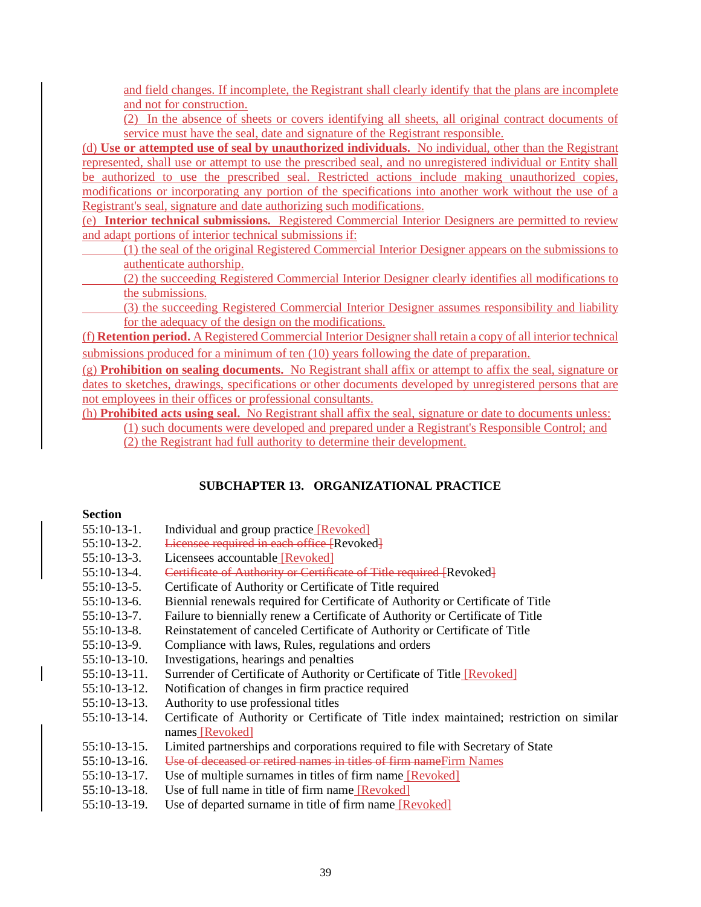and field changes. If incomplete, the Registrant shall clearly identify that the plans are incomplete and not for construction.

(2) In the absence of sheets or covers identifying all sheets, all original contract documents of service must have the seal, date and signature of the Registrant responsible.

(d) **Use or attempted use of seal by unauthorized individuals.** No individual, other than the Registrant represented, shall use or attempt to use the prescribed seal, and no unregistered individual or Entity shall be authorized to use the prescribed seal. Restricted actions include making unauthorized copies, modifications or incorporating any portion of the specifications into another work without the use of a Registrant's seal, signature and date authorizing such modifications.

(e) **Interior technical submissions.** Registered Commercial Interior Designers are permitted to review and adapt portions of interior technical submissions if:

(1) the seal of the original Registered Commercial Interior Designer appears on the submissions to authenticate authorship.

(2) the succeeding Registered Commercial Interior Designer clearly identifies all modifications to the submissions.

 (3) the succeeding Registered Commercial Interior Designer assumes responsibility and liability for the adequacy of the design on the modifications.

(f) **Retention period.** A Registered Commercial Interior Designershall retain a copy of all interior technical submissions produced for a minimum of ten (10) years following the date of preparation.

(g) **Prohibition on sealing documents.** No Registrant shall affix or attempt to affix the seal, signature or dates to sketches, drawings, specifications or other documents developed by unregistered persons that are not employees in their offices or professional consultants.

(h) **Prohibited acts using seal.** No Registrant shall affix the seal, signature or date to documents unless: (1) such documents were developed and prepared under a Registrant's Responsible Control; and (2) the Registrant had full authority to determine their development.

## **SUBCHAPTER 13. ORGANIZATIONAL PRACTICE**

### **Section**

- 55:10-13-1. Individual and group practice [Revoked]
- 55:10-13-2. <del>Licensee required in each office [</del>Revoked]
- 55:10-13-3. Licensees accountable [Revoked]
- 55:10-13-4. Certificate of Authority or Certificate of Title required [Revoked]
- 55:10-13-5. Certificate of Authority or Certificate of Title required
- 55:10-13-6. Biennial renewals required for Certificate of Authority or Certificate of Title
- 55:10-13-7. Failure to biennially renew a Certificate of Authority or Certificate of Title
- 55:10-13-8. Reinstatement of canceled Certificate of Authority or Certificate of Title
- 55:10-13-9. Compliance with laws, Rules, regulations and orders
- 55:10-13-10. Investigations, hearings and penalties
- 55:10-13-11. Surrender of Certificate of Authority or Certificate of Title [Revoked]
- 55:10-13-12. Notification of changes in firm practice required
- 55:10-13-13. Authority to use professional titles
- 55:10-13-14. Certificate of Authority or Certificate of Title index maintained; restriction on similar names [Revoked]
- 55:10-13-15. Limited partnerships and corporations required to file with Secretary of State
- 55:10-13-16. Use of deceased or retired names in titles of firm nameFirm Names
- 55:10-13-17. Use of multiple surnames in titles of firm name [Revoked]
- 55:10-13-18. Use of full name in title of firm name [Revoked]
- 55:10-13-19. Use of departed surname in title of firm name [Revoked]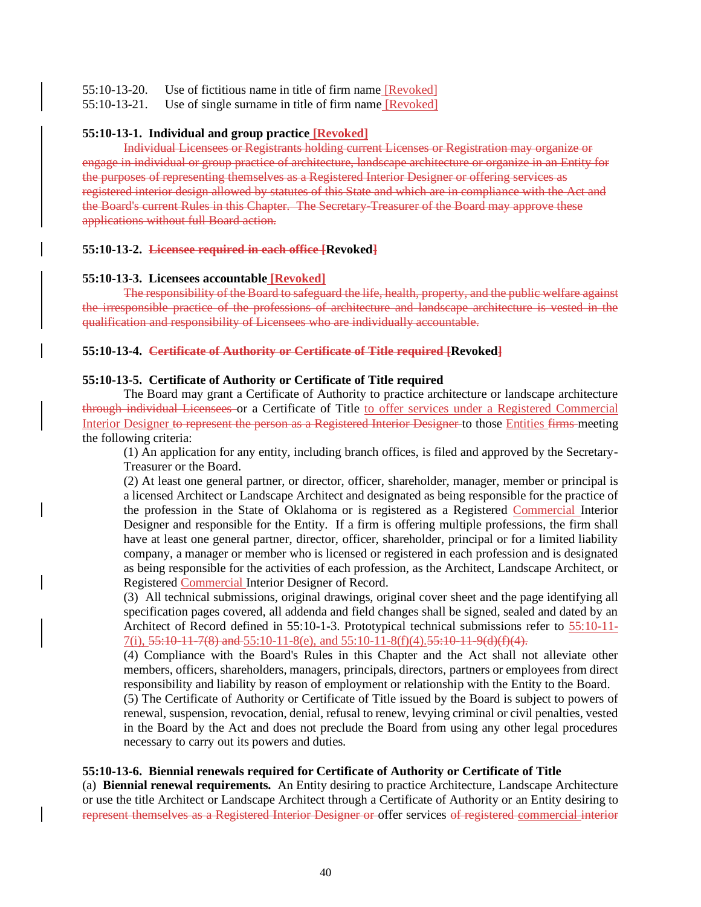55:10-13-20. Use of fictitious name in title of firm name [Revoked]

55:10-13-21. Use of single surname in title of firm name [Revoked]

### **55:10-13-1. Individual and group practice [Revoked]**

Individual Licensees or Registrants holding current Licenses or Registration may organize or engage in individual or group practice of architecture, landscape architecture or organize in an Entity for the purposes of representing themselves as a Registered Interior Designer or offering services as registered interior design allowed by statutes of this State and which are in compliance with the Act and the Board's current Rules in this Chapter. The Secretary-Treasurer of the Board may approve these applications without full Board action.

## **55:10-13-2. Licensee required in each office [Revoked]**

### **55:10-13-3. Licensees accountable [Revoked]**

The responsibility of the Board to safeguard the life, health, property, and the public welfare against the irresponsible practice of the professions of architecture and landscape architecture is vested in the qualification and responsibility of Licensees who are individually accountable.

## **55:10-13-4. Certificate of Authority or Certificate of Title required [Revoked]**

## **55:10-13-5. Certificate of Authority or Certificate of Title required**

The Board may grant a Certificate of Authority to practice architecture or landscape architecture through individual Licensees or a Certificate of Title to offer services under a Registered Commercial Interior Designer to represent the person as a Registered Interior Designer to those Entities firms meeting the following criteria:

(1) An application for any entity, including branch offices, is filed and approved by the Secretary-Treasurer or the Board.

(2) At least one general partner, or director, officer, shareholder, manager, member or principal is a licensed Architect or Landscape Architect and designated as being responsible for the practice of the profession in the State of Oklahoma or is registered as a Registered Commercial Interior Designer and responsible for the Entity. If a firm is offering multiple professions, the firm shall have at least one general partner, director, officer, shareholder, principal or for a limited liability company, a manager or member who is licensed or registered in each profession and is designated as being responsible for the activities of each profession, as the Architect, Landscape Architect, or Registered Commercial Interior Designer of Record.

(3) All technical submissions, original drawings, original cover sheet and the page identifying all specification pages covered, all addenda and field changes shall be signed, sealed and dated by an Architect of Record defined in 55:10-1-3. Prototypical technical submissions refer to  $55:10-11 7(i)$ ,  $55:10-11-7(8)$  and  $55:10-11-8(e)$ , and  $55:10-11-8(f)(4)$ ,  $55:10-11-9(d)(f)(4)$ .

(4) Compliance with the Board's Rules in this Chapter and the Act shall not alleviate other members, officers, shareholders, managers, principals, directors, partners or employees from direct responsibility and liability by reason of employment or relationship with the Entity to the Board.

(5) The Certificate of Authority or Certificate of Title issued by the Board is subject to powers of renewal, suspension, revocation, denial, refusal to renew, levying criminal or civil penalties, vested in the Board by the Act and does not preclude the Board from using any other legal procedures necessary to carry out its powers and duties.

## **55:10-13-6. Biennial renewals required for Certificate of Authority or Certificate of Title**

(a) **Biennial renewal requirements.** An Entity desiring to practice Architecture, Landscape Architecture or use the title Architect or Landscape Architect through a Certificate of Authority or an Entity desiring to represent themselves as a Registered Interior Designer or offer services of registered commercial interior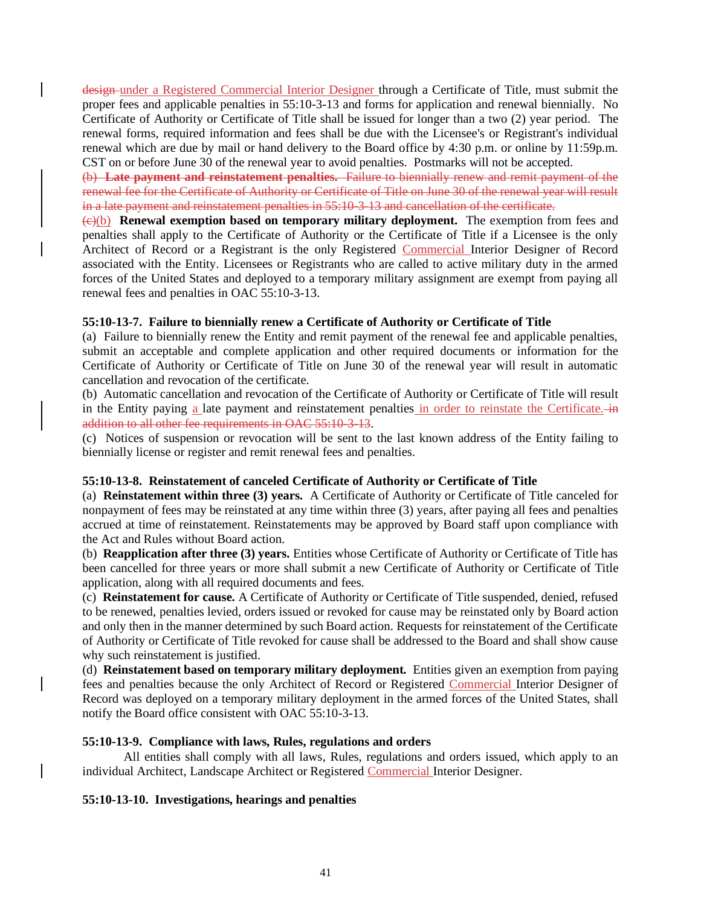design under a Registered Commercial Interior Designer through a Certificate of Title, must submit the proper fees and applicable penalties in 55:10-3-13 and forms for application and renewal biennially. No Certificate of Authority or Certificate of Title shall be issued for longer than a two (2) year period. The renewal forms, required information and fees shall be due with the Licensee's or Registrant's individual renewal which are due by mail or hand delivery to the Board office by 4:30 p.m. or online by 11:59p.m. CST on or before June 30 of the renewal year to avoid penalties. Postmarks will not be accepted.

(b) **Late payment and reinstatement penalties.** Failure to biennially renew and remit payment of the renewal fee for the Certificate of Authority or Certificate of Title on June 30 of the renewal year will result in a late payment and reinstatement penalties in 55:10-3-13 and cancellation of the certificate.

(c)(b) **Renewal exemption based on temporary military deployment.** The exemption from fees and penalties shall apply to the Certificate of Authority or the Certificate of Title if a Licensee is the only Architect of Record or a Registrant is the only Registered Commercial Interior Designer of Record associated with the Entity. Licensees or Registrants who are called to active military duty in the armed forces of the United States and deployed to a temporary military assignment are exempt from paying all renewal fees and penalties in OAC 55:10-3-13.

## **55:10-13-7. Failure to biennially renew a Certificate of Authority or Certificate of Title**

(a) Failure to biennially renew the Entity and remit payment of the renewal fee and applicable penalties, submit an acceptable and complete application and other required documents or information for the Certificate of Authority or Certificate of Title on June 30 of the renewal year will result in automatic cancellation and revocation of the certificate.

(b) Automatic cancellation and revocation of the Certificate of Authority or Certificate of Title will result in the Entity paying a late payment and reinstatement penalties in order to reinstate the Certificate. in addition to all other fee requirements in OAC 55:10-3-13.

(c) Notices of suspension or revocation will be sent to the last known address of the Entity failing to biennially license or register and remit renewal fees and penalties.

## **55:10-13-8. Reinstatement of canceled Certificate of Authority or Certificate of Title**

(a) **Reinstatement within three (3) years.** A Certificate of Authority or Certificate of Title canceled for nonpayment of fees may be reinstated at any time within three (3) years, after paying all fees and penalties accrued at time of reinstatement. Reinstatements may be approved by Board staff upon compliance with the Act and Rules without Board action.

(b) **Reapplication after three (3) years.** Entities whose Certificate of Authority or Certificate of Title has been cancelled for three years or more shall submit a new Certificate of Authority or Certificate of Title application, along with all required documents and fees.

(c) **Reinstatement for cause.** A Certificate of Authority or Certificate of Title suspended, denied, refused to be renewed, penalties levied, orders issued or revoked for cause may be reinstated only by Board action and only then in the manner determined by such Board action. Requests for reinstatement of the Certificate of Authority or Certificate of Title revoked for cause shall be addressed to the Board and shall show cause why such reinstatement is justified.

(d) **Reinstatement based on temporary military deployment.** Entities given an exemption from paying fees and penalties because the only Architect of Record or Registered Commercial Interior Designer of Record was deployed on a temporary military deployment in the armed forces of the United States, shall notify the Board office consistent with OAC 55:10-3-13.

## **55:10-13-9. Compliance with laws, Rules, regulations and orders**

All entities shall comply with all laws, Rules, regulations and orders issued, which apply to an individual Architect, Landscape Architect or Registered Commercial Interior Designer.

## **55:10-13-10. Investigations, hearings and penalties**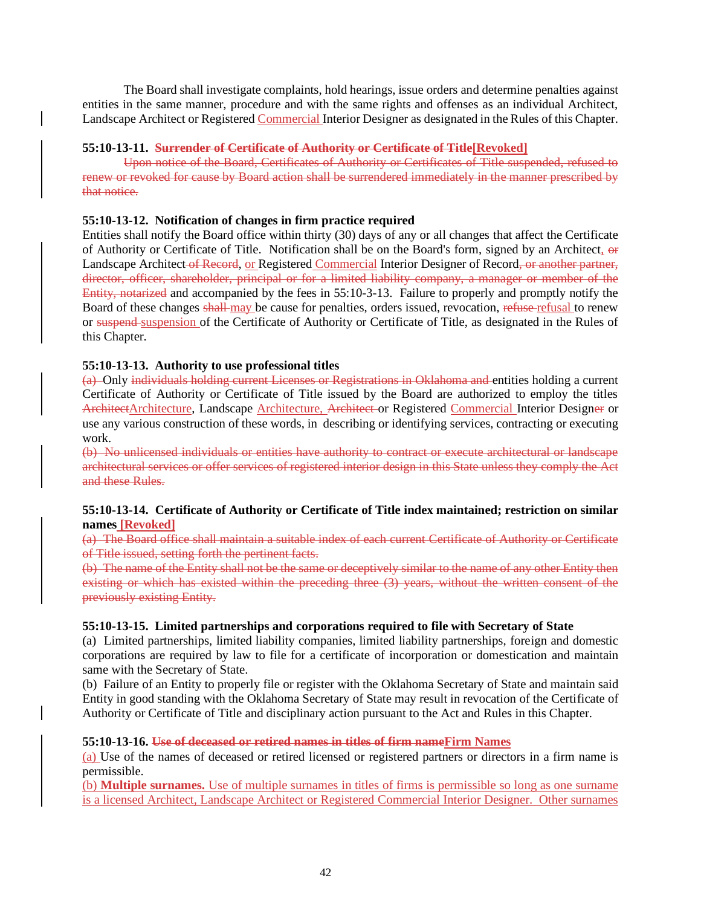The Board shall investigate complaints, hold hearings, issue orders and determine penalties against entities in the same manner, procedure and with the same rights and offenses as an individual Architect, Landscape Architect or Registered Commercial Interior Designer as designated in the Rules of this Chapter.

## **55:10-13-11. Surrender of Certificate of Authority or Certificate of Title[Revoked]**

Upon notice of the Board, Certificates of Authority or Certificates of Title suspended, refused to renew or revoked for cause by Board action shall be surrendered immediately in the manner prescribed by that notice.

### **55:10-13-12. Notification of changes in firm practice required**

Entities shall notify the Board office within thirty (30) days of any or all changes that affect the Certificate of Authority or Certificate of Title. Notification shall be on the Board's form, signed by an Architect, or Landscape Architect of Record, or Registered Commercial Interior Designer of Record, or another partner, director, officer, shareholder, principal or for a limited liability company, a manager or member of the Entity, notarized and accompanied by the fees in 55:10-3-13. Failure to properly and promptly notify the Board of these changes shall may be cause for penalties, orders issued, revocation, refuse refusal to renew or suspend suspension of the Certificate of Authority or Certificate of Title, as designated in the Rules of this Chapter.

## **55:10-13-13. Authority to use professional titles**

(a) Only individuals holding current Licenses or Registrations in Oklahoma and entities holding a current Certificate of Authority or Certificate of Title issued by the Board are authorized to employ the titles ArchitectArchitecture, Landscape Architecture, Architect or Registered Commercial Interior Designer or use any various construction of these words, in describing or identifying services, contracting or executing work.

(b) No unlicensed individuals or entities have authority to contract or execute architectural or landscape architectural services or offer services of registered interior design in this State unless they comply the Act and these Rules.

## **55:10-13-14. Certificate of Authority or Certificate of Title index maintained; restriction on similar names [Revoked]**

(a) The Board office shall maintain a suitable index of each current Certificate of Authority or Certificate of Title issued, setting forth the pertinent facts.

(b) The name of the Entity shall not be the same or deceptively similar to the name of any other Entity then existing or which has existed within the preceding three (3) years, without the written consent of the previously existing Entity.

### **55:10-13-15. Limited partnerships and corporations required to file with Secretary of State**

(a) Limited partnerships, limited liability companies, limited liability partnerships, foreign and domestic corporations are required by law to file for a certificate of incorporation or domestication and maintain same with the Secretary of State.

(b) Failure of an Entity to properly file or register with the Oklahoma Secretary of State and maintain said Entity in good standing with the Oklahoma Secretary of State may result in revocation of the Certificate of Authority or Certificate of Title and disciplinary action pursuant to the Act and Rules in this Chapter.

### **55:10-13-16. Use of deceased or retired names in titles of firm nameFirm Names**

(a) Use of the names of deceased or retired licensed or registered partners or directors in a firm name is permissible.

(b) **Multiple surnames.** Use of multiple surnames in titles of firms is permissible so long as one surname is a licensed Architect, Landscape Architect or Registered Commercial Interior Designer. Other surnames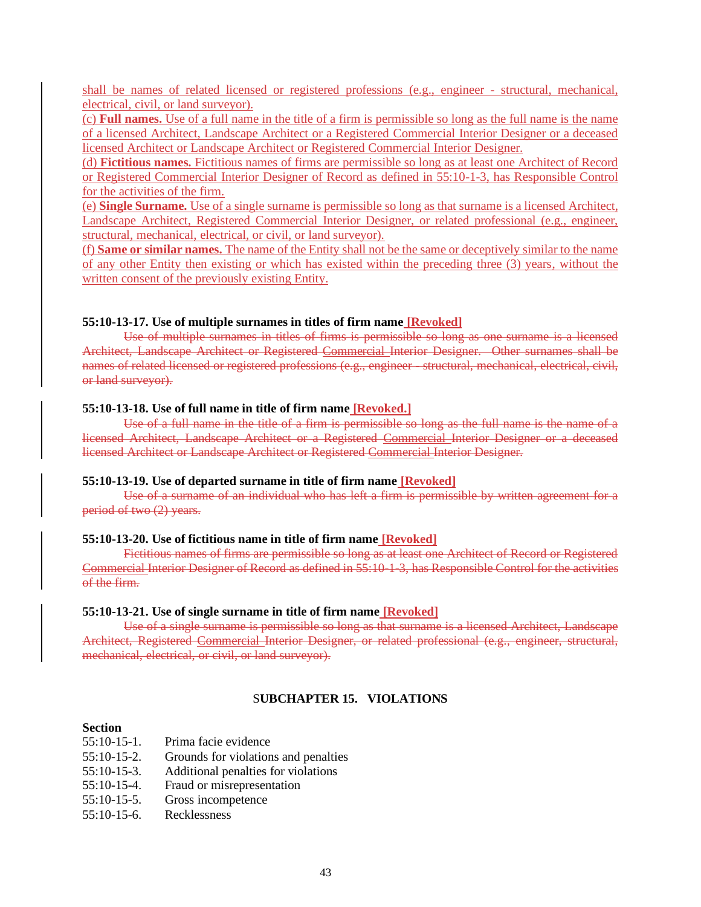shall be names of related licensed or registered professions (e.g., engineer - structural, mechanical, electrical, civil, or land surveyor).

(c) **Full names.** Use of a full name in the title of a firm is permissible so long as the full name is the name of a licensed Architect, Landscape Architect or a Registered Commercial Interior Designer or a deceased licensed Architect or Landscape Architect or Registered Commercial Interior Designer.

(d) **Fictitious names.** Fictitious names of firms are permissible so long as at least one Architect of Record or Registered Commercial Interior Designer of Record as defined in 55:10-1-3, has Responsible Control for the activities of the firm.

(e) **Single Surname.** Use of a single surname is permissible so long as that surname is a licensed Architect, Landscape Architect, Registered Commercial Interior Designer, or related professional (e.g., engineer, structural, mechanical, electrical, or civil, or land surveyor).

(f) **Same or similar names.** The name of the Entity shall not be the same or deceptively similar to the name of any other Entity then existing or which has existed within the preceding three (3) years, without the written consent of the previously existing Entity.

#### **55:10-13-17. Use of multiple surnames in titles of firm name [Revoked]**

Use of multiple surnames in titles of firms is permissible so long as one surname is a licensed Architect, Landscape Architect or Registered Commercial Interior Designer. Other surnames shall be names of related licensed or registered professions (e.g., engineer - structural, mechanical, electrical, civil, or land surveyor).

#### **55:10-13-18. Use of full name in title of firm name [Revoked.]**

Use of a full name in the title of a firm is permissible so long as the full name is the name of a licensed Architect, Landscape Architect or a Registered Commercial Interior Designer or a deceased licensed Architect or Landscape Architect or Registered Commercial Interior Designer.

#### **55:10-13-19. Use of departed surname in title of firm name [Revoked]**

Use of a surname of an individual who has left a firm is permissible by written agreement for a period of two (2) years.

#### **55:10-13-20. Use of fictitious name in title of firm name [Revoked]**

Fictitious names of firms are permissible so long as at least one Architect of Record or Registered Commercial Interior Designer of Record as defined in 55:10-1-3, has Responsible Control for the activities of the firm.

#### **55:10-13-21. Use of single surname in title of firm name [Revoked]**

Use of a single surname is permissible so long as that surname is a licensed Architect, Landscape Architect, Registered Commercial Interior Designer, or related professional (e.g., engineer, structural, mechanical, electrical, or civil, or land surveyor).

### S**UBCHAPTER 15. VIOLATIONS**

#### **Section**

- 55:10-15-1. Prima facie evidence
- 55:10-15-2. Grounds for violations and penalties
- 55:10-15-3. Additional penalties for violations
- 55:10-15-4. Fraud or misrepresentation
- 55:10-15-5. Gross incompetence
- 55:10-15-6. Recklessness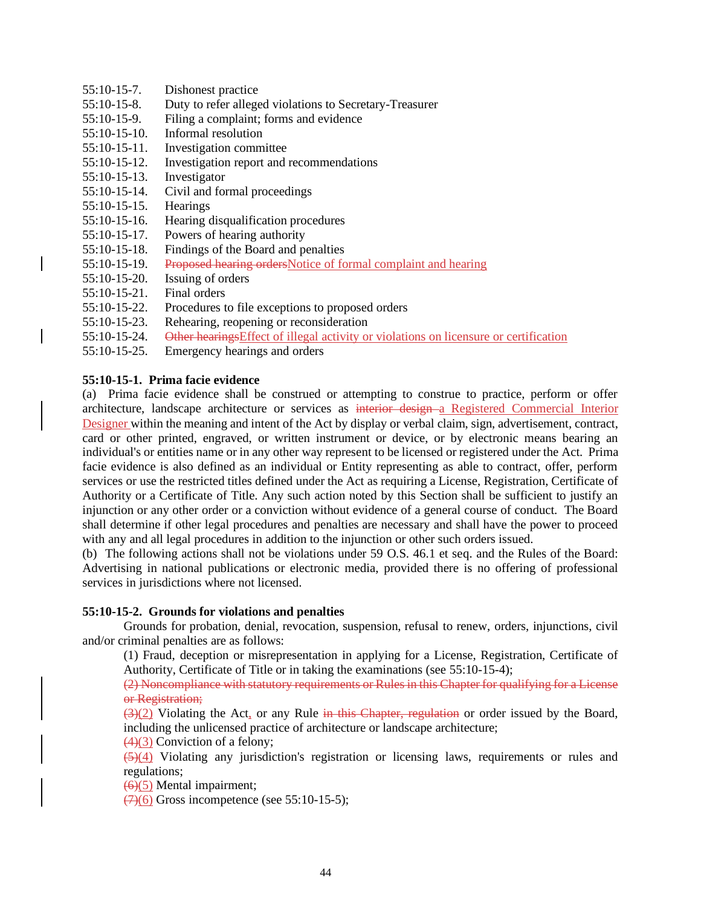55:10-15-7. Dishonest practice 55:10-15-8. Duty to refer alleged violations to Secretary-Treasurer 55:10-15-9. Filing a complaint; forms and evidence 55:10-15-10. Informal resolution 55:10-15-11. Investigation committee 55:10-15-12. Investigation report and recommendations 55:10-15-13. Investigator 55:10-15-14. Civil and formal proceedings 55:10-15-15. Hearings 55:10-15-16. Hearing disqualification procedures 55:10-15-17. Powers of hearing authority 55:10-15-18. Findings of the Board and penalties 55:10-15-19. Proposed hearing ordersNotice of formal complaint and hearing 55:10-15-20. Issuing of orders 55:10-15-21. Final orders 55:10-15-22. Procedures to file exceptions to proposed orders 55:10-15-23. Rehearing, reopening or reconsideration 55:10-15-24. Other hearingsEffect of illegal activity or violations on licensure or certification 55:10-15-25. Emergency hearings and orders

## **55:10-15-1. Prima facie evidence**

(a) Prima facie evidence shall be construed or attempting to construe to practice, perform or offer architecture, landscape architecture or services as interior design a Registered Commercial Interior Designer within the meaning and intent of the Act by display or verbal claim, sign, advertisement, contract, card or other printed, engraved, or written instrument or device, or by electronic means bearing an individual's or entities name or in any other way represent to be licensed or registered under the Act. Prima facie evidence is also defined as an individual or Entity representing as able to contract, offer, perform services or use the restricted titles defined under the Act as requiring a License, Registration, Certificate of Authority or a Certificate of Title. Any such action noted by this Section shall be sufficient to justify an injunction or any other order or a conviction without evidence of a general course of conduct. The Board shall determine if other legal procedures and penalties are necessary and shall have the power to proceed with any and all legal procedures in addition to the injunction or other such orders issued.

(b) The following actions shall not be violations under 59 O.S. 46.1 et seq. and the Rules of the Board: Advertising in national publications or electronic media, provided there is no offering of professional services in jurisdictions where not licensed.

## **55:10-15-2. Grounds for violations and penalties**

Grounds for probation, denial, revocation, suspension, refusal to renew, orders, injunctions, civil and/or criminal penalties are as follows:

(1) Fraud, deception or misrepresentation in applying for a License, Registration, Certificate of Authority, Certificate of Title or in taking the examinations (see 55:10-15-4);

(2) Noncompliance with statutory requirements or Rules in this Chapter for qualifying for a License or Registration;

 $(3)(2)$  Violating the Act, or any Rule in this Chapter, regulation or order issued by the Board, including the unlicensed practice of architecture or landscape architecture;

 $(4)(3)$  Conviction of a felony;

 $(5)(4)$  Violating any jurisdiction's registration or licensing laws, requirements or rules and regulations;

(6)(5) Mental impairment;

 $\left(\frac{7}{6}\right)$  Gross incompetence (see 55:10-15-5);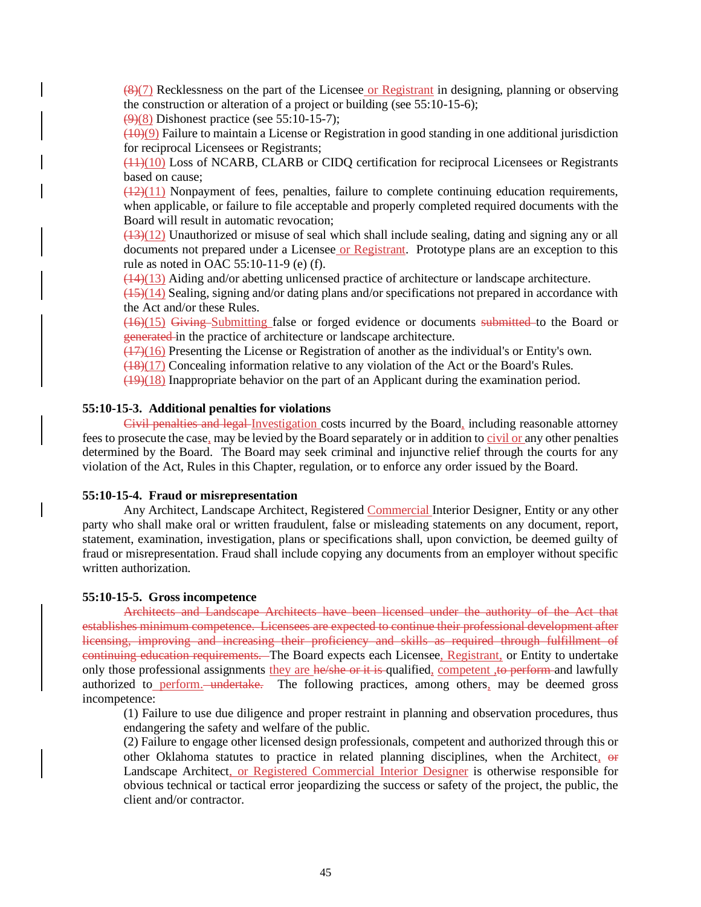$(8)(7)$  Recklessness on the part of the Licensee or Registrant in designing, planning or observing the construction or alteration of a project or building (see 55:10-15-6);

 $(9)(8)$  Dishonest practice (see 55:10-15-7);

 $(10)(9)$  Failure to maintain a License or Registration in good standing in one additional jurisdiction for reciprocal Licensees or Registrants;

(11)(10) Loss of NCARB, CLARB or CIDQ certification for reciprocal Licensees or Registrants based on cause;

 $\left(\frac{12}{11}\right)$  Nonpayment of fees, penalties, failure to complete continuing education requirements, when applicable, or failure to file acceptable and properly completed required documents with the Board will result in automatic revocation;

 $(13)(12)$  Unauthorized or misuse of seal which shall include sealing, dating and signing any or all documents not prepared under a Licensee or Registrant. Prototype plans are an exception to this rule as noted in OAC 55:10-11-9 (e) (f).

 $(14)(13)$  Aiding and/or abetting unlicensed practice of architecture or landscape architecture.

 $(15)(14)$  Sealing, signing and/or dating plans and/or specifications not prepared in accordance with the Act and/or these Rules.

(16)(15) Giving Submitting false or forged evidence or documents submitted to the Board or generated in the practice of architecture or landscape architecture.

 $(17)(16)$  Presenting the License or Registration of another as the individual's or Entity's own.

 $\frac{(18)(17)}{20}$  Concealing information relative to any violation of the Act or the Board's Rules.

(19)(18) Inappropriate behavior on the part of an Applicant during the examination period.

## **55:10-15-3. Additional penalties for violations**

Civil penalties and legal Investigation costs incurred by the Board, including reasonable attorney fees to prosecute the case, may be levied by the Board separately or in addition to civil or any other penalties determined by the Board. The Board may seek criminal and injunctive relief through the courts for any violation of the Act, Rules in this Chapter, regulation, or to enforce any order issued by the Board.

#### **55:10-15-4. Fraud or misrepresentation**

Any Architect, Landscape Architect, Registered Commercial Interior Designer, Entity or any other party who shall make oral or written fraudulent, false or misleading statements on any document, report, statement, examination, investigation, plans or specifications shall, upon conviction, be deemed guilty of fraud or misrepresentation. Fraud shall include copying any documents from an employer without specific written authorization.

#### **55:10-15-5. Gross incompetence**

Architects and Landscape Architects have been licensed under the authority of the Act that establishes minimum competence. Licensees are expected to continue their professional development after licensing, improving and increasing their proficiency and skills as required through fulfillment of continuing education requirements. The Board expects each Licensee, Registrant, or Entity to undertake only those professional assignments they are he/she or it is qualified, competent, to perform and lawfully authorized to perform.—undertake. The following practices, among others, may be deemed gross incompetence:

(1) Failure to use due diligence and proper restraint in planning and observation procedures, thus endangering the safety and welfare of the public.

(2) Failure to engage other licensed design professionals, competent and authorized through this or other Oklahoma statutes to practice in related planning disciplines, when the Architect, or Landscape Architect, or Registered Commercial Interior Designer is otherwise responsible for obvious technical or tactical error jeopardizing the success or safety of the project, the public, the client and/or contractor.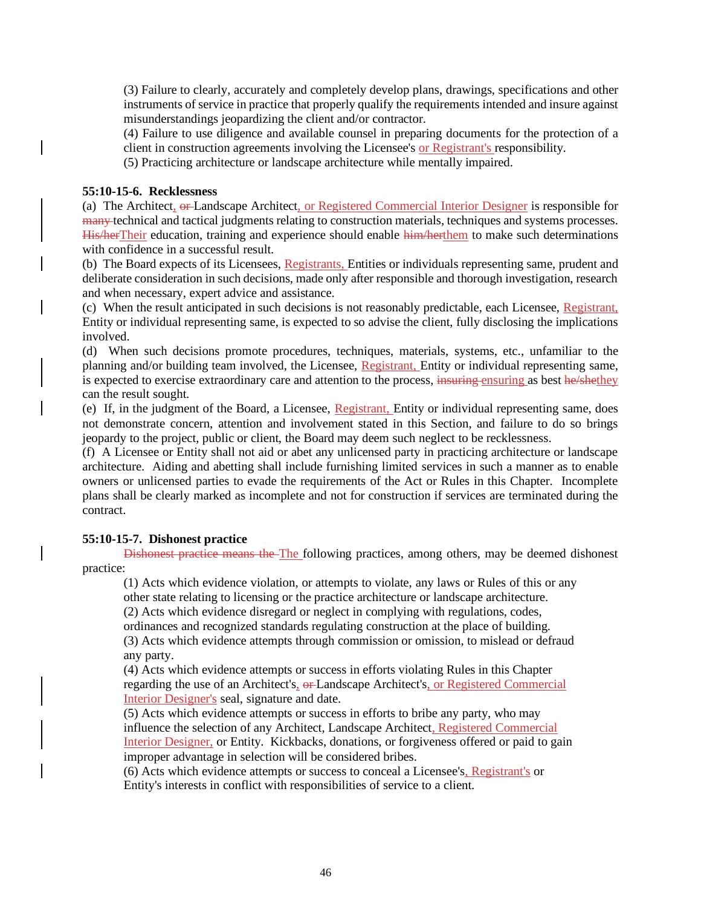(3) Failure to clearly, accurately and completely develop plans, drawings, specifications and other instruments of service in practice that properly qualify the requirements intended and insure against misunderstandings jeopardizing the client and/or contractor.

(4) Failure to use diligence and available counsel in preparing documents for the protection of a client in construction agreements involving the Licensee's or Registrant's responsibility.

(5) Practicing architecture or landscape architecture while mentally impaired.

### **55:10-15-6. Recklessness**

(a) The Architect,  $\theta$ -Landscape Architect, or Registered Commercial Interior Designer is responsible for many technical and tactical judgments relating to construction materials, techniques and systems processes. His/herTheir education, training and experience should enable him/herthem to make such determinations with confidence in a successful result.

(b) The Board expects of its Licensees, Registrants, Entities or individuals representing same, prudent and deliberate consideration in such decisions, made only after responsible and thorough investigation, research and when necessary, expert advice and assistance.

(c) When the result anticipated in such decisions is not reasonably predictable, each Licensee, Registrant, Entity or individual representing same, is expected to so advise the client, fully disclosing the implications involved.

(d) When such decisions promote procedures, techniques, materials, systems, etc., unfamiliar to the planning and/or building team involved, the Licensee, Registrant, Entity or individual representing same, is expected to exercise extraordinary care and attention to the process, insuring ensuring as best he/shethey can the result sought.

(e) If, in the judgment of the Board, a Licensee, Registrant, Entity or individual representing same, does not demonstrate concern, attention and involvement stated in this Section, and failure to do so brings jeopardy to the project, public or client, the Board may deem such neglect to be recklessness.

(f) A Licensee or Entity shall not aid or abet any unlicensed party in practicing architecture or landscape architecture. Aiding and abetting shall include furnishing limited services in such a manner as to enable owners or unlicensed parties to evade the requirements of the Act or Rules in this Chapter. Incomplete plans shall be clearly marked as incomplete and not for construction if services are terminated during the contract.

## **55:10-15-7. Dishonest practice**

Dishonest practice means the The following practices, among others, may be deemed dishonest practice:

(1) Acts which evidence violation, or attempts to violate, any laws or Rules of this or any other state relating to licensing or the practice architecture or landscape architecture.

(2) Acts which evidence disregard or neglect in complying with regulations, codes,

ordinances and recognized standards regulating construction at the place of building.

(3) Acts which evidence attempts through commission or omission, to mislead or defraud any party.

(4) Acts which evidence attempts or success in efforts violating Rules in this Chapter regarding the use of an Architect's, or Landscape Architect's, or Registered Commercial Interior Designer's seal, signature and date.

(5) Acts which evidence attempts or success in efforts to bribe any party, who may influence the selection of any Architect, Landscape Architect, Registered Commercial Interior Designer, or Entity. Kickbacks, donations, or forgiveness offered or paid to gain improper advantage in selection will be considered bribes.

(6) Acts which evidence attempts or success to conceal a Licensee's, Registrant's or Entity's interests in conflict with responsibilities of service to a client.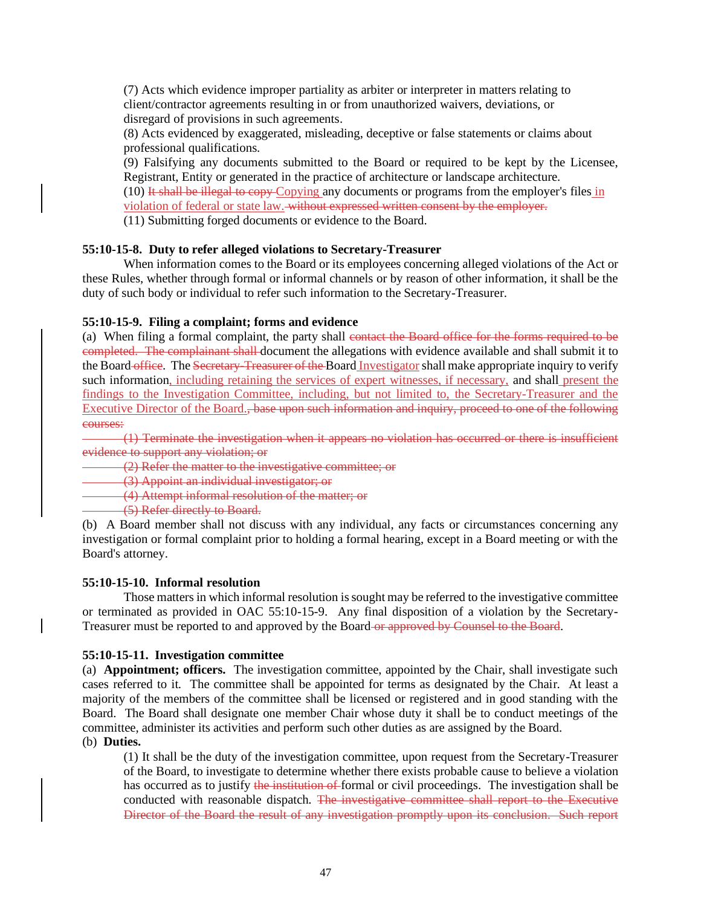(7) Acts which evidence improper partiality as arbiter or interpreter in matters relating to client/contractor agreements resulting in or from unauthorized waivers, deviations, or disregard of provisions in such agreements.

(8) Acts evidenced by exaggerated, misleading, deceptive or false statements or claims about professional qualifications.

(9) Falsifying any documents submitted to the Board or required to be kept by the Licensee, Registrant, Entity or generated in the practice of architecture or landscape architecture.

 $(10)$  It shall be illegal to copy Copying any documents or programs from the employer's files in

violation of federal or state law. without expressed written consent by the employer.

(11) Submitting forged documents or evidence to the Board.

#### **55:10-15-8. Duty to refer alleged violations to Secretary-Treasurer**

When information comes to the Board or its employees concerning alleged violations of the Act or these Rules, whether through formal or informal channels or by reason of other information, it shall be the duty of such body or individual to refer such information to the Secretary-Treasurer.

### **55:10-15-9. Filing a complaint; forms and evidence**

(a) When filing a formal complaint, the party shall contact the Board office for the forms required to be completed. The complainant shall document the allegations with evidence available and shall submit it to the Board office. The Secretary-Treasurer of the Board Investigator shall make appropriate inquiry to verify such information, including retaining the services of expert witnesses, if necessary, and shall present the findings to the Investigation Committee, including, but not limited to, the Secretary-Treasurer and the Executive Director of the Board., base upon such information and inquiry, proceed to one of the following courses:

(1) Terminate the investigation when it appears no violation has occurred or there is insufficient evidence to support any violation; or

(2) Refer the matter to the investigative committee; or

(3) Appoint an individual investigator; or

(4) Attempt informal resolution of the matter; or

(5) Refer directly to Board.

(b) A Board member shall not discuss with any individual, any facts or circumstances concerning any investigation or formal complaint prior to holding a formal hearing, except in a Board meeting or with the Board's attorney.

#### **55:10-15-10. Informal resolution**

Those matters in which informal resolution is sought may be referred to the investigative committee or terminated as provided in OAC 55:10-15-9. Any final disposition of a violation by the Secretary-Treasurer must be reported to and approved by the Board or approved by Counsel to the Board.

#### **55:10-15-11. Investigation committee**

(a) **Appointment; officers.** The investigation committee, appointed by the Chair, shall investigate such cases referred to it. The committee shall be appointed for terms as designated by the Chair. At least a majority of the members of the committee shall be licensed or registered and in good standing with the Board. The Board shall designate one member Chair whose duty it shall be to conduct meetings of the committee, administer its activities and perform such other duties as are assigned by the Board.

## (b) **Duties.**

(1) It shall be the duty of the investigation committee, upon request from the Secretary-Treasurer of the Board, to investigate to determine whether there exists probable cause to believe a violation has occurred as to justify the institution of formal or civil proceedings. The investigation shall be conducted with reasonable dispatch. The investigative committee shall report to the Executive Director of the Board the result of any investigation promptly upon its conclusion. Such report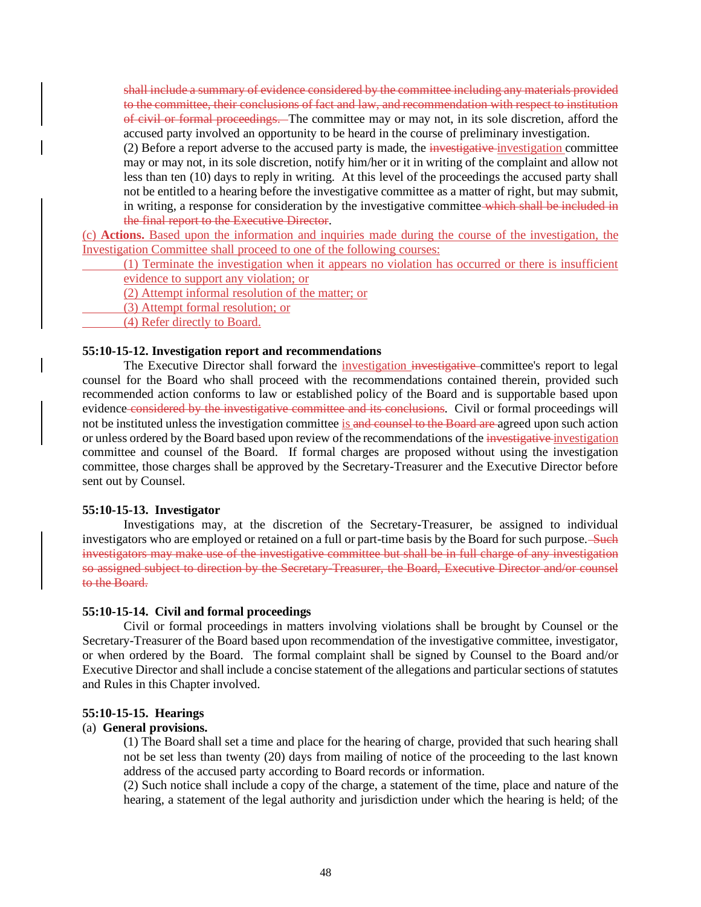shall include a summary of evidence considered by the committee including any materials provided to the committee, their conclusions of fact and law, and recommendation with respect to institution of civil or formal proceedings. The committee may or may not, in its sole discretion, afford the accused party involved an opportunity to be heard in the course of preliminary investigation.

(2) Before a report adverse to the accused party is made, the investigative investigation committee may or may not, in its sole discretion, notify him/her or it in writing of the complaint and allow not less than ten (10) days to reply in writing. At this level of the proceedings the accused party shall not be entitled to a hearing before the investigative committee as a matter of right, but may submit, in writing, a response for consideration by the investigative committee which shall be included in the final report to the Executive Director.

(c) **Actions.** Based upon the information and inquiries made during the course of the investigation, the Investigation Committee shall proceed to one of the following courses:

(1) Terminate the investigation when it appears no violation has occurred or there is insufficient

evidence to support any violation; or

(2) Attempt informal resolution of the matter; or

- (3) Attempt formal resolution; or
- (4) Refer directly to Board.

#### **55:10-15-12. Investigation report and recommendations**

The Executive Director shall forward the *investigation investigative* committee's report to legal counsel for the Board who shall proceed with the recommendations contained therein, provided such recommended action conforms to law or established policy of the Board and is supportable based upon evidence considered by the investigative committee and its conclusions. Civil or formal proceedings will not be instituted unless the investigation committee is and counsel to the Board are agreed upon such action or unless ordered by the Board based upon review of the recommendations of the investigative investigation committee and counsel of the Board. If formal charges are proposed without using the investigation committee, those charges shall be approved by the Secretary-Treasurer and the Executive Director before sent out by Counsel.

### **55:10-15-13. Investigator**

Investigations may, at the discretion of the Secretary-Treasurer, be assigned to individual investigators who are employed or retained on a full or part-time basis by the Board for such purpose. Such investigators may make use of the investigative committee but shall be in full charge of any investigation so assigned subject to direction by the Secretary-Treasurer, the Board, Executive Director and/or counsel to the Board.

### **55:10-15-14. Civil and formal proceedings**

Civil or formal proceedings in matters involving violations shall be brought by Counsel or the Secretary-Treasurer of the Board based upon recommendation of the investigative committee, investigator, or when ordered by the Board. The formal complaint shall be signed by Counsel to the Board and/or Executive Director and shall include a concise statement of the allegations and particular sections of statutes and Rules in this Chapter involved.

### **55:10-15-15. Hearings**

### (a) **General provisions.**

(1) The Board shall set a time and place for the hearing of charge, provided that such hearing shall not be set less than twenty (20) days from mailing of notice of the proceeding to the last known address of the accused party according to Board records or information.

(2) Such notice shall include a copy of the charge, a statement of the time, place and nature of the hearing, a statement of the legal authority and jurisdiction under which the hearing is held; of the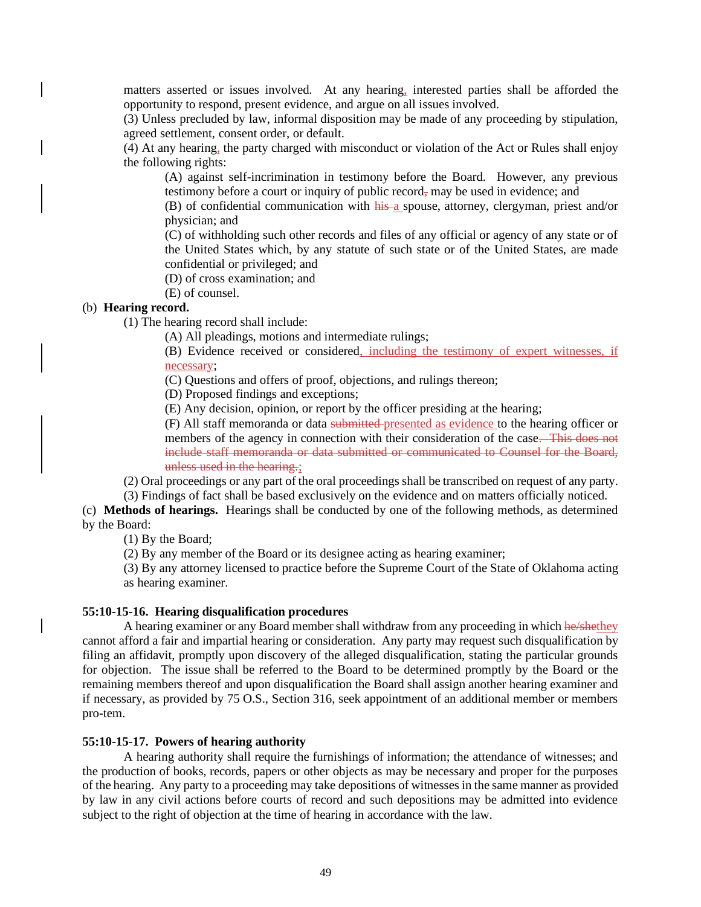matters asserted or issues involved. At any hearing, interested parties shall be afforded the opportunity to respond, present evidence, and argue on all issues involved.

(3) Unless precluded by law, informal disposition may be made of any proceeding by stipulation, agreed settlement, consent order, or default.

(4) At any hearing, the party charged with misconduct or violation of the Act or Rules shall enjoy the following rights:

(A) against self-incrimination in testimony before the Board. However, any previous testimony before a court or inquiry of public record, may be used in evidence; and

(B) of confidential communication with his a spouse, attorney, clergyman, priest and/or physician; and

(C) of withholding such other records and files of any official or agency of any state or of the United States which, by any statute of such state or of the United States, are made confidential or privileged; and

(D) of cross examination; and

(E) of counsel.

#### (b) **Hearing record.**

(1) The hearing record shall include:

(A) All pleadings, motions and intermediate rulings;

(B) Evidence received or considered, including the testimony of expert witnesses, if necessary;

(C) Questions and offers of proof, objections, and rulings thereon;

(D) Proposed findings and exceptions;

(E) Any decision, opinion, or report by the officer presiding at the hearing;

(F) All staff memoranda or data submitted presented as evidence to the hearing officer or members of the agency in connection with their consideration of the case. This does not include staff memoranda or data submitted or communicated to Counsel for the Board, unless used in the hearing.;

(2) Oral proceedings or any part of the oral proceedings shall be transcribed on request of any party. (3) Findings of fact shall be based exclusively on the evidence and on matters officially noticed.

(c) **Methods of hearings.** Hearings shall be conducted by one of the following methods, as determined by the Board:

(1) By the Board;

(2) By any member of the Board or its designee acting as hearing examiner;

(3) By any attorney licensed to practice before the Supreme Court of the State of Oklahoma acting as hearing examiner.

#### **55:10-15-16. Hearing disqualification procedures**

A hearing examiner or any Board member shall withdraw from any proceeding in which he/shethey cannot afford a fair and impartial hearing or consideration. Any party may request such disqualification by filing an affidavit, promptly upon discovery of the alleged disqualification, stating the particular grounds for objection. The issue shall be referred to the Board to be determined promptly by the Board or the remaining members thereof and upon disqualification the Board shall assign another hearing examiner and if necessary, as provided by 75 O.S., Section 316, seek appointment of an additional member or members pro-tem.

### **55:10-15-17. Powers of hearing authority**

A hearing authority shall require the furnishings of information; the attendance of witnesses; and the production of books, records, papers or other objects as may be necessary and proper for the purposes of the hearing. Any party to a proceeding may take depositions of witnesses in the same manner as provided by law in any civil actions before courts of record and such depositions may be admitted into evidence subject to the right of objection at the time of hearing in accordance with the law.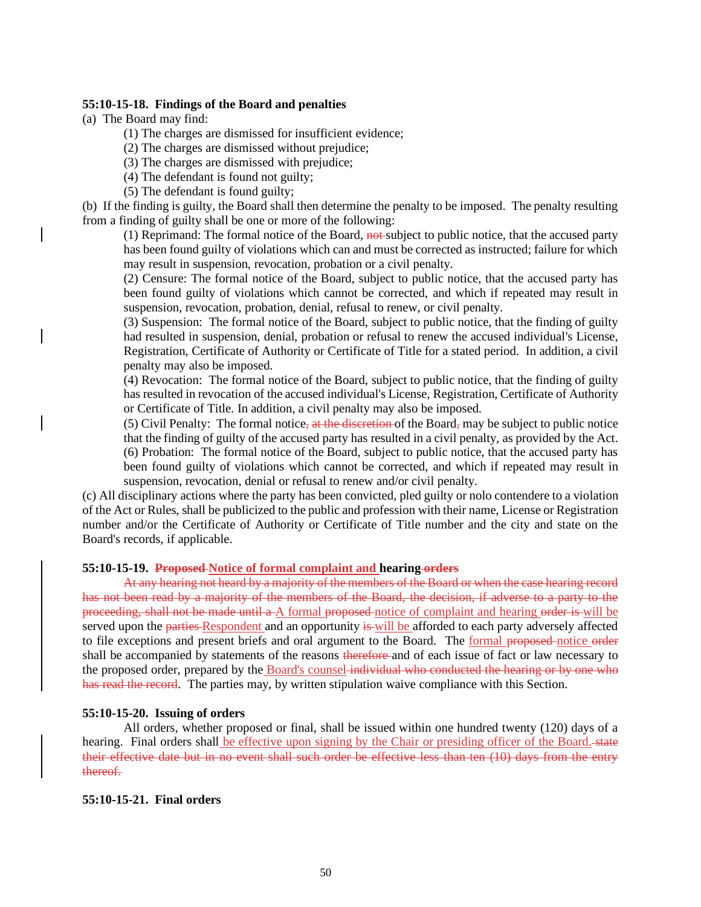#### **55:10-15-18. Findings of the Board and penalties**

(a) The Board may find:

(1) The charges are dismissed for insufficient evidence;

(2) The charges are dismissed without prejudice;

(3) The charges are dismissed with prejudice;

(4) The defendant is found not guilty;

(5) The defendant is found guilty;

(b) If the finding is guilty, the Board shall then determine the penalty to be imposed. The penalty resulting from a finding of guilty shall be one or more of the following:

(1) Reprimand: The formal notice of the Board,  $\frac{1}{2}$  and subject to public notice, that the accused party has been found guilty of violations which can and must be corrected as instructed; failure for which may result in suspension, revocation, probation or a civil penalty.

(2) Censure: The formal notice of the Board, subject to public notice, that the accused party has been found guilty of violations which cannot be corrected, and which if repeated may result in suspension, revocation, probation, denial, refusal to renew, or civil penalty.

(3) Suspension: The formal notice of the Board, subject to public notice, that the finding of guilty had resulted in suspension, denial, probation or refusal to renew the accused individual's License, Registration, Certificate of Authority or Certificate of Title for a stated period. In addition, a civil penalty may also be imposed.

(4) Revocation: The formal notice of the Board, subject to public notice, that the finding of guilty has resulted in revocation of the accused individual's License, Registration, Certificate of Authority or Certificate of Title. In addition, a civil penalty may also be imposed.

(5) Civil Penalty: The formal notice, at the discretion of the Board, may be subject to public notice that the finding of guilty of the accused party has resulted in a civil penalty, as provided by the Act. (6) Probation: The formal notice of the Board, subject to public notice, that the accused party has been found guilty of violations which cannot be corrected, and which if repeated may result in suspension, revocation, denial or refusal to renew and/or civil penalty.

(c) All disciplinary actions where the party has been convicted, pled guilty or nolo contendere to a violation of the Act or Rules, shall be publicized to the public and profession with their name, License or Registration number and/or the Certificate of Authority or Certificate of Title number and the city and state on the Board's records, if applicable.

### **55:10-15-19. Proposed Notice of formal complaint and hearing orders**

At any hearing not heard by a majority of the members of the Board or when the case hearing record has not been read by a majority of the members of the Board, the decision, if adverse to a party to the proceeding, shall not be made until a A formal proposed notice of complaint and hearing order is will be served upon the parties-Respondent and an opportunity is will be afforded to each party adversely affected to file exceptions and present briefs and oral argument to the Board. The formal proposed notice order shall be accompanied by statements of the reasons therefore and of each issue of fact or law necessary to the proposed order, prepared by the Board's counsel individual who conducted the hearing or by one who has read the record. The parties may, by written stipulation waive compliance with this Section.

#### **55:10-15-20. Issuing of orders**

All orders, whether proposed or final, shall be issued within one hundred twenty (120) days of a hearing. Final orders shall be effective upon signing by the Chair or presiding officer of the Board. state their effective date but in no event shall such order be effective less than ten (10) days from the entry thereof.

### **55:10-15-21. Final orders**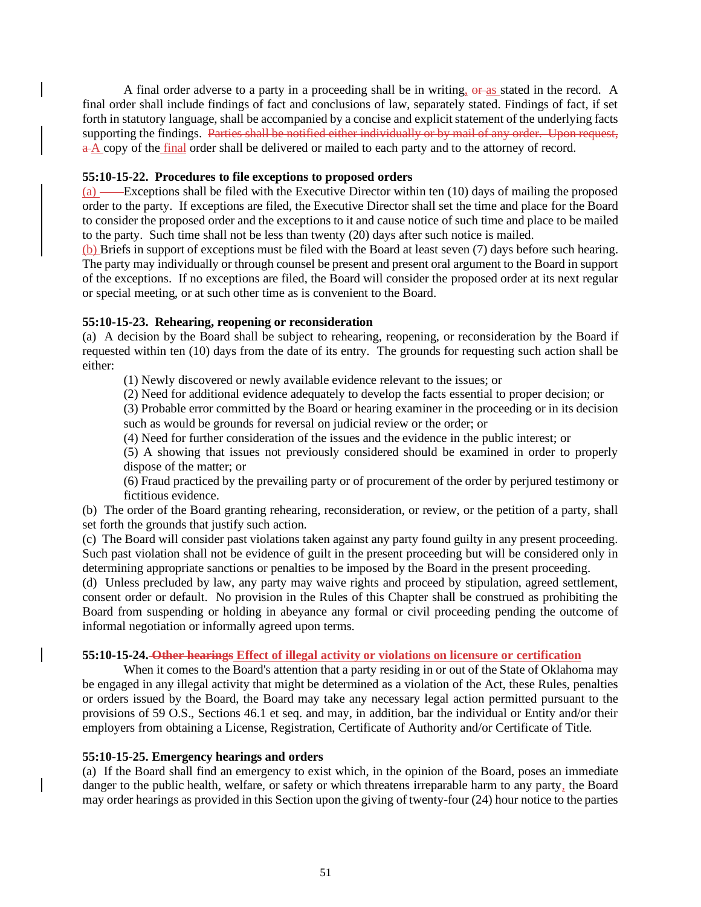A final order adverse to a party in a proceeding shall be in writing,  $\theta$  as stated in the record. A final order shall include findings of fact and conclusions of law, separately stated. Findings of fact, if set forth in statutory language, shall be accompanied by a concise and explicit statement of the underlying facts supporting the findings. Parties shall be notified either individually or by mail of any order. Upon request, a A copy of the final order shall be delivered or mailed to each party and to the attorney of record.

## **55:10-15-22. Procedures to file exceptions to proposed orders**

 $(a)$  — Exceptions shall be filed with the Executive Director within ten (10) days of mailing the proposed order to the party. If exceptions are filed, the Executive Director shall set the time and place for the Board to consider the proposed order and the exceptions to it and cause notice of such time and place to be mailed to the party. Such time shall not be less than twenty (20) days after such notice is mailed.

(b) Briefs in support of exceptions must be filed with the Board at least seven (7) days before such hearing. The party may individually or through counsel be present and present oral argument to the Board in support of the exceptions. If no exceptions are filed, the Board will consider the proposed order at its next regular or special meeting, or at such other time as is convenient to the Board.

## **55:10-15-23. Rehearing, reopening or reconsideration**

(a) A decision by the Board shall be subject to rehearing, reopening, or reconsideration by the Board if requested within ten (10) days from the date of its entry. The grounds for requesting such action shall be either:

(1) Newly discovered or newly available evidence relevant to the issues; or

(2) Need for additional evidence adequately to develop the facts essential to proper decision; or

(3) Probable error committed by the Board or hearing examiner in the proceeding or in its decision such as would be grounds for reversal on judicial review or the order; or

(4) Need for further consideration of the issues and the evidence in the public interest; or

(5) A showing that issues not previously considered should be examined in order to properly dispose of the matter; or

(6) Fraud practiced by the prevailing party or of procurement of the order by perjured testimony or fictitious evidence.

(b) The order of the Board granting rehearing, reconsideration, or review, or the petition of a party, shall set forth the grounds that justify such action.

(c) The Board will consider past violations taken against any party found guilty in any present proceeding. Such past violation shall not be evidence of guilt in the present proceeding but will be considered only in determining appropriate sanctions or penalties to be imposed by the Board in the present proceeding.

(d) Unless precluded by law, any party may waive rights and proceed by stipulation, agreed settlement, consent order or default. No provision in the Rules of this Chapter shall be construed as prohibiting the Board from suspending or holding in abeyance any formal or civil proceeding pending the outcome of informal negotiation or informally agreed upon terms.

## **55:10-15-24. Other hearings Effect of illegal activity or violations on licensure or certification**

When it comes to the Board's attention that a party residing in or out of the State of Oklahoma may be engaged in any illegal activity that might be determined as a violation of the Act, these Rules, penalties or orders issued by the Board, the Board may take any necessary legal action permitted pursuant to the provisions of 59 O.S., Sections 46.1 et seq. and may, in addition, bar the individual or Entity and/or their employers from obtaining a License, Registration, Certificate of Authority and/or Certificate of Title.

## **55:10-15-25. Emergency hearings and orders**

(a) If the Board shall find an emergency to exist which, in the opinion of the Board, poses an immediate danger to the public health, welfare, or safety or which threatens irreparable harm to any party, the Board may order hearings as provided in this Section upon the giving of twenty-four (24) hour notice to the parties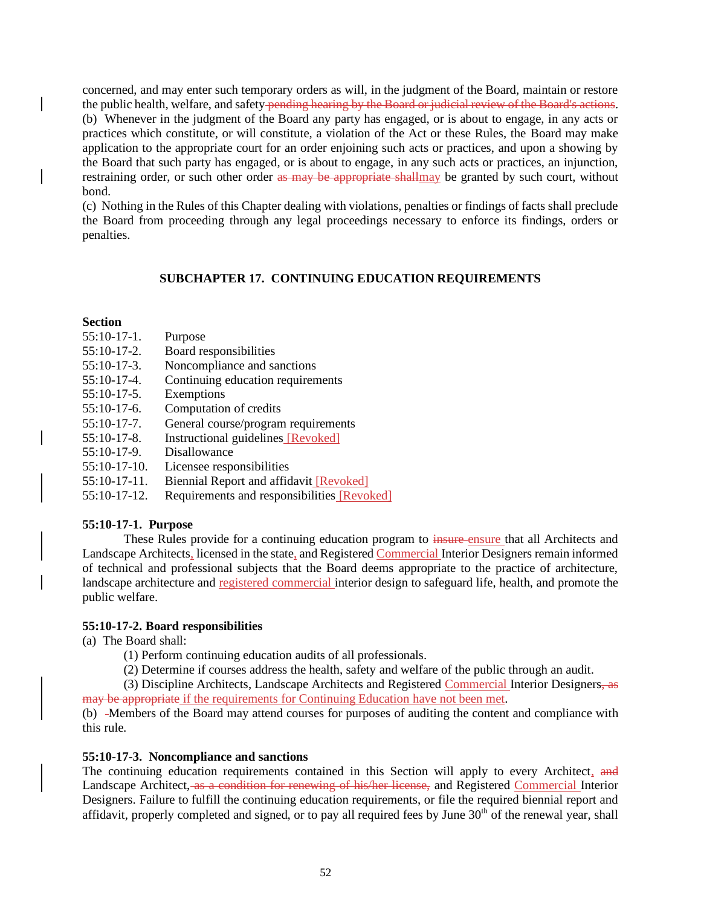concerned, and may enter such temporary orders as will, in the judgment of the Board, maintain or restore the public health, welfare, and safety pending hearing by the Board or judicial review of the Board's actions. (b) Whenever in the judgment of the Board any party has engaged, or is about to engage, in any acts or practices which constitute, or will constitute, a violation of the Act or these Rules, the Board may make application to the appropriate court for an order enjoining such acts or practices, and upon a showing by the Board that such party has engaged, or is about to engage, in any such acts or practices, an injunction, restraining order, or such other order as may be appropriate shallmay be granted by such court, without bond.

(c) Nothing in the Rules of this Chapter dealing with violations, penalties or findings of facts shall preclude the Board from proceeding through any legal proceedings necessary to enforce its findings, orders or penalties.

## **SUBCHAPTER 17. CONTINUING EDUCATION REQUIREMENTS**

### **Section**

- 55:10-17-1. Purpose
- 55:10-17-2. Board responsibilities
- 55:10-17-3. Noncompliance and sanctions
- 55:10-17-4. Continuing education requirements
- 55:10-17-5. Exemptions
- 55:10-17-6. Computation of credits
- 55:10-17-7. General course/program requirements
- 55:10-17-8. Instructional guidelines [Revoked]
- 55:10-17-9. Disallowance
- 55:10-17-10. Licensee responsibilities
- 55:10-17-11. Biennial Report and affidavit [Revoked]
- 55:10-17-12. Requirements and responsibilities [Revoked]

### **55:10-17-1. Purpose**

These Rules provide for a continuing education program to **insure**-ensure that all Architects and Landscape Architects, licensed in the state, and Registered Commercial Interior Designers remain informed of technical and professional subjects that the Board deems appropriate to the practice of architecture, landscape architecture and registered commercial interior design to safeguard life, health, and promote the public welfare.

## **55:10-17-2. Board responsibilities**

(a) The Board shall:

(1) Perform continuing education audits of all professionals.

(2) Determine if courses address the health, safety and welfare of the public through an audit.

(3) Discipline Architects, Landscape Architects and Registered Commercial Interior Designers, as may be appropriate if the requirements for Continuing Education have not been met.

(b) -Members of the Board may attend courses for purposes of auditing the content and compliance with this rule.

### **55:10-17-3. Noncompliance and sanctions**

The continuing education requirements contained in this Section will apply to every Architect, and Landscape Architect, as a condition for renewing of his/her license, and Registered Commercial Interior Designers. Failure to fulfill the continuing education requirements, or file the required biennial report and affidavit, properly completed and signed, or to pay all required fees by June  $30<sup>th</sup>$  of the renewal year, shall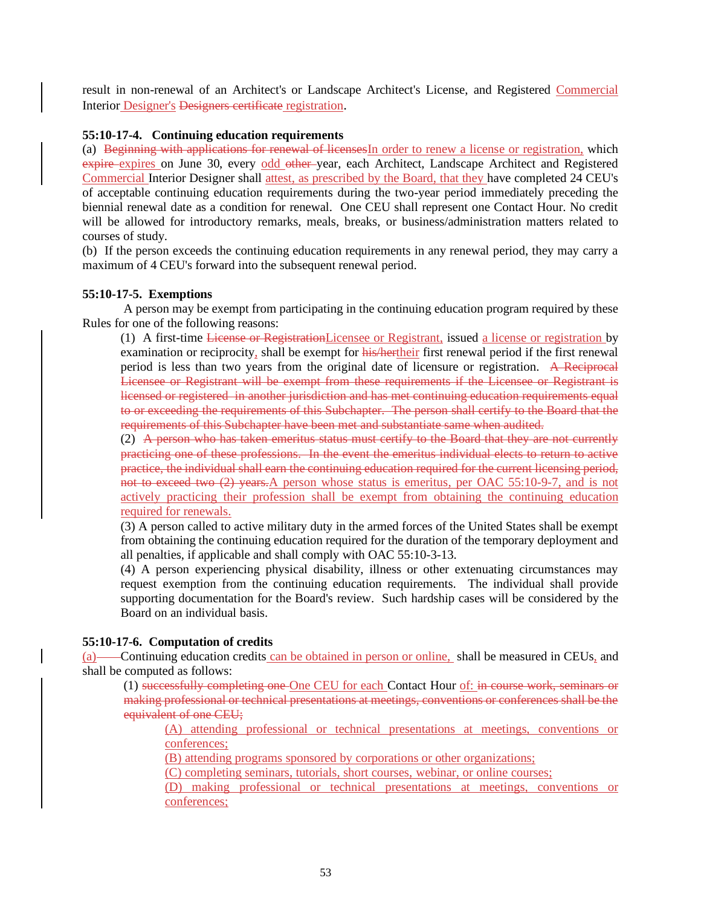result in non-renewal of an Architect's or Landscape Architect's License, and Registered Commercial Interior Designer's Designers certificate registration.

### **55:10-17-4. Continuing education requirements**

(a) Beginning with applications for renewal of licensesIn order to renew a license or registration, which expire expires on June 30, every odd other year, each Architect, Landscape Architect and Registered Commercial Interior Designer shall attest, as prescribed by the Board, that they have completed 24 CEU's of acceptable continuing education requirements during the two-year period immediately preceding the biennial renewal date as a condition for renewal. One CEU shall represent one Contact Hour. No credit will be allowed for introductory remarks, meals, breaks, or business/administration matters related to courses of study.

(b) If the person exceeds the continuing education requirements in any renewal period, they may carry a maximum of 4 CEU's forward into the subsequent renewal period.

#### **55:10-17-5. Exemptions**

A person may be exempt from participating in the continuing education program required by these Rules for one of the following reasons:

(1) A first-time License or RegistrationLicensee or Registrant, issued a license or registration by examination or reciprocity, shall be exempt for his/hertheir first renewal period if the first renewal period is less than two years from the original date of licensure or registration. A Reciprocal Licensee or Registrant will be exempt from these requirements if the Licensee or Registrant is licensed or registered in another jurisdiction and has met continuing education requirements equal to or exceeding the requirements of this Subchapter. The person shall certify to the Board that the requirements of this Subchapter have been met and substantiate same when audited.

 $(2)$  A person who has taken emeritus status must certify to the Board that they are not currently practicing one of these professions. In the event the emeritus individual elects to return to active practice, the individual shall earn the continuing education required for the current licensing period, not to exceed two (2) years.A person whose status is emeritus, per OAC 55:10-9-7, and is not actively practicing their profession shall be exempt from obtaining the continuing education required for renewals.

(3) A person called to active military duty in the armed forces of the United States shall be exempt from obtaining the continuing education required for the duration of the temporary deployment and all penalties, if applicable and shall comply with OAC 55:10-3-13.

(4) A person experiencing physical disability, illness or other extenuating circumstances may request exemption from the continuing education requirements. The individual shall provide supporting documentation for the Board's review. Such hardship cases will be considered by the Board on an individual basis.

## **55:10-17-6. Computation of credits**

(a) Continuing education credits can be obtained in person or online, shall be measured in CEUs, and shall be computed as follows:

(1) successfully completing one One CEU for each Contact Hour of: in course work, seminars or making professional or technical presentations at meetings, conventions or conferences shall be the equivalent of one CEU;

(A) attending professional or technical presentations at meetings, conventions or conferences;

(B) attending programs sponsored by corporations or other organizations;

(C) completing seminars, tutorials, short courses, webinar, or online courses;

(D) making professional or technical presentations at meetings, conventions or conferences;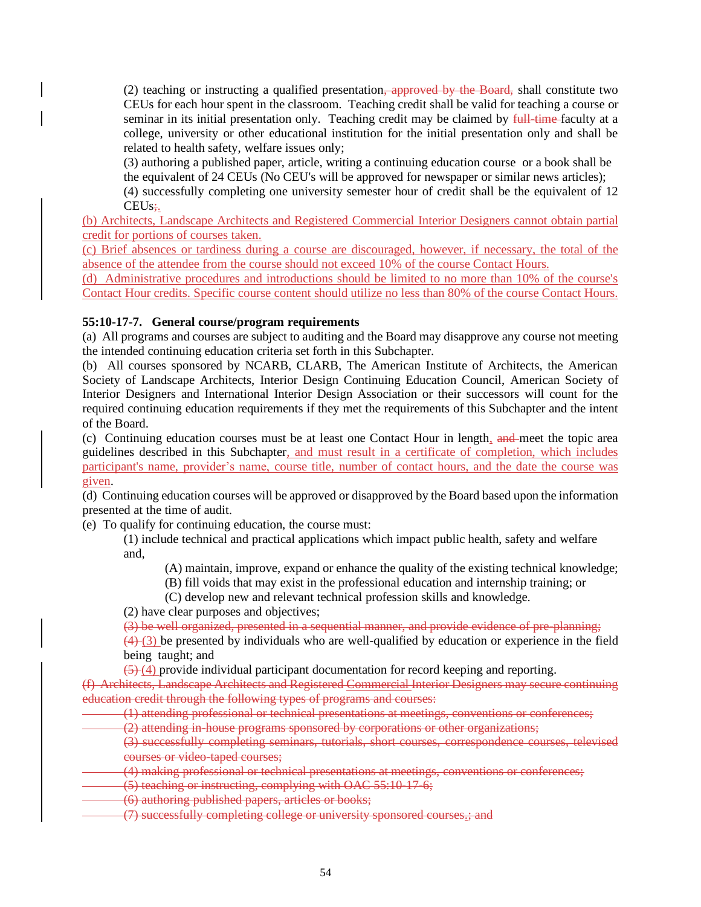(2) teaching or instructing a qualified presentation, approved by the Board, shall constitute two CEUs for each hour spent in the classroom. Teaching credit shall be valid for teaching a course or seminar in its initial presentation only. Teaching credit may be claimed by full-time-faculty at a college, university or other educational institution for the initial presentation only and shall be related to health safety, welfare issues only;

(3) authoring a published paper, article, writing a continuing education course or a book shall be the equivalent of 24 CEUs (No CEU's will be approved for newspaper or similar news articles);

(4) successfully completing one university semester hour of credit shall be the equivalent of 12 CEU<sub>s</sub>:

(b) Architects, Landscape Architects and Registered Commercial Interior Designers cannot obtain partial credit for portions of courses taken.

(c) Brief absences or tardiness during a course are discouraged, however, if necessary, the total of the absence of the attendee from the course should not exceed 10% of the course Contact Hours.

(d) Administrative procedures and introductions should be limited to no more than 10% of the course's Contact Hour credits. Specific course content should utilize no less than 80% of the course Contact Hours.

## **55:10-17-7. General course/program requirements**

(a) All programs and courses are subject to auditing and the Board may disapprove any course not meeting the intended continuing education criteria set forth in this Subchapter.

(b) All courses sponsored by NCARB, CLARB, The American Institute of Architects, the American Society of Landscape Architects, Interior Design Continuing Education Council, American Society of Interior Designers and International Interior Design Association or their successors will count for the required continuing education requirements if they met the requirements of this Subchapter and the intent of the Board.

(c) Continuing education courses must be at least one Contact Hour in length, and meet the topic area guidelines described in this Subchapter, and must result in a certificate of completion, which includes participant's name, provider's name, course title, number of contact hours, and the date the course was given.

(d) Continuing education courses will be approved or disapproved by the Board based upon the information presented at the time of audit.

(e) To qualify for continuing education, the course must:

(1) include technical and practical applications which impact public health, safety and welfare and,

(A) maintain, improve, expand or enhance the quality of the existing technical knowledge;

(B) fill voids that may exist in the professional education and internship training; or

(C) develop new and relevant technical profession skills and knowledge.

(2) have clear purposes and objectives;

(3) be well organized, presented in a sequential manner, and provide evidence of pre-planning;

 $(4)$  (3) be presented by individuals who are well-qualified by education or experience in the field being taught; and

 $(5)(4)$  provide individual participant documentation for record keeping and reporting.

(f) Architects, Landscape Architects and Registered Commercial Interior Designers may secure continuing education credit through the following types of programs and courses:

(1) attending professional or technical presentations at meetings, conventions or conferences;

(2) attending in-house programs sponsored by corporations or other organizations;

(3) successfully completing seminars, tutorials, short courses, correspondence courses, televised courses or video-taped courses;

(4) making professional or technical presentations at meetings, conventions or conferences;

(5) teaching or instructing, complying with OAC 55:10-17-6;

(6) authoring published papers, articles or books;

(7) successfully completing college or university sponsored courses.; and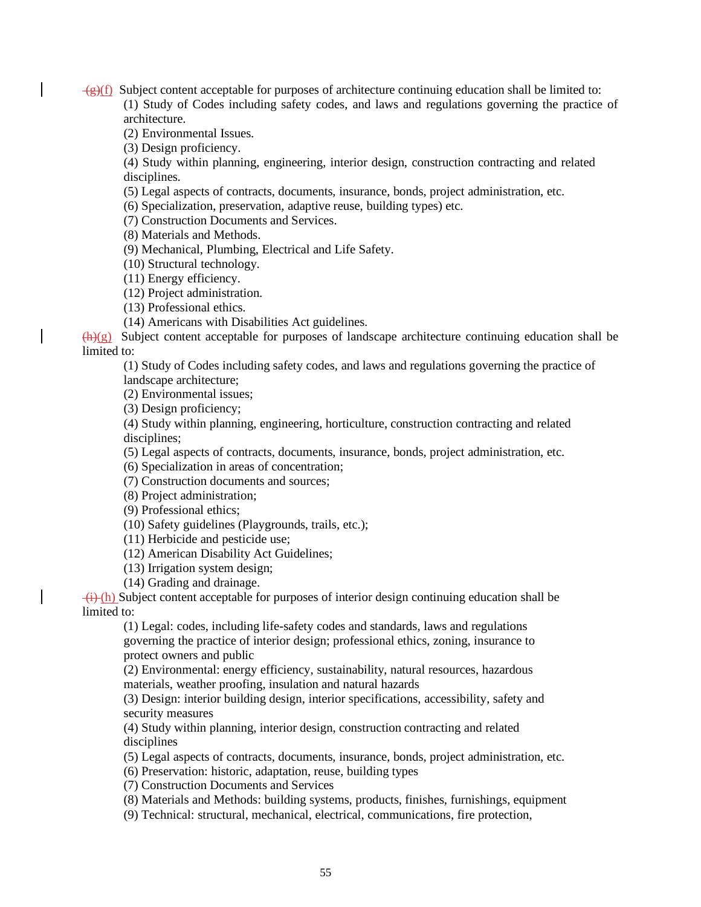$\overline{g}(f)$  Subject content acceptable for purposes of architecture continuing education shall be limited to: (1) Study of Codes including safety codes, and laws and regulations governing the practice of architecture.

(2) Environmental Issues.

(3) Design proficiency.

(4) Study within planning, engineering, interior design, construction contracting and related disciplines.

(5) Legal aspects of contracts, documents, insurance, bonds, project administration, etc.

(6) Specialization, preservation, adaptive reuse, building types) etc.

(7) Construction Documents and Services.

(8) Materials and Methods.

(9) Mechanical, Plumbing, Electrical and Life Safety.

(10) Structural technology.

(11) Energy efficiency.

(12) Project administration.

(13) Professional ethics.

(14) Americans with Disabilities Act guidelines.

 $\bigoplus$ (g) Subject content acceptable for purposes of landscape architecture continuing education shall be limited to:

(1) Study of Codes including safety codes, and laws and regulations governing the practice of landscape architecture;

(2) Environmental issues;

(3) Design proficiency;

(4) Study within planning, engineering, horticulture, construction contracting and related disciplines;

(5) Legal aspects of contracts, documents, insurance, bonds, project administration, etc.

(6) Specialization in areas of concentration;

(7) Construction documents and sources;

(8) Project administration;

(9) Professional ethics;

(10) Safety guidelines (Playgrounds, trails, etc.);

(11) Herbicide and pesticide use;

(12) American Disability Act Guidelines;

(13) Irrigation system design;

(14) Grading and drainage.

 $\overline{(i)}$  (h) Subject content acceptable for purposes of interior design continuing education shall be limited to:

(1) Legal: codes, including life-safety codes and standards, laws and regulations governing the practice of interior design; professional ethics, zoning, insurance to protect owners and public

(2) Environmental: energy efficiency, sustainability, natural resources, hazardous materials, weather proofing, insulation and natural hazards

(3) Design: interior building design, interior specifications, accessibility, safety and security measures

(4) Study within planning, interior design, construction contracting and related disciplines

(5) Legal aspects of contracts, documents, insurance, bonds, project administration, etc.

(6) Preservation: historic, adaptation, reuse, building types

(7) Construction Documents and Services

(8) Materials and Methods: building systems, products, finishes, furnishings, equipment

(9) Technical: structural, mechanical, electrical, communications, fire protection,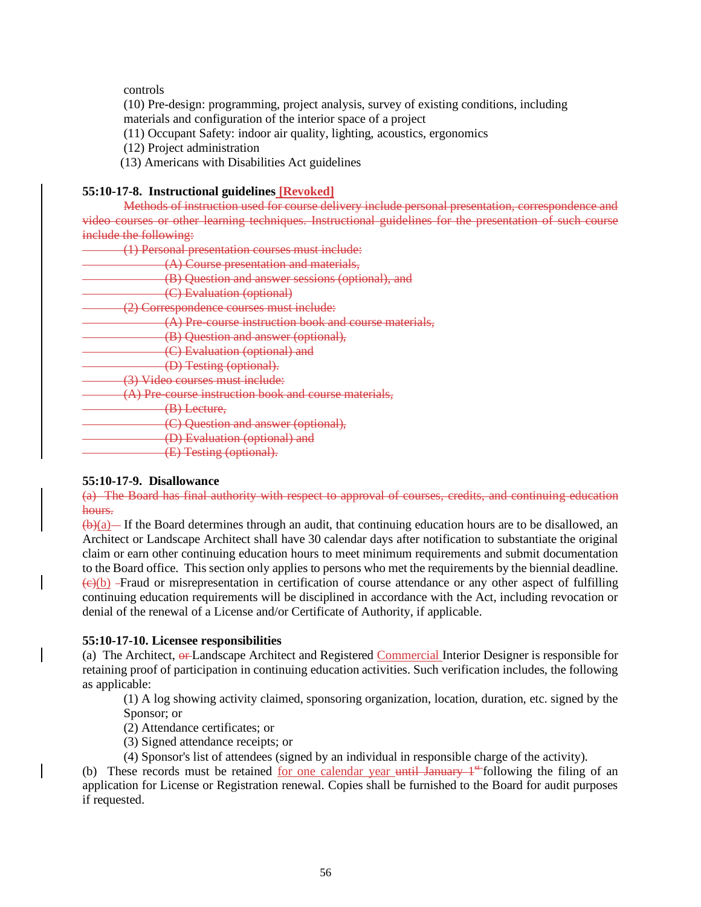### controls

(10) Pre-design: programming, project analysis, survey of existing conditions, including materials and configuration of the interior space of a project

- (11) Occupant Safety: indoor air quality, lighting, acoustics, ergonomics
- (12) Project administration
- (13) Americans with Disabilities Act guidelines

## **55:10-17-8. Instructional guidelines [Revoked]**

Methods of instruction used for course delivery include personal presentation, correspondence and video courses or other learning techniques. Instructional guidelines for the presentation of such course include the following:

| (1) Personal presentation courses must include:                           |
|---------------------------------------------------------------------------|
| (A) Course presentation and materials,                                    |
| (B) Question and answer sessions (optional), and                          |
| (C) Evaluation (optional)                                                 |
| (2) Correspondence courses must include:                                  |
| (A) Pre-course instruction book and course materials,                     |
| (B) Question and answer (optional),                                       |
| (C) Evaluation (optional) and                                             |
| (D) Testing (optional).                                                   |
| (3) Video courses must include:                                           |
| (A) Pre-course instruction book and course materials,                     |
| (B) Lecture,                                                              |
| (C) Question and answer (optional),                                       |
| (D) Evaluation (optional) and<br><del>(D) Evaniation (optional) and</del> |
| (E) Testing (optional).                                                   |

### **55:10-17-9. Disallowance**

(a) The Board has final authority with respect to approval of courses, credits, and continuing education hours.

 $(\theta)(a)$ — If the Board determines through an audit, that continuing education hours are to be disallowed, an Architect or Landscape Architect shall have 30 calendar days after notification to substantiate the original claim or earn other continuing education hours to meet minimum requirements and submit documentation to the Board office. This section only applies to persons who met the requirements by the biennial deadline.  $\left(\frac{e}{c}\right)$  Fraud or misrepresentation in certification of course attendance or any other aspect of fulfilling continuing education requirements will be disciplined in accordance with the Act, including revocation or denial of the renewal of a License and/or Certificate of Authority, if applicable.

### **55:10-17-10. Licensee responsibilities**

(a) The Architect,  $\theta$  Landscape Architect and Registered Commercial Interior Designer is responsible for retaining proof of participation in continuing education activities. Such verification includes, the following as applicable:

(1) A log showing activity claimed, sponsoring organization, location, duration, etc. signed by the Sponsor; or

(2) Attendance certificates; or

(3) Signed attendance receipts; or

(4) Sponsor's list of attendees (signed by an individual in responsible charge of the activity).

(b) These records must be retained for one calendar year until January  $1^{st}$  following the filing of an application for License or Registration renewal. Copies shall be furnished to the Board for audit purposes if requested.